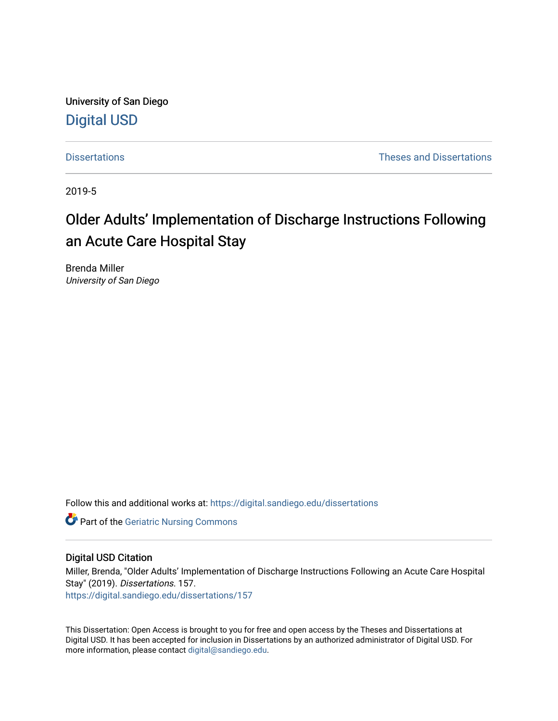University of San Diego [Digital USD](https://digital.sandiego.edu/)

[Dissertations](https://digital.sandiego.edu/dissertations) [Theses and Dissertations](https://digital.sandiego.edu/etd) 

2019-5

# Older Adults' Implementation of Discharge Instructions Following an Acute Care Hospital Stay

Brenda Miller University of San Diego

Follow this and additional works at: [https://digital.sandiego.edu/dissertations](https://digital.sandiego.edu/dissertations?utm_source=digital.sandiego.edu%2Fdissertations%2F157&utm_medium=PDF&utm_campaign=PDFCoverPages)

**Part of the Geriatric Nursing Commons** 

# Digital USD Citation

Miller, Brenda, "Older Adults' Implementation of Discharge Instructions Following an Acute Care Hospital Stay" (2019). Dissertations. 157. [https://digital.sandiego.edu/dissertations/157](https://digital.sandiego.edu/dissertations/157?utm_source=digital.sandiego.edu%2Fdissertations%2F157&utm_medium=PDF&utm_campaign=PDFCoverPages)

This Dissertation: Open Access is brought to you for free and open access by the Theses and Dissertations at Digital USD. It has been accepted for inclusion in Dissertations by an authorized administrator of Digital USD. For more information, please contact [digital@sandiego.edu.](mailto:digital@sandiego.edu)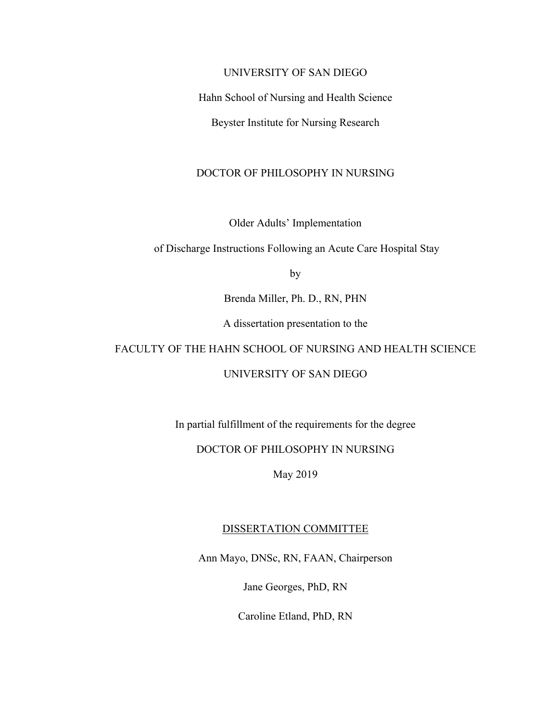# UNIVERSITY OF SAN DIEGO

Hahn School of Nursing and Health Science

Beyster Institute for Nursing Research

# DOCTOR OF PHILOSOPHY IN NURSING

Older Adults' Implementation

of Discharge Instructions Following an Acute Care Hospital Stay

by

Brenda Miller, Ph. D., RN, PHN

A dissertation presentation to the

# FACULTY OF THE HAHN SCHOOL OF NURSING AND HEALTH SCIENCE

# UNIVERSITY OF SAN DIEGO

In partial fulfillment of the requirements for the degree

# DOCTOR OF PHILOSOPHY IN NURSING

May 2019

# DISSERTATION COMMITTEE

Ann Mayo, DNSc, RN, FAAN, Chairperson

Jane Georges, PhD, RN

Caroline Etland, PhD, RN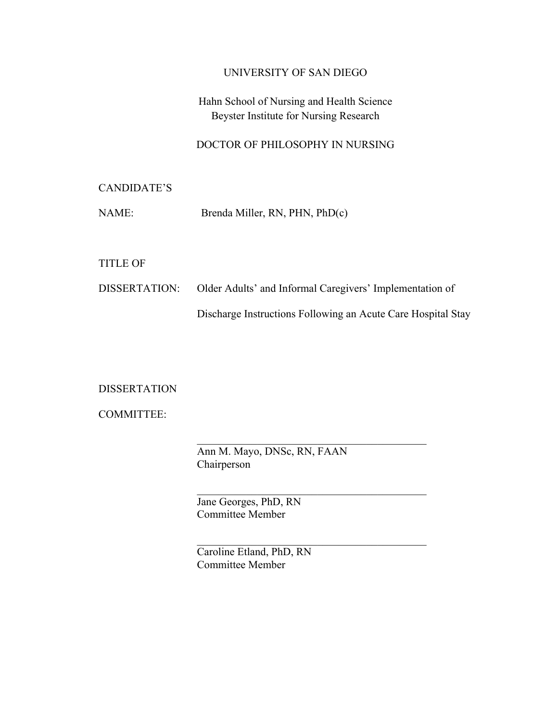# UNIVERSITY OF SAN DIEGO

# Hahn School of Nursing and Health Science Beyster Institute for Nursing Research

# DOCTOR OF PHILOSOPHY IN NURSING

# CANDIDATE'S

| NAME: | Brenda Miller, RN, PHN, PhD(c) |  |  |  |  |
|-------|--------------------------------|--|--|--|--|
|-------|--------------------------------|--|--|--|--|

# TITLE OF

# DISSERTATION: Older Adults' and Informal Caregivers' Implementation of Discharge Instructions Following an Acute Care Hospital Stay

# DISSERTATION

COMMITTEE:

Ann M. Mayo, DNSc, RN, FAAN Chairperson

Jane Georges, PhD, RN Committee Member

Caroline Etland, PhD, RN Committee Member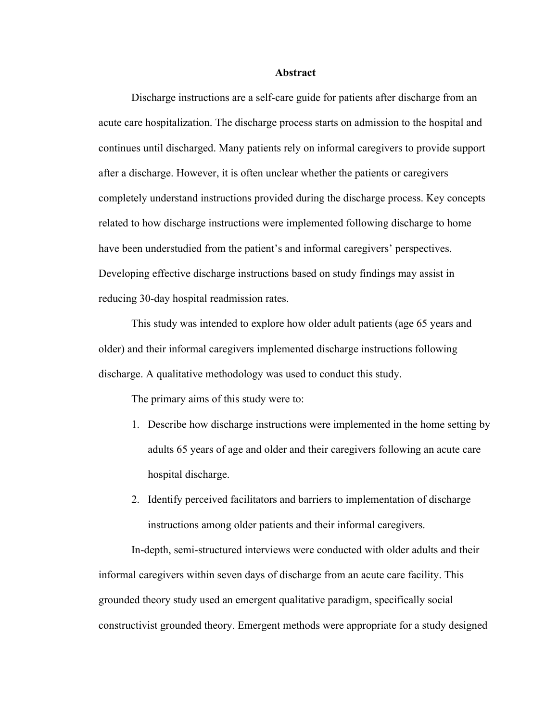#### **Abstract**

Discharge instructions are a self-care guide for patients after discharge from an acute care hospitalization. The discharge process starts on admission to the hospital and continues until discharged. Many patients rely on informal caregivers to provide support after a discharge. However, it is often unclear whether the patients or caregivers completely understand instructions provided during the discharge process. Key concepts related to how discharge instructions were implemented following discharge to home have been understudied from the patient's and informal caregivers' perspectives. Developing effective discharge instructions based on study findings may assist in reducing 30-day hospital readmission rates.

This study was intended to explore how older adult patients (age 65 years and older) and their informal caregivers implemented discharge instructions following discharge. A qualitative methodology was used to conduct this study.

The primary aims of this study were to:

- 1. Describe how discharge instructions were implemented in the home setting by adults 65 years of age and older and their caregivers following an acute care hospital discharge.
- 2. Identify perceived facilitators and barriers to implementation of discharge instructions among older patients and their informal caregivers.

In-depth, semi-structured interviews were conducted with older adults and their informal caregivers within seven days of discharge from an acute care facility. This grounded theory study used an emergent qualitative paradigm, specifically social constructivist grounded theory. Emergent methods were appropriate for a study designed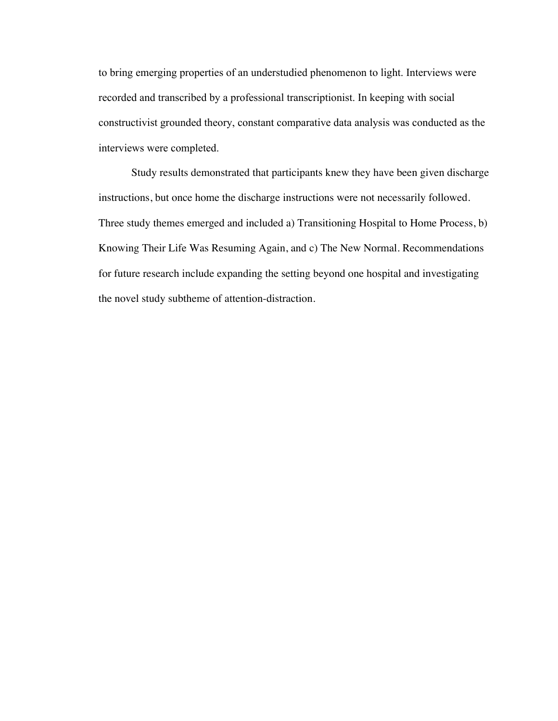to bring emerging properties of an understudied phenomenon to light. Interviews were recorded and transcribed by a professional transcriptionist. In keeping with social constructivist grounded theory, constant comparative data analysis was conducted as the interviews were completed.

Study results demonstrated that participants knew they have been given discharge instructions, but once home the discharge instructions were not necessarily followed. Three study themes emerged and included a) Transitioning Hospital to Home Process, b) Knowing Their Life Was Resuming Again, and c) The New Normal. Recommendations for future research include expanding the setting beyond one hospital and investigating the novel study subtheme of attention-distraction.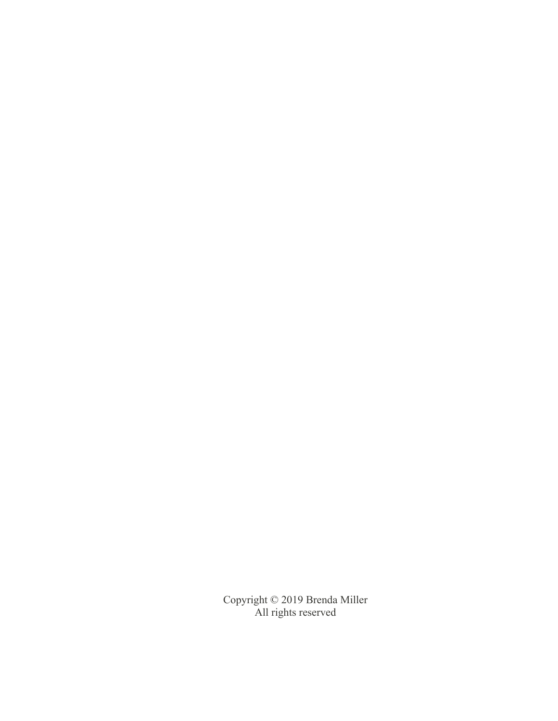Copyright © 2019 Brenda Miller All rights reserved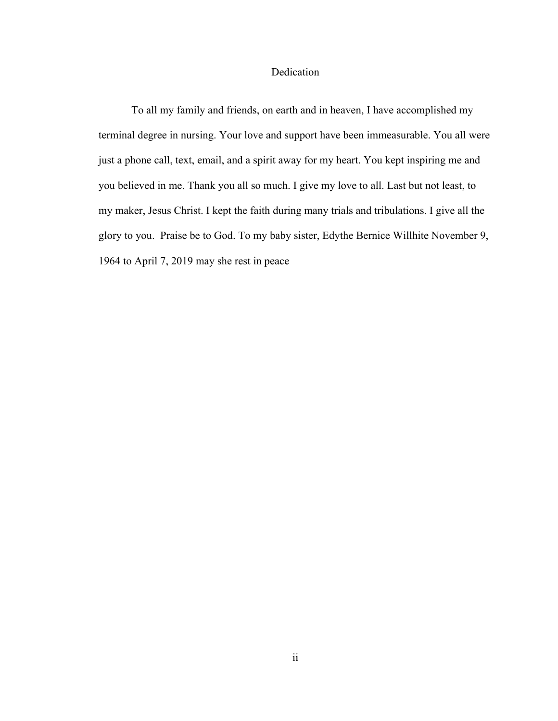# Dedication

To all my family and friends, on earth and in heaven, I have accomplished my terminal degree in nursing. Your love and support have been immeasurable. You all were just a phone call, text, email, and a spirit away for my heart. You kept inspiring me and you believed in me. Thank you all so much. I give my love to all. Last but not least, to my maker, Jesus Christ. I kept the faith during many trials and tribulations. I give all the glory to you. Praise be to God. To my baby sister, Edythe Bernice Willhite November 9, 1964 to April 7, 2019 may she rest in peace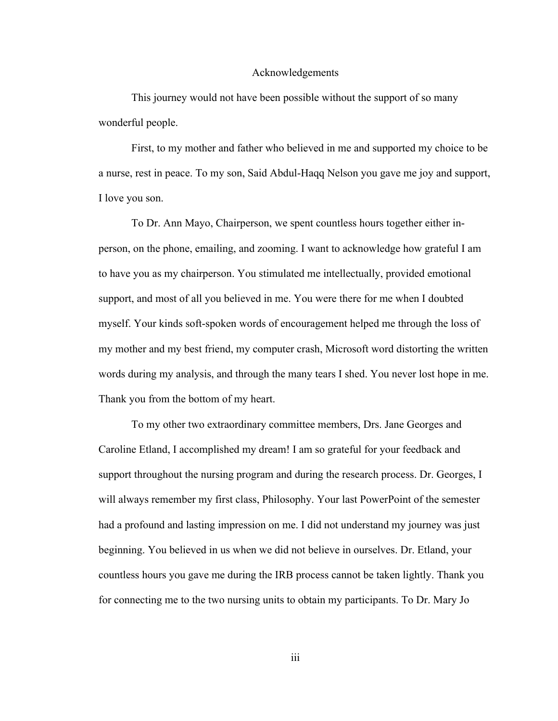#### Acknowledgements

This journey would not have been possible without the support of so many wonderful people.

First, to my mother and father who believed in me and supported my choice to be a nurse, rest in peace. To my son, Said Abdul-Haqq Nelson you gave me joy and support, I love you son.

To Dr. Ann Mayo, Chairperson, we spent countless hours together either inperson, on the phone, emailing, and zooming. I want to acknowledge how grateful I am to have you as my chairperson. You stimulated me intellectually, provided emotional support, and most of all you believed in me. You were there for me when I doubted myself. Your kinds soft-spoken words of encouragement helped me through the loss of my mother and my best friend, my computer crash, Microsoft word distorting the written words during my analysis, and through the many tears I shed. You never lost hope in me. Thank you from the bottom of my heart.

To my other two extraordinary committee members, Drs. Jane Georges and Caroline Etland, I accomplished my dream! I am so grateful for your feedback and support throughout the nursing program and during the research process. Dr. Georges, I will always remember my first class, Philosophy. Your last PowerPoint of the semester had a profound and lasting impression on me. I did not understand my journey was just beginning. You believed in us when we did not believe in ourselves. Dr. Etland, your countless hours you gave me during the IRB process cannot be taken lightly. Thank you for connecting me to the two nursing units to obtain my participants. To Dr. Mary Jo

iii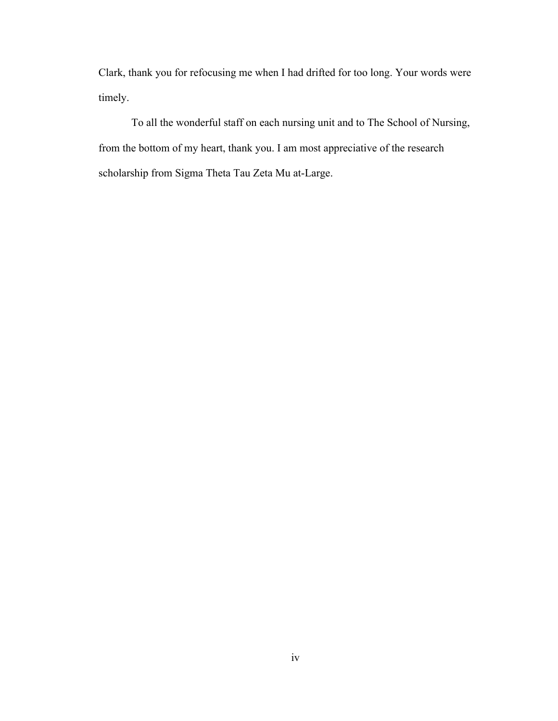Clark, thank you for refocusing me when I had drifted for too long. Your words were timely.

To all the wonderful staff on each nursing unit and to The School of Nursing, from the bottom of my heart, thank you. I am most appreciative of the research scholarship from Sigma Theta Tau Zeta Mu at-Large.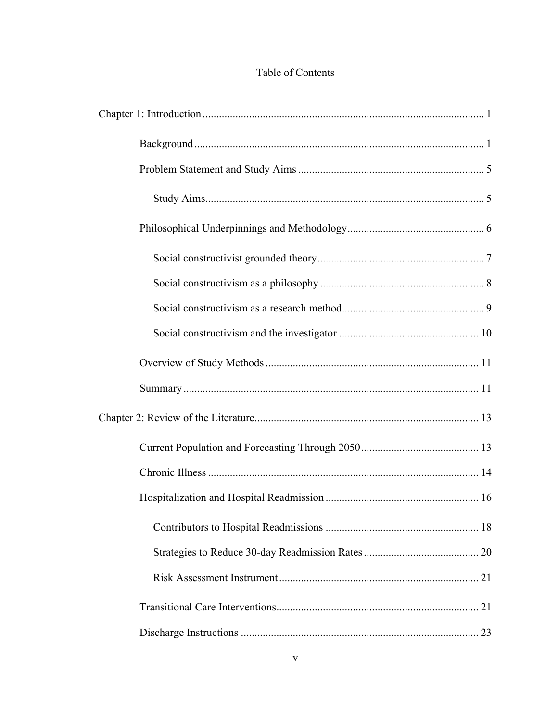# Table of Contents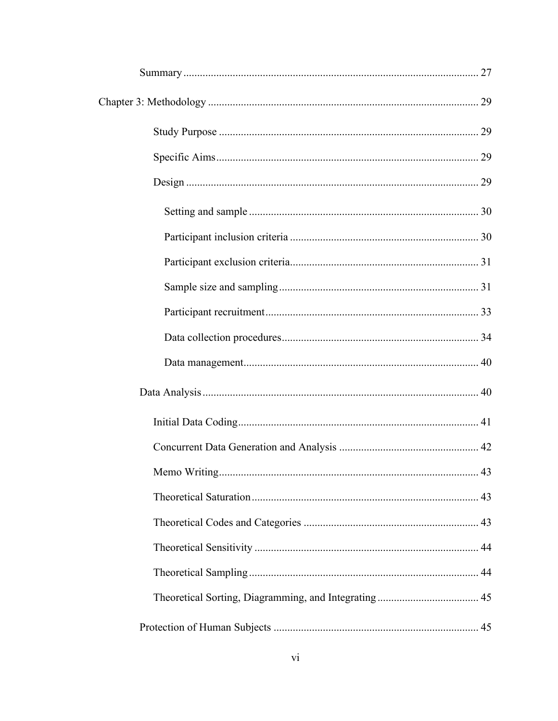| Memo Writing |  |
|--------------|--|
|              |  |
|              |  |
|              |  |
|              |  |
|              |  |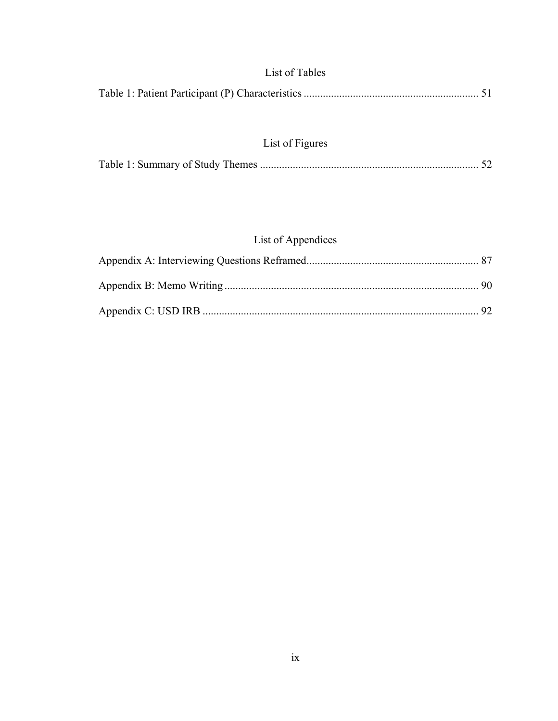# List of Tables

|--|--|--|

# List of Figures

|--|--|--|

# List of Appendices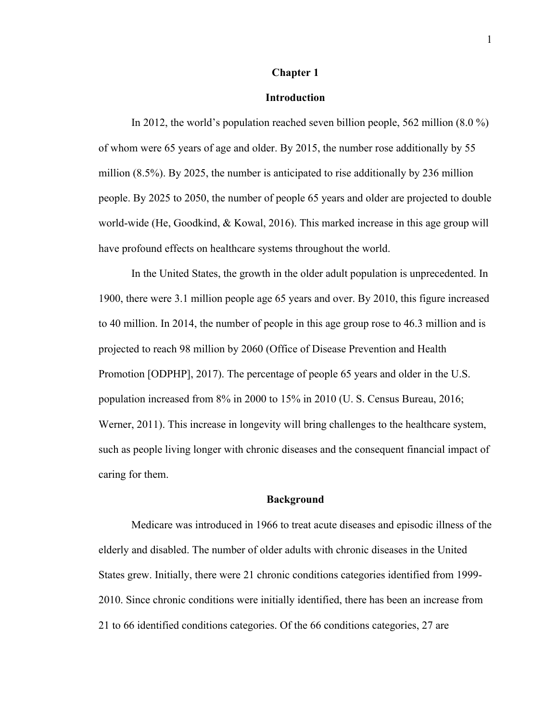### **Chapter 1**

# **Introduction**

In 2012, the world's population reached seven billion people, 562 million (8.0 %) of whom were 65 years of age and older. By 2015, the number rose additionally by 55 million (8.5%). By 2025, the number is anticipated to rise additionally by 236 million people. By 2025 to 2050, the number of people 65 years and older are projected to double world-wide (He, Goodkind, & Kowal, 2016). This marked increase in this age group will have profound effects on healthcare systems throughout the world.

In the United States, the growth in the older adult population is unprecedented. In 1900, there were 3.1 million people age 65 years and over. By 2010, this figure increased to 40 million. In 2014, the number of people in this age group rose to 46.3 million and is projected to reach 98 million by 2060 (Office of Disease Prevention and Health Promotion [ODPHP], 2017). The percentage of people 65 years and older in the U.S. population increased from 8% in 2000 to 15% in 2010 (U. S. Census Bureau, 2016; Werner, 2011). This increase in longevity will bring challenges to the healthcare system, such as people living longer with chronic diseases and the consequent financial impact of caring for them.

#### **Background**

Medicare was introduced in 1966 to treat acute diseases and episodic illness of the elderly and disabled. The number of older adults with chronic diseases in the United States grew. Initially, there were 21 chronic conditions categories identified from 1999- 2010. Since chronic conditions were initially identified, there has been an increase from 21 to 66 identified conditions categories. Of the 66 conditions categories, 27 are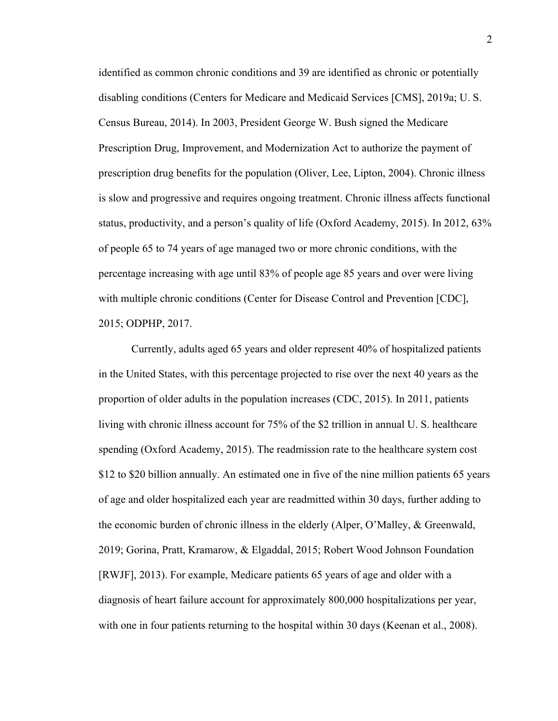identified as common chronic conditions and 39 are identified as chronic or potentially disabling conditions (Centers for Medicare and Medicaid Services [CMS], 2019a; U. S. Census Bureau, 2014). In 2003, President George W. Bush signed the Medicare Prescription Drug, Improvement, and Modernization Act to authorize the payment of prescription drug benefits for the population (Oliver, Lee, Lipton, 2004). Chronic illness is slow and progressive and requires ongoing treatment. Chronic illness affects functional status, productivity, and a person's quality of life (Oxford Academy, 2015). In 2012, 63% of people 65 to 74 years of age managed two or more chronic conditions, with the percentage increasing with age until 83% of people age 85 years and over were living with multiple chronic conditions (Center for Disease Control and Prevention [CDC], 2015; ODPHP, 2017.

Currently, adults aged 65 years and older represent 40% of hospitalized patients in the United States, with this percentage projected to rise over the next 40 years as the proportion of older adults in the population increases (CDC, 2015). In 2011, patients living with chronic illness account for 75% of the \$2 trillion in annual U. S. healthcare spending (Oxford Academy, 2015). The readmission rate to the healthcare system cost \$12 to \$20 billion annually. An estimated one in five of the nine million patients 65 years of age and older hospitalized each year are readmitted within 30 days, further adding to the economic burden of chronic illness in the elderly (Alper, O'Malley, & Greenwald, 2019; Gorina, Pratt, Kramarow, & Elgaddal, 2015; Robert Wood Johnson Foundation [RWJF], 2013). For example, Medicare patients 65 years of age and older with a diagnosis of heart failure account for approximately 800,000 hospitalizations per year, with one in four patients returning to the hospital within 30 days (Keenan et al., 2008).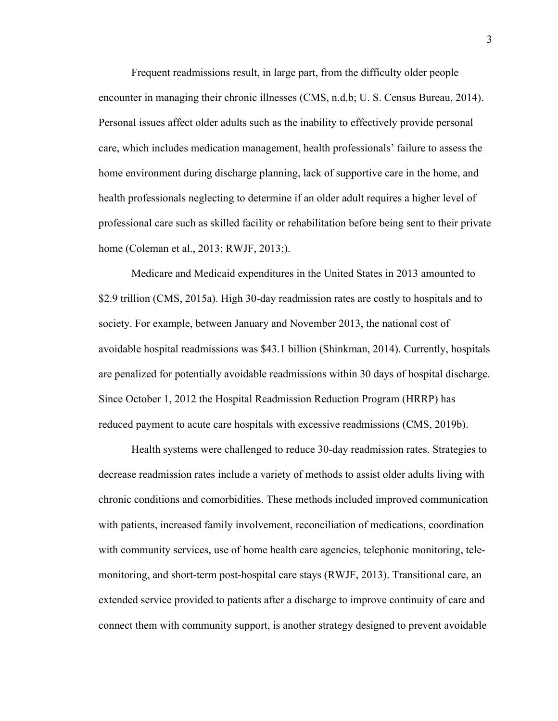Frequent readmissions result, in large part, from the difficulty older people encounter in managing their chronic illnesses (CMS, n.d.b; U. S. Census Bureau, 2014). Personal issues affect older adults such as the inability to effectively provide personal care, which includes medication management, health professionals' failure to assess the home environment during discharge planning, lack of supportive care in the home, and health professionals neglecting to determine if an older adult requires a higher level of professional care such as skilled facility or rehabilitation before being sent to their private home (Coleman et al., 2013; RWJF, 2013;).

Medicare and Medicaid expenditures in the United States in 2013 amounted to \$2.9 trillion (CMS, 2015a). High 30-day readmission rates are costly to hospitals and to society. For example, between January and November 2013, the national cost of avoidable hospital readmissions was \$43.1 billion (Shinkman, 2014). Currently, hospitals are penalized for potentially avoidable readmissions within 30 days of hospital discharge. Since October 1, 2012 the Hospital Readmission Reduction Program (HRRP) has reduced payment to acute care hospitals with excessive readmissions (CMS, 2019b).

Health systems were challenged to reduce 30-day readmission rates. Strategies to decrease readmission rates include a variety of methods to assist older adults living with chronic conditions and comorbidities. These methods included improved communication with patients, increased family involvement, reconciliation of medications, coordination with community services, use of home health care agencies, telephonic monitoring, telemonitoring, and short-term post-hospital care stays (RWJF, 2013). Transitional care, an extended service provided to patients after a discharge to improve continuity of care and connect them with community support, is another strategy designed to prevent avoidable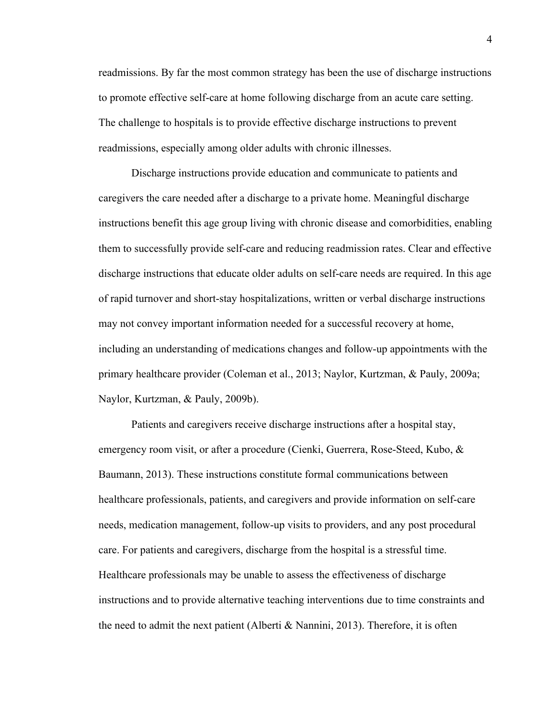readmissions. By far the most common strategy has been the use of discharge instructions to promote effective self-care at home following discharge from an acute care setting. The challenge to hospitals is to provide effective discharge instructions to prevent readmissions, especially among older adults with chronic illnesses.

Discharge instructions provide education and communicate to patients and caregivers the care needed after a discharge to a private home. Meaningful discharge instructions benefit this age group living with chronic disease and comorbidities, enabling them to successfully provide self-care and reducing readmission rates. Clear and effective discharge instructions that educate older adults on self-care needs are required. In this age of rapid turnover and short-stay hospitalizations, written or verbal discharge instructions may not convey important information needed for a successful recovery at home, including an understanding of medications changes and follow-up appointments with the primary healthcare provider (Coleman et al., 2013; Naylor, Kurtzman, & Pauly, 2009a; Naylor, Kurtzman, & Pauly, 2009b).

Patients and caregivers receive discharge instructions after a hospital stay, emergency room visit, or after a procedure (Cienki, Guerrera, Rose-Steed, Kubo, & Baumann, 2013). These instructions constitute formal communications between healthcare professionals, patients, and caregivers and provide information on self-care needs, medication management, follow-up visits to providers, and any post procedural care. For patients and caregivers, discharge from the hospital is a stressful time. Healthcare professionals may be unable to assess the effectiveness of discharge instructions and to provide alternative teaching interventions due to time constraints and the need to admit the next patient (Alberti & Nannini, 2013). Therefore, it is often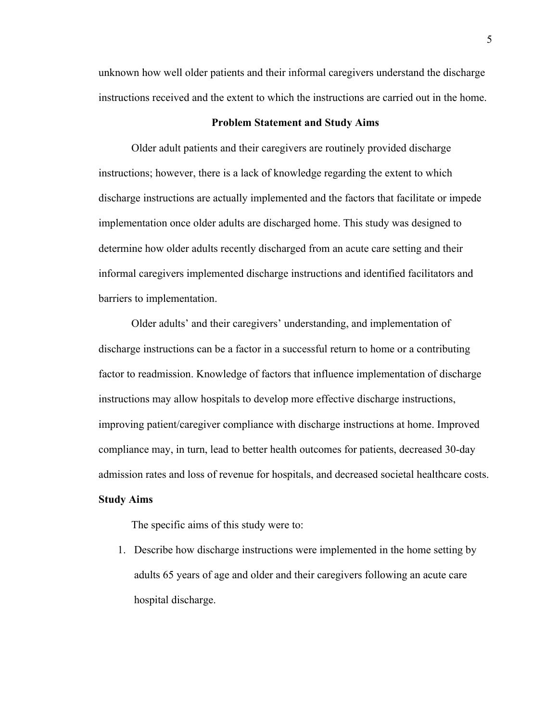unknown how well older patients and their informal caregivers understand the discharge instructions received and the extent to which the instructions are carried out in the home.

### **Problem Statement and Study Aims**

Older adult patients and their caregivers are routinely provided discharge instructions; however, there is a lack of knowledge regarding the extent to which discharge instructions are actually implemented and the factors that facilitate or impede implementation once older adults are discharged home. This study was designed to determine how older adults recently discharged from an acute care setting and their informal caregivers implemented discharge instructions and identified facilitators and barriers to implementation.

Older adults' and their caregivers' understanding, and implementation of discharge instructions can be a factor in a successful return to home or a contributing factor to readmission. Knowledge of factors that influence implementation of discharge instructions may allow hospitals to develop more effective discharge instructions, improving patient/caregiver compliance with discharge instructions at home. Improved compliance may, in turn, lead to better health outcomes for patients, decreased 30-day admission rates and loss of revenue for hospitals, and decreased societal healthcare costs.

# **Study Aims**

The specific aims of this study were to:

1. Describe how discharge instructions were implemented in the home setting by adults 65 years of age and older and their caregivers following an acute care hospital discharge.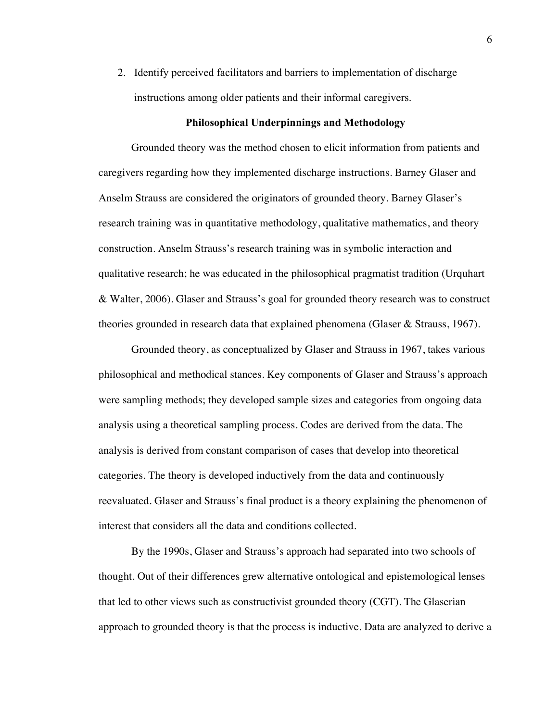2. Identify perceived facilitators and barriers to implementation of discharge instructions among older patients and their informal caregivers.

### **Philosophical Underpinnings and Methodology**

Grounded theory was the method chosen to elicit information from patients and caregivers regarding how they implemented discharge instructions. Barney Glaser and Anselm Strauss are considered the originators of grounded theory. Barney Glaser's research training was in quantitative methodology, qualitative mathematics, and theory construction. Anselm Strauss's research training was in symbolic interaction and qualitative research; he was educated in the philosophical pragmatist tradition (Urquhart & Walter, 2006). Glaser and Strauss's goal for grounded theory research was to construct theories grounded in research data that explained phenomena (Glaser & Strauss, 1967).

Grounded theory, as conceptualized by Glaser and Strauss in 1967, takes various philosophical and methodical stances. Key components of Glaser and Strauss's approach were sampling methods; they developed sample sizes and categories from ongoing data analysis using a theoretical sampling process. Codes are derived from the data. The analysis is derived from constant comparison of cases that develop into theoretical categories. The theory is developed inductively from the data and continuously reevaluated. Glaser and Strauss's final product is a theory explaining the phenomenon of interest that considers all the data and conditions collected.

By the 1990s, Glaser and Strauss's approach had separated into two schools of thought. Out of their differences grew alternative ontological and epistemological lenses that led to other views such as constructivist grounded theory (CGT). The Glaserian approach to grounded theory is that the process is inductive. Data are analyzed to derive a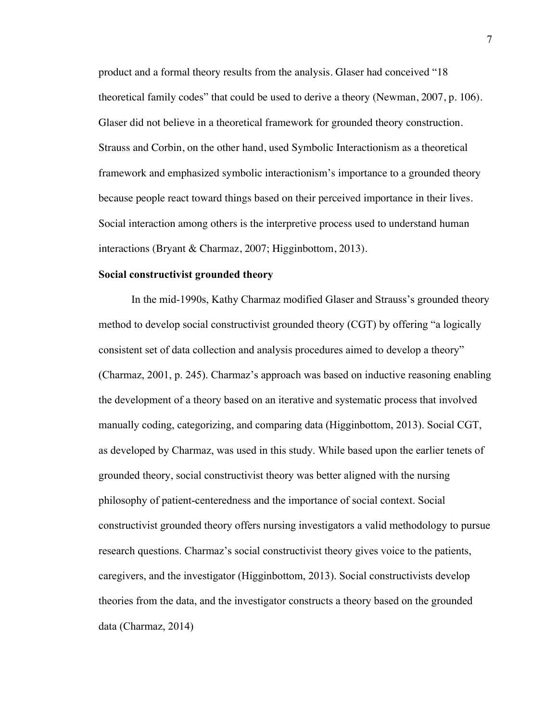product and a formal theory results from the analysis. Glaser had conceived "18 theoretical family codes" that could be used to derive a theory (Newman, 2007, p. 106). Glaser did not believe in a theoretical framework for grounded theory construction. Strauss and Corbin, on the other hand, used Symbolic Interactionism as a theoretical framework and emphasized symbolic interactionism's importance to a grounded theory because people react toward things based on their perceived importance in their lives. Social interaction among others is the interpretive process used to understand human interactions (Bryant & Charmaz, 2007; Higginbottom, 2013).

#### **Social constructivist grounded theory**

In the mid-1990s, Kathy Charmaz modified Glaser and Strauss's grounded theory method to develop social constructivist grounded theory (CGT) by offering "a logically consistent set of data collection and analysis procedures aimed to develop a theory" (Charmaz, 2001, p. 245). Charmaz's approach was based on inductive reasoning enabling the development of a theory based on an iterative and systematic process that involved manually coding, categorizing, and comparing data (Higginbottom, 2013). Social CGT, as developed by Charmaz, was used in this study. While based upon the earlier tenets of grounded theory, social constructivist theory was better aligned with the nursing philosophy of patient-centeredness and the importance of social context. Social constructivist grounded theory offers nursing investigators a valid methodology to pursue research questions. Charmaz's social constructivist theory gives voice to the patients, caregivers, and the investigator (Higginbottom, 2013). Social constructivists develop theories from the data, and the investigator constructs a theory based on the grounded data (Charmaz, 2014)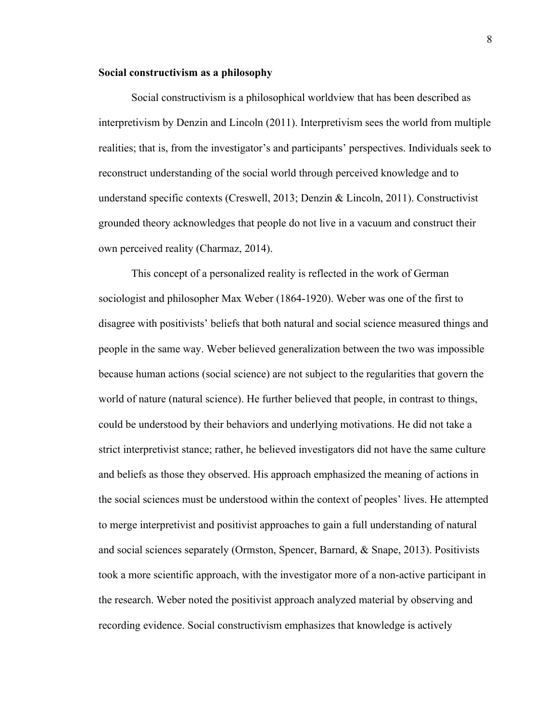### **Social constructivism as a philosophy**

Social constructivism is a philosophical worldview that has been described as interpretivism by Denzin and Lincoln (2011). Interpretivism sees the world from multiple realities; that is, from the investigator's and participants' perspectives. Individuals seek to reconstruct understanding of the social world through perceived knowledge and to understand specific contexts (Creswell, 2013; Denzin & Lincoln, 2011). Constructivist grounded theory acknowledges that people do not live in a vacuum and construct their own perceived reality (Charmaz, 2014).

This concept of a personalized reality is reflected in the work of German sociologist and philosopher Max Weber (1864-1920). Weber was one of the first to disagree with positivists' beliefs that both natural and social science measured things and people in the same way. Weber believed generalization between the two was impossible because human actions (social science) are not subject to the regularities that govern the world of nature (natural science). He further believed that people, in contrast to things, could be understood by their behaviors and underlying motivations. He did not take a strict interpretivist stance; rather, he believed investigators did not have the same culture and beliefs as those they observed. His approach emphasized the meaning of actions in the social sciences must be understood within the context of peoples' lives. He attempted to merge interpretivist and positivist approaches to gain a full understanding of natural and social sciences separately (Ormston, Spencer, Barnard, & Snape, 2013). Positivists took a more scientific approach, with the investigator more of a non-active participant in the research. Weber noted the positivist approach analyzed material by observing and recording evidence. Social constructivism emphasizes that knowledge is actively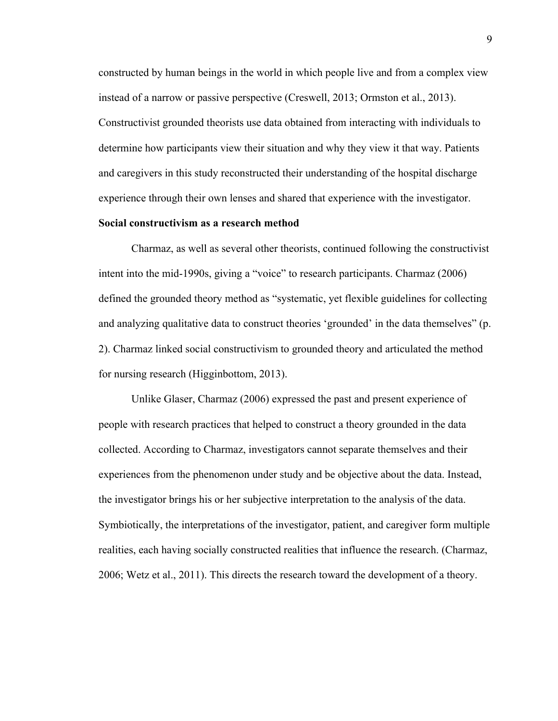constructed by human beings in the world in which people live and from a complex view instead of a narrow or passive perspective (Creswell, 2013; Ormston et al., 2013). Constructivist grounded theorists use data obtained from interacting with individuals to determine how participants view their situation and why they view it that way. Patients and caregivers in this study reconstructed their understanding of the hospital discharge experience through their own lenses and shared that experience with the investigator.

### **Social constructivism as a research method**

Charmaz, as well as several other theorists, continued following the constructivist intent into the mid-1990s, giving a "voice" to research participants. Charmaz (2006) defined the grounded theory method as "systematic, yet flexible guidelines for collecting and analyzing qualitative data to construct theories 'grounded' in the data themselves" (p. 2). Charmaz linked social constructivism to grounded theory and articulated the method for nursing research (Higginbottom, 2013).

Unlike Glaser, Charmaz (2006) expressed the past and present experience of people with research practices that helped to construct a theory grounded in the data collected. According to Charmaz, investigators cannot separate themselves and their experiences from the phenomenon under study and be objective about the data. Instead, the investigator brings his or her subjective interpretation to the analysis of the data. Symbiotically, the interpretations of the investigator, patient, and caregiver form multiple realities, each having socially constructed realities that influence the research. (Charmaz, 2006; Wetz et al., 2011). This directs the research toward the development of a theory.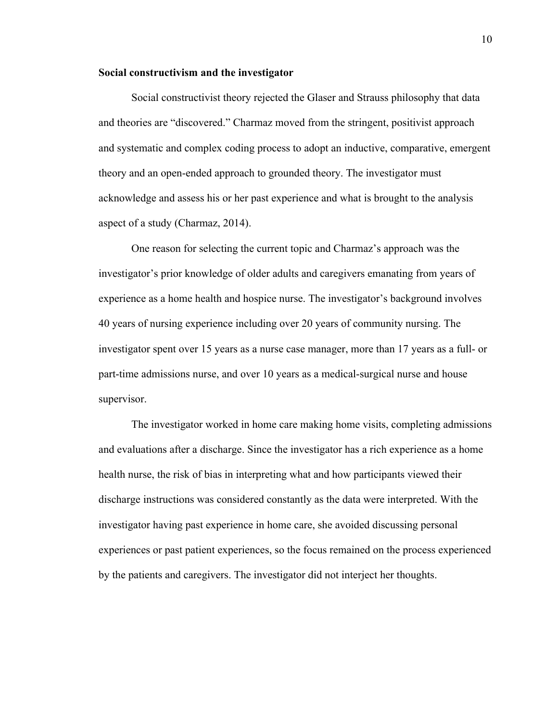### **Social constructivism and the investigator**

Social constructivist theory rejected the Glaser and Strauss philosophy that data and theories are "discovered." Charmaz moved from the stringent, positivist approach and systematic and complex coding process to adopt an inductive, comparative, emergent theory and an open-ended approach to grounded theory. The investigator must acknowledge and assess his or her past experience and what is brought to the analysis aspect of a study (Charmaz, 2014).

One reason for selecting the current topic and Charmaz's approach was the investigator's prior knowledge of older adults and caregivers emanating from years of experience as a home health and hospice nurse. The investigator's background involves 40 years of nursing experience including over 20 years of community nursing. The investigator spent over 15 years as a nurse case manager, more than 17 years as a full- or part-time admissions nurse, and over 10 years as a medical-surgical nurse and house supervisor.

The investigator worked in home care making home visits, completing admissions and evaluations after a discharge. Since the investigator has a rich experience as a home health nurse, the risk of bias in interpreting what and how participants viewed their discharge instructions was considered constantly as the data were interpreted. With the investigator having past experience in home care, she avoided discussing personal experiences or past patient experiences, so the focus remained on the process experienced by the patients and caregivers. The investigator did not interject her thoughts.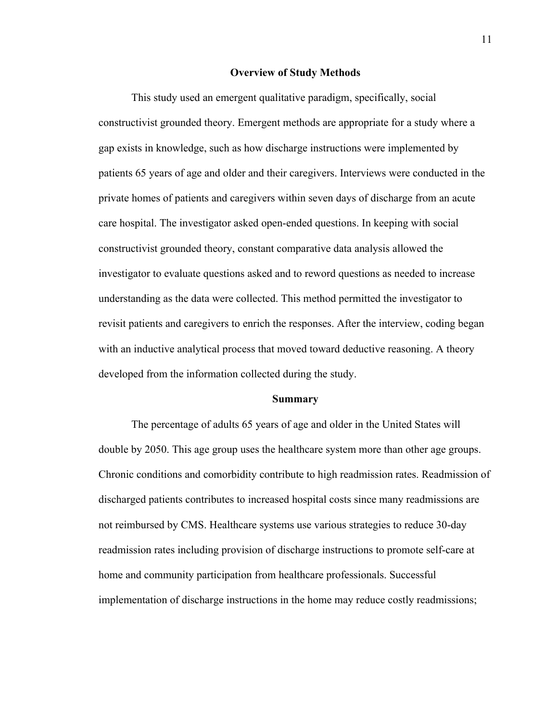#### **Overview of Study Methods**

This study used an emergent qualitative paradigm, specifically, social constructivist grounded theory. Emergent methods are appropriate for a study where a gap exists in knowledge, such as how discharge instructions were implemented by patients 65 years of age and older and their caregivers. Interviews were conducted in the private homes of patients and caregivers within seven days of discharge from an acute care hospital. The investigator asked open-ended questions. In keeping with social constructivist grounded theory, constant comparative data analysis allowed the investigator to evaluate questions asked and to reword questions as needed to increase understanding as the data were collected. This method permitted the investigator to revisit patients and caregivers to enrich the responses. After the interview, coding began with an inductive analytical process that moved toward deductive reasoning. A theory developed from the information collected during the study.

#### **Summary**

The percentage of adults 65 years of age and older in the United States will double by 2050. This age group uses the healthcare system more than other age groups. Chronic conditions and comorbidity contribute to high readmission rates. Readmission of discharged patients contributes to increased hospital costs since many readmissions are not reimbursed by CMS. Healthcare systems use various strategies to reduce 30-day readmission rates including provision of discharge instructions to promote self-care at home and community participation from healthcare professionals. Successful implementation of discharge instructions in the home may reduce costly readmissions;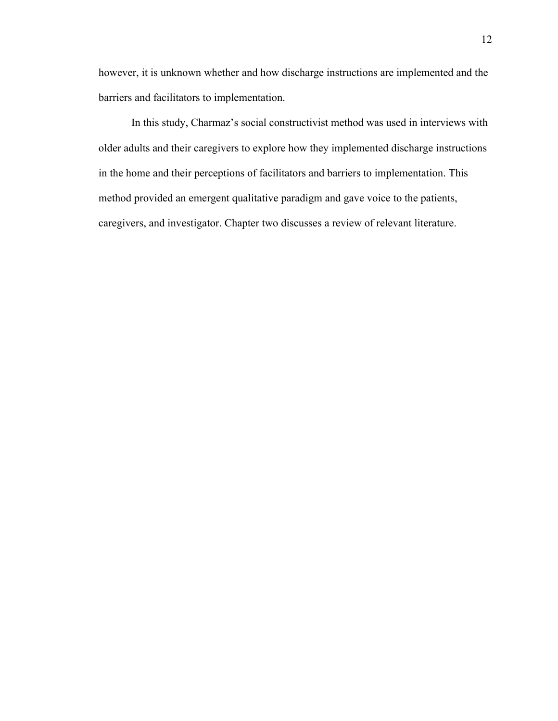however, it is unknown whether and how discharge instructions are implemented and the barriers and facilitators to implementation.

In this study, Charmaz's social constructivist method was used in interviews with older adults and their caregivers to explore how they implemented discharge instructions in the home and their perceptions of facilitators and barriers to implementation. This method provided an emergent qualitative paradigm and gave voice to the patients, caregivers, and investigator. Chapter two discusses a review of relevant literature.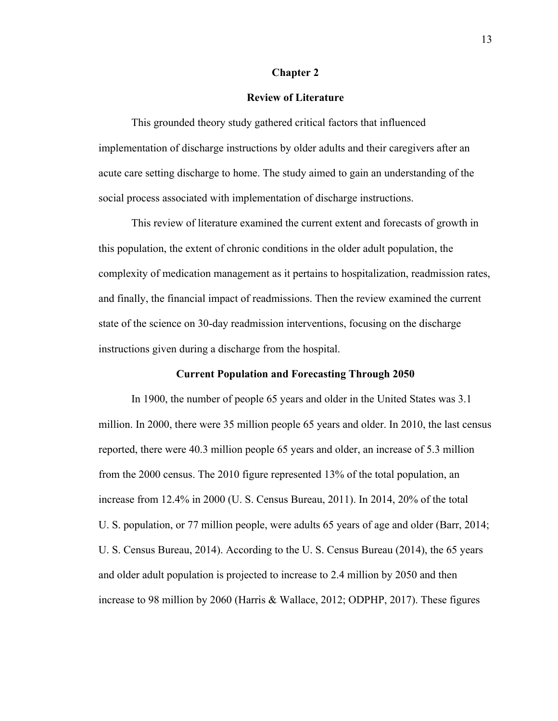#### **Chapter 2**

## **Review of Literature**

This grounded theory study gathered critical factors that influenced implementation of discharge instructions by older adults and their caregivers after an acute care setting discharge to home. The study aimed to gain an understanding of the social process associated with implementation of discharge instructions.

This review of literature examined the current extent and forecasts of growth in this population, the extent of chronic conditions in the older adult population, the complexity of medication management as it pertains to hospitalization, readmission rates, and finally, the financial impact of readmissions. Then the review examined the current state of the science on 30-day readmission interventions, focusing on the discharge instructions given during a discharge from the hospital.

## **Current Population and Forecasting Through 2050**

In 1900, the number of people 65 years and older in the United States was 3.1 million. In 2000, there were 35 million people 65 years and older. In 2010, the last census reported, there were 40.3 million people 65 years and older, an increase of 5.3 million from the 2000 census. The 2010 figure represented 13% of the total population, an increase from 12.4% in 2000 (U. S. Census Bureau, 2011). In 2014, 20% of the total U. S. population, or 77 million people, were adults 65 years of age and older (Barr, 2014; U. S. Census Bureau, 2014). According to the U. S. Census Bureau (2014), the 65 years and older adult population is projected to increase to 2.4 million by 2050 and then increase to 98 million by 2060 (Harris & Wallace, 2012; ODPHP, 2017). These figures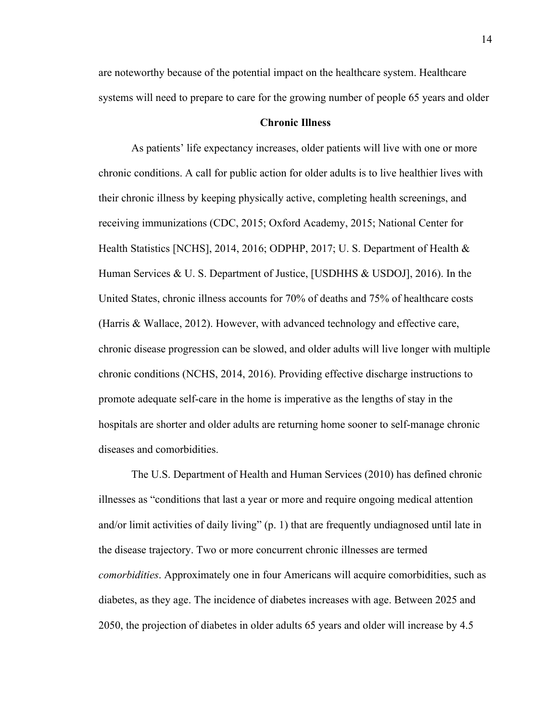are noteworthy because of the potential impact on the healthcare system. Healthcare systems will need to prepare to care for the growing number of people 65 years and older

# **Chronic Illness**

As patients' life expectancy increases, older patients will live with one or more chronic conditions. A call for public action for older adults is to live healthier lives with their chronic illness by keeping physically active, completing health screenings, and receiving immunizations (CDC, 2015; Oxford Academy, 2015; National Center for Health Statistics [NCHS], 2014, 2016; ODPHP, 2017; U. S. Department of Health & Human Services & U. S. Department of Justice, [USDHHS & USDOJ], 2016). In the United States, chronic illness accounts for 70% of deaths and 75% of healthcare costs (Harris & Wallace, 2012). However, with advanced technology and effective care, chronic disease progression can be slowed, and older adults will live longer with multiple chronic conditions (NCHS, 2014, 2016). Providing effective discharge instructions to promote adequate self-care in the home is imperative as the lengths of stay in the hospitals are shorter and older adults are returning home sooner to self-manage chronic diseases and comorbidities.

The U.S. Department of Health and Human Services (2010) has defined chronic illnesses as "conditions that last a year or more and require ongoing medical attention and/or limit activities of daily living" (p. 1) that are frequently undiagnosed until late in the disease trajectory. Two or more concurrent chronic illnesses are termed *comorbidities*. Approximately one in four Americans will acquire comorbidities, such as diabetes, as they age. The incidence of diabetes increases with age. Between 2025 and 2050, the projection of diabetes in older adults 65 years and older will increase by 4.5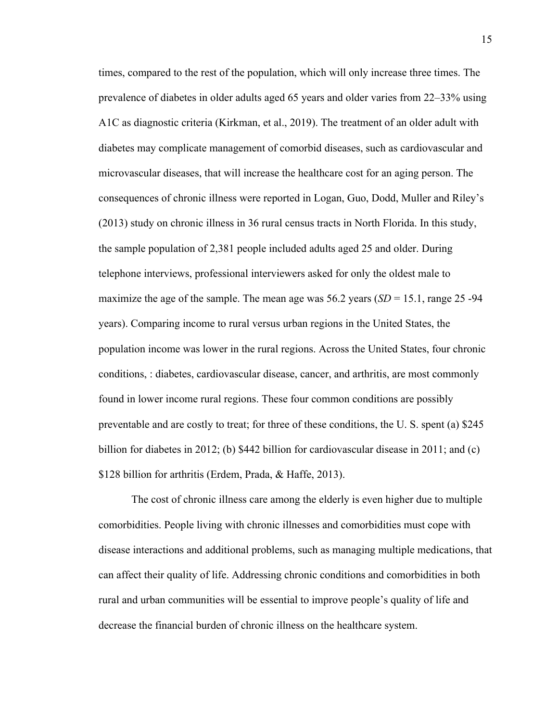times, compared to the rest of the population, which will only increase three times. The prevalence of diabetes in older adults aged 65 years and older varies from 22–33% using A1C as diagnostic criteria (Kirkman, et al., 2019). The treatment of an older adult with diabetes may complicate management of comorbid diseases, such as cardiovascular and microvascular diseases, that will increase the healthcare cost for an aging person. The consequences of chronic illness were reported in Logan, Guo, Dodd, Muller and Riley's (2013) study on chronic illness in 36 rural census tracts in North Florida. In this study, the sample population of 2,381 people included adults aged 25 and older. During telephone interviews, professional interviewers asked for only the oldest male to maximize the age of the sample. The mean age was  $56.2$  years  $(SD = 15.1$ , range 25 -94 years). Comparing income to rural versus urban regions in the United States, the population income was lower in the rural regions. Across the United States, four chronic conditions, : diabetes, cardiovascular disease, cancer, and arthritis, are most commonly found in lower income rural regions. These four common conditions are possibly preventable and are costly to treat; for three of these conditions, the U. S. spent (a) \$245 billion for diabetes in 2012; (b) \$442 billion for cardiovascular disease in 2011; and (c) \$128 billion for arthritis (Erdem, Prada, & Haffe, 2013).

The cost of chronic illness care among the elderly is even higher due to multiple comorbidities. People living with chronic illnesses and comorbidities must cope with disease interactions and additional problems, such as managing multiple medications, that can affect their quality of life. Addressing chronic conditions and comorbidities in both rural and urban communities will be essential to improve people's quality of life and decrease the financial burden of chronic illness on the healthcare system.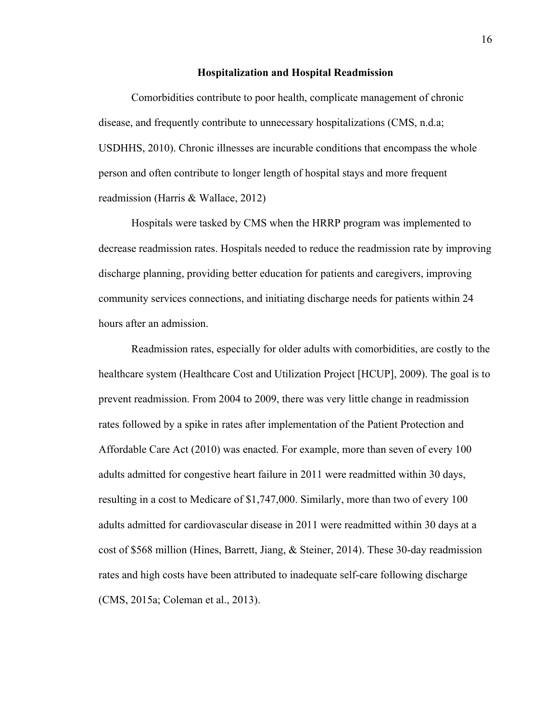#### **Hospitalization and Hospital Readmission**

Comorbidities contribute to poor health, complicate management of chronic disease, and frequently contribute to unnecessary hospitalizations (CMS, n.d.a; USDHHS, 2010). Chronic illnesses are incurable conditions that encompass the whole person and often contribute to longer length of hospital stays and more frequent readmission (Harris & Wallace, 2012)

Hospitals were tasked by CMS when the HRRP program was implemented to decrease readmission rates. Hospitals needed to reduce the readmission rate by improving discharge planning, providing better education for patients and caregivers, improving community services connections, and initiating discharge needs for patients within 24 hours after an admission.

Readmission rates, especially for older adults with comorbidities, are costly to the healthcare system (Healthcare Cost and Utilization Project [HCUP], 2009). The goal is to prevent readmission. From 2004 to 2009, there was very little change in readmission rates followed by a spike in rates after implementation of the Patient Protection and Affordable Care Act (2010) was enacted. For example, more than seven of every 100 adults admitted for congestive heart failure in 2011 were readmitted within 30 days, resulting in a cost to Medicare of \$1,747,000. Similarly, more than two of every 100 adults admitted for cardiovascular disease in 2011 were readmitted within 30 days at a cost of \$568 million (Hines, Barrett, Jiang, & Steiner, 2014). These 30-day readmission rates and high costs have been attributed to inadequate self-care following discharge (CMS, 2015a; Coleman et al., 2013).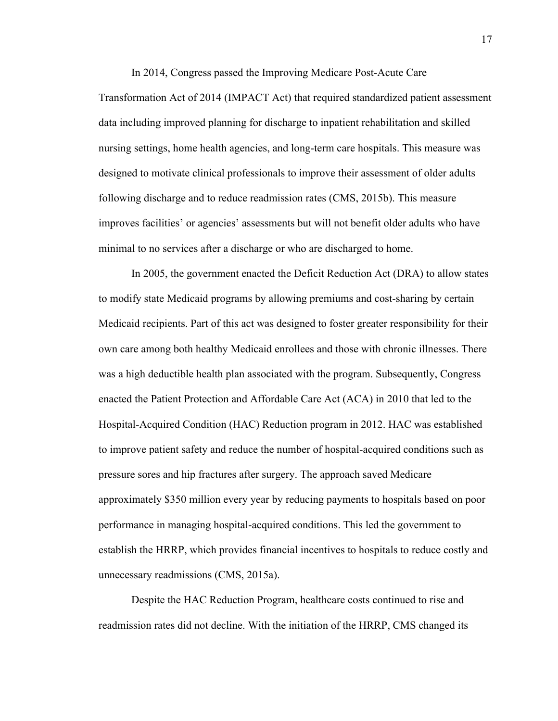In 2014, Congress passed the Improving Medicare Post-Acute Care

Transformation Act of 2014 (IMPACT Act) that required standardized patient assessment data including improved planning for discharge to inpatient rehabilitation and skilled nursing settings, home health agencies, and long-term care hospitals. This measure was designed to motivate clinical professionals to improve their assessment of older adults following discharge and to reduce readmission rates (CMS, 2015b). This measure improves facilities' or agencies' assessments but will not benefit older adults who have minimal to no services after a discharge or who are discharged to home.

In 2005, the government enacted the Deficit Reduction Act (DRA) to allow states to modify state Medicaid programs by allowing premiums and cost-sharing by certain Medicaid recipients. Part of this act was designed to foster greater responsibility for their own care among both healthy Medicaid enrollees and those with chronic illnesses. There was a high deductible health plan associated with the program. Subsequently, Congress enacted the Patient Protection and Affordable Care Act (ACA) in 2010 that led to the Hospital-Acquired Condition (HAC) Reduction program in 2012. HAC was established to improve patient safety and reduce the number of hospital-acquired conditions such as pressure sores and hip fractures after surgery. The approach saved Medicare approximately \$350 million every year by reducing payments to hospitals based on poor performance in managing hospital-acquired conditions. This led the government to establish the HRRP, which provides financial incentives to hospitals to reduce costly and unnecessary readmissions (CMS, 2015a).

Despite the HAC Reduction Program, healthcare costs continued to rise and readmission rates did not decline. With the initiation of the HRRP, CMS changed its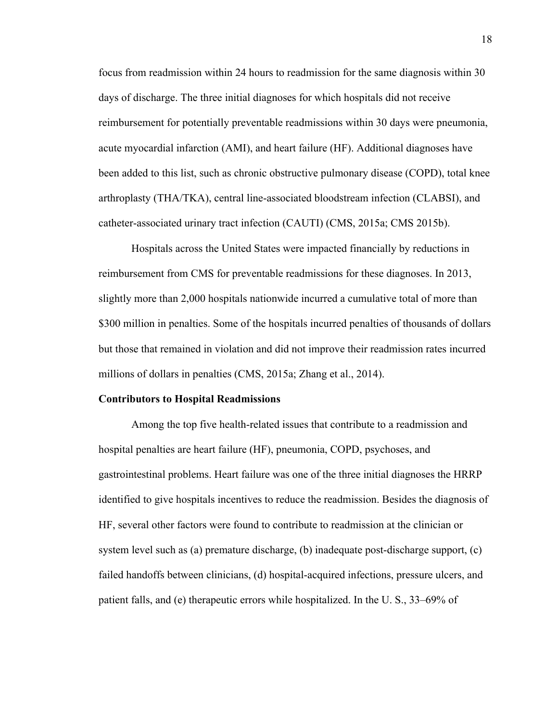focus from readmission within 24 hours to readmission for the same diagnosis within 30 days of discharge. The three initial diagnoses for which hospitals did not receive reimbursement for potentially preventable readmissions within 30 days were pneumonia, acute myocardial infarction (AMI), and heart failure (HF). Additional diagnoses have been added to this list, such as chronic obstructive pulmonary disease (COPD), total knee arthroplasty (THA/TKA), central line-associated bloodstream infection (CLABSI), and catheter-associated urinary tract infection (CAUTI) (CMS, 2015a; CMS 2015b).

Hospitals across the United States were impacted financially by reductions in reimbursement from CMS for preventable readmissions for these diagnoses. In 2013, slightly more than 2,000 hospitals nationwide incurred a cumulative total of more than \$300 million in penalties. Some of the hospitals incurred penalties of thousands of dollars but those that remained in violation and did not improve their readmission rates incurred millions of dollars in penalties (CMS, 2015a; Zhang et al., 2014).

#### **Contributors to Hospital Readmissions**

Among the top five health-related issues that contribute to a readmission and hospital penalties are heart failure (HF), pneumonia, COPD, psychoses, and gastrointestinal problems. Heart failure was one of the three initial diagnoses the HRRP identified to give hospitals incentives to reduce the readmission. Besides the diagnosis of HF, several other factors were found to contribute to readmission at the clinician or system level such as (a) premature discharge, (b) inadequate post-discharge support, (c) failed handoffs between clinicians, (d) hospital-acquired infections, pressure ulcers, and patient falls, and (e) therapeutic errors while hospitalized. In the U. S., 33–69% of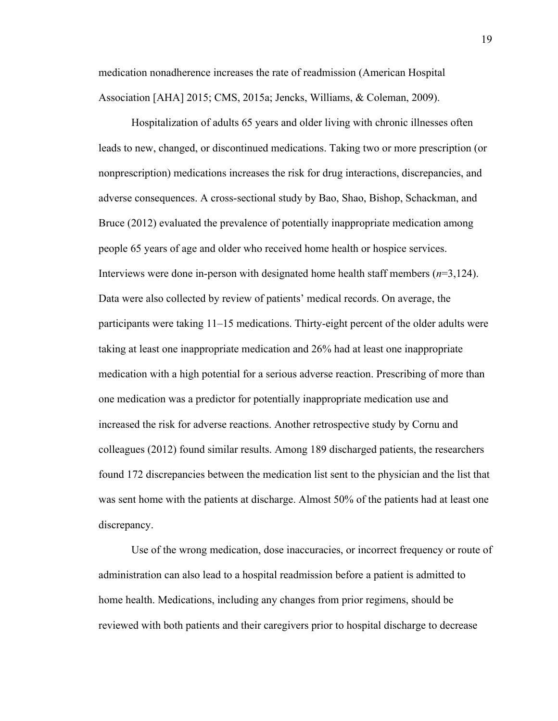medication nonadherence increases the rate of readmission (American Hospital Association [AHA] 2015; CMS, 2015a; Jencks, Williams, & Coleman, 2009).

Hospitalization of adults 65 years and older living with chronic illnesses often leads to new, changed, or discontinued medications. Taking two or more prescription (or nonprescription) medications increases the risk for drug interactions, discrepancies, and adverse consequences. A cross-sectional study by Bao, Shao, Bishop, Schackman, and Bruce (2012) evaluated the prevalence of potentially inappropriate medication among people 65 years of age and older who received home health or hospice services. Interviews were done in-person with designated home health staff members (*n*=3,124). Data were also collected by review of patients' medical records. On average, the participants were taking 11–15 medications. Thirty-eight percent of the older adults were taking at least one inappropriate medication and 26% had at least one inappropriate medication with a high potential for a serious adverse reaction. Prescribing of more than one medication was a predictor for potentially inappropriate medication use and increased the risk for adverse reactions. Another retrospective study by Cornu and colleagues (2012) found similar results. Among 189 discharged patients, the researchers found 172 discrepancies between the medication list sent to the physician and the list that was sent home with the patients at discharge. Almost 50% of the patients had at least one discrepancy.

Use of the wrong medication, dose inaccuracies, or incorrect frequency or route of administration can also lead to a hospital readmission before a patient is admitted to home health. Medications, including any changes from prior regimens, should be reviewed with both patients and their caregivers prior to hospital discharge to decrease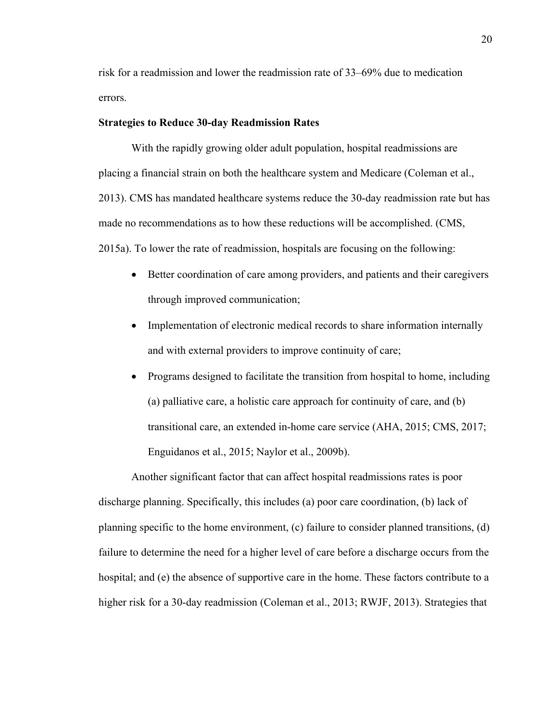risk for a readmission and lower the readmission rate of 33–69% due to medication errors.

# **Strategies to Reduce 30-day Readmission Rates**

With the rapidly growing older adult population, hospital readmissions are placing a financial strain on both the healthcare system and Medicare (Coleman et al., 2013). CMS has mandated healthcare systems reduce the 30-day readmission rate but has made no recommendations as to how these reductions will be accomplished. (CMS, 2015a). To lower the rate of readmission, hospitals are focusing on the following:

- Better coordination of care among providers, and patients and their caregivers through improved communication;
- Implementation of electronic medical records to share information internally and with external providers to improve continuity of care;
- Programs designed to facilitate the transition from hospital to home, including (a) palliative care, a holistic care approach for continuity of care, and (b) transitional care, an extended in-home care service (AHA, 2015; CMS, 2017; Enguidanos et al., 2015; Naylor et al., 2009b).

Another significant factor that can affect hospital readmissions rates is poor discharge planning. Specifically, this includes (a) poor care coordination, (b) lack of planning specific to the home environment, (c) failure to consider planned transitions, (d) failure to determine the need for a higher level of care before a discharge occurs from the hospital; and (e) the absence of supportive care in the home. These factors contribute to a higher risk for a 30-day readmission (Coleman et al., 2013; RWJF, 2013). Strategies that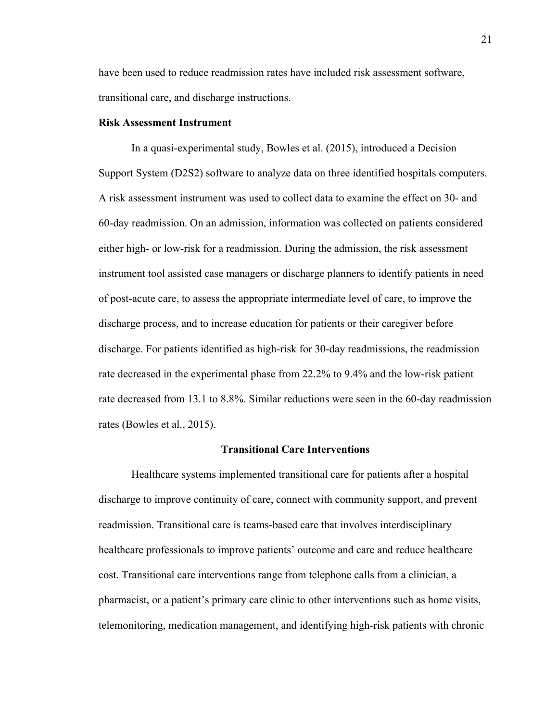have been used to reduce readmission rates have included risk assessment software, transitional care, and discharge instructions.

# **Risk Assessment Instrument**

In a quasi-experimental study, Bowles et al. (2015), introduced a Decision Support System (D2S2) software to analyze data on three identified hospitals computers. A risk assessment instrument was used to collect data to examine the effect on 30- and 60-day readmission. On an admission, information was collected on patients considered either high- or low-risk for a readmission. During the admission, the risk assessment instrument tool assisted case managers or discharge planners to identify patients in need of post-acute care, to assess the appropriate intermediate level of care, to improve the discharge process, and to increase education for patients or their caregiver before discharge. For patients identified as high-risk for 30-day readmissions, the readmission rate decreased in the experimental phase from 22.2% to 9.4% and the low-risk patient rate decreased from 13.1 to 8.8%. Similar reductions were seen in the 60-day readmission rates (Bowles et al., 2015).

## **Transitional Care Interventions**

Healthcare systems implemented transitional care for patients after a hospital discharge to improve continuity of care, connect with community support, and prevent readmission. Transitional care is teams-based care that involves interdisciplinary healthcare professionals to improve patients' outcome and care and reduce healthcare cost. Transitional care interventions range from telephone calls from a clinician, a pharmacist, or a patient's primary care clinic to other interventions such as home visits, telemonitoring, medication management, and identifying high-risk patients with chronic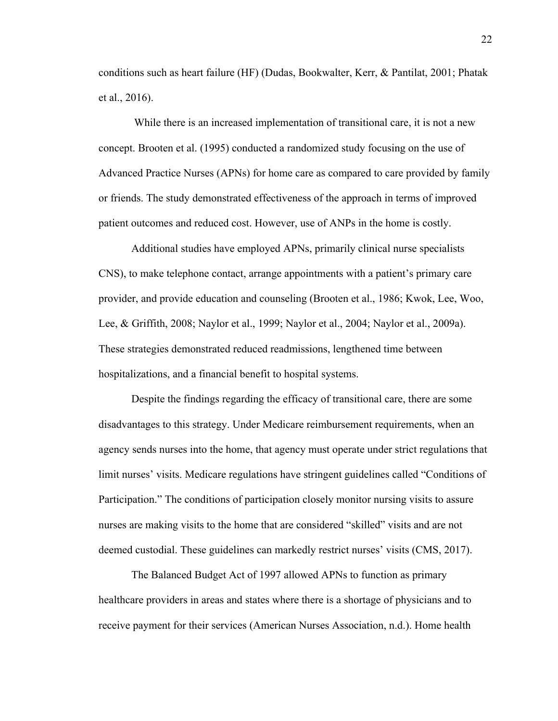conditions such as heart failure (HF) (Dudas, Bookwalter, Kerr, & Pantilat, 2001; Phatak et al., 2016).

While there is an increased implementation of transitional care, it is not a new concept. Brooten et al. (1995) conducted a randomized study focusing on the use of Advanced Practice Nurses (APNs) for home care as compared to care provided by family or friends. The study demonstrated effectiveness of the approach in terms of improved patient outcomes and reduced cost. However, use of ANPs in the home is costly.

Additional studies have employed APNs, primarily clinical nurse specialists CNS), to make telephone contact, arrange appointments with a patient's primary care provider, and provide education and counseling (Brooten et al., 1986; Kwok, Lee, Woo, Lee, & Griffith, 2008; Naylor et al., 1999; Naylor et al., 2004; Naylor et al., 2009a). These strategies demonstrated reduced readmissions, lengthened time between hospitalizations, and a financial benefit to hospital systems.

Despite the findings regarding the efficacy of transitional care, there are some disadvantages to this strategy. Under Medicare reimbursement requirements, when an agency sends nurses into the home, that agency must operate under strict regulations that limit nurses' visits. Medicare regulations have stringent guidelines called "Conditions of Participation." The conditions of participation closely monitor nursing visits to assure nurses are making visits to the home that are considered "skilled" visits and are not deemed custodial. These guidelines can markedly restrict nurses' visits (CMS, 2017).

The Balanced Budget Act of 1997 allowed APNs to function as primary healthcare providers in areas and states where there is a shortage of physicians and to receive payment for their services (American Nurses Association, n.d.). Home health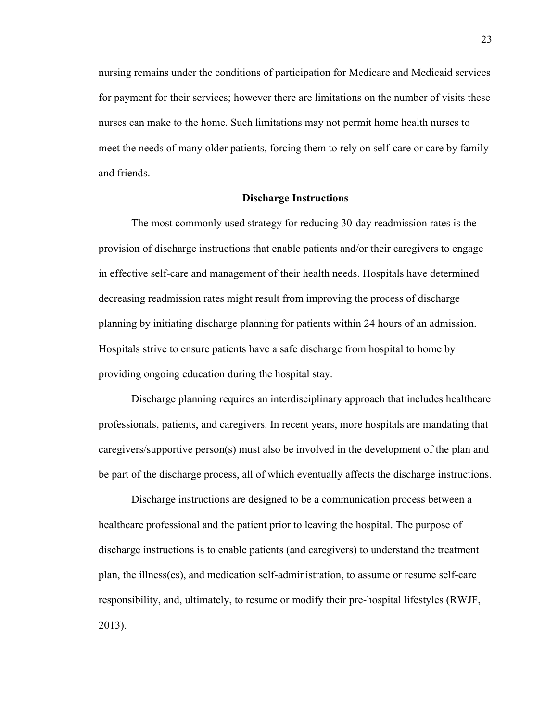nursing remains under the conditions of participation for Medicare and Medicaid services for payment for their services; however there are limitations on the number of visits these nurses can make to the home. Such limitations may not permit home health nurses to meet the needs of many older patients, forcing them to rely on self-care or care by family and friends.

## **Discharge Instructions**

The most commonly used strategy for reducing 30-day readmission rates is the provision of discharge instructions that enable patients and/or their caregivers to engage in effective self-care and management of their health needs. Hospitals have determined decreasing readmission rates might result from improving the process of discharge planning by initiating discharge planning for patients within 24 hours of an admission. Hospitals strive to ensure patients have a safe discharge from hospital to home by providing ongoing education during the hospital stay.

Discharge planning requires an interdisciplinary approach that includes healthcare professionals, patients, and caregivers. In recent years, more hospitals are mandating that caregivers/supportive person(s) must also be involved in the development of the plan and be part of the discharge process, all of which eventually affects the discharge instructions.

Discharge instructions are designed to be a communication process between a healthcare professional and the patient prior to leaving the hospital. The purpose of discharge instructions is to enable patients (and caregivers) to understand the treatment plan, the illness(es), and medication self-administration, to assume or resume self-care responsibility, and, ultimately, to resume or modify their pre-hospital lifestyles (RWJF, 2013).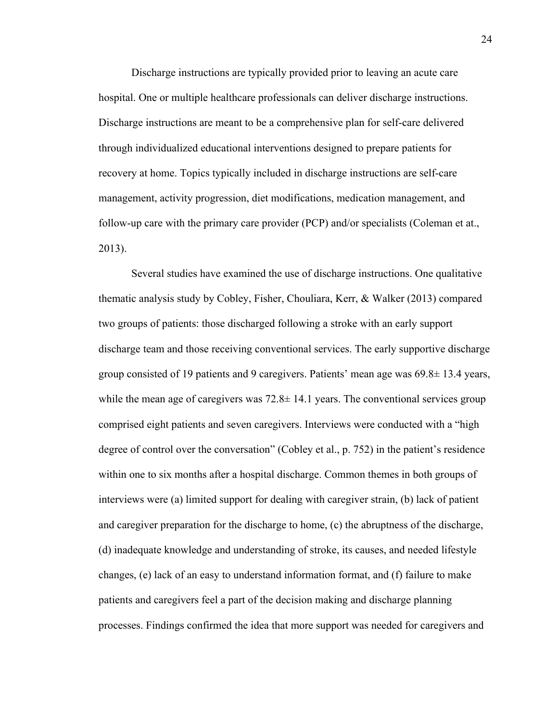Discharge instructions are typically provided prior to leaving an acute care hospital. One or multiple healthcare professionals can deliver discharge instructions. Discharge instructions are meant to be a comprehensive plan for self-care delivered through individualized educational interventions designed to prepare patients for recovery at home. Topics typically included in discharge instructions are self-care management, activity progression, diet modifications, medication management, and follow-up care with the primary care provider (PCP) and/or specialists (Coleman et at., 2013).

Several studies have examined the use of discharge instructions. One qualitative thematic analysis study by Cobley, Fisher, Chouliara, Kerr, & Walker (2013) compared two groups of patients: those discharged following a stroke with an early support discharge team and those receiving conventional services. The early supportive discharge group consisted of 19 patients and 9 caregivers. Patients' mean age was 69.8± 13.4 years, while the mean age of caregivers was  $72.8\pm 14.1$  years. The conventional services group comprised eight patients and seven caregivers. Interviews were conducted with a "high degree of control over the conversation" (Cobley et al., p. 752) in the patient's residence within one to six months after a hospital discharge. Common themes in both groups of interviews were (a) limited support for dealing with caregiver strain, (b) lack of patient and caregiver preparation for the discharge to home, (c) the abruptness of the discharge, (d) inadequate knowledge and understanding of stroke, its causes, and needed lifestyle changes, (e) lack of an easy to understand information format, and (f) failure to make patients and caregivers feel a part of the decision making and discharge planning processes. Findings confirmed the idea that more support was needed for caregivers and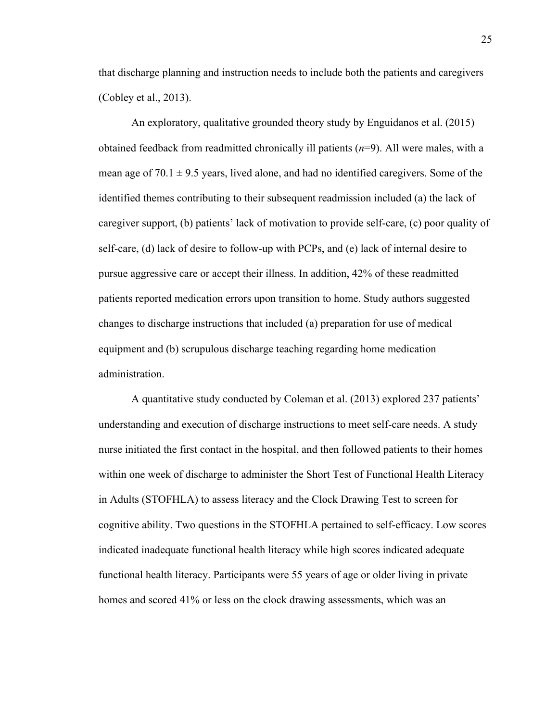that discharge planning and instruction needs to include both the patients and caregivers (Cobley et al., 2013).

An exploratory, qualitative grounded theory study by Enguidanos et al. (2015) obtained feedback from readmitted chronically ill patients (*n*=9). All were males, with a mean age of  $70.1 \pm 9.5$  years, lived alone, and had no identified caregivers. Some of the identified themes contributing to their subsequent readmission included (a) the lack of caregiver support, (b) patients' lack of motivation to provide self-care, (c) poor quality of self-care, (d) lack of desire to follow-up with PCPs, and (e) lack of internal desire to pursue aggressive care or accept their illness. In addition, 42% of these readmitted patients reported medication errors upon transition to home. Study authors suggested changes to discharge instructions that included (a) preparation for use of medical equipment and (b) scrupulous discharge teaching regarding home medication administration.

A quantitative study conducted by Coleman et al. (2013) explored 237 patients' understanding and execution of discharge instructions to meet self-care needs. A study nurse initiated the first contact in the hospital, and then followed patients to their homes within one week of discharge to administer the Short Test of Functional Health Literacy in Adults (STOFHLA) to assess literacy and the Clock Drawing Test to screen for cognitive ability. Two questions in the STOFHLA pertained to self-efficacy. Low scores indicated inadequate functional health literacy while high scores indicated adequate functional health literacy. Participants were 55 years of age or older living in private homes and scored 41% or less on the clock drawing assessments, which was an

25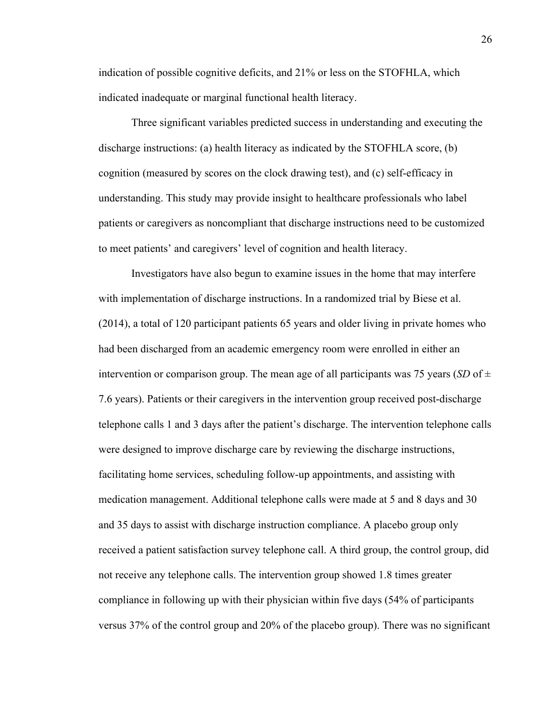indication of possible cognitive deficits, and 21% or less on the STOFHLA, which indicated inadequate or marginal functional health literacy.

Three significant variables predicted success in understanding and executing the discharge instructions: (a) health literacy as indicated by the STOFHLA score, (b) cognition (measured by scores on the clock drawing test), and (c) self-efficacy in understanding. This study may provide insight to healthcare professionals who label patients or caregivers as noncompliant that discharge instructions need to be customized to meet patients' and caregivers' level of cognition and health literacy.

Investigators have also begun to examine issues in the home that may interfere with implementation of discharge instructions. In a randomized trial by Biese et al. (2014), a total of 120 participant patients 65 years and older living in private homes who had been discharged from an academic emergency room were enrolled in either an intervention or comparison group. The mean age of all participants was 75 years (*SD* of  $\pm$ 7.6 years). Patients or their caregivers in the intervention group received post-discharge telephone calls 1 and 3 days after the patient's discharge. The intervention telephone calls were designed to improve discharge care by reviewing the discharge instructions, facilitating home services, scheduling follow-up appointments, and assisting with medication management. Additional telephone calls were made at 5 and 8 days and 30 and 35 days to assist with discharge instruction compliance. A placebo group only received a patient satisfaction survey telephone call. A third group, the control group, did not receive any telephone calls. The intervention group showed 1.8 times greater compliance in following up with their physician within five days (54% of participants versus 37% of the control group and 20% of the placebo group). There was no significant

26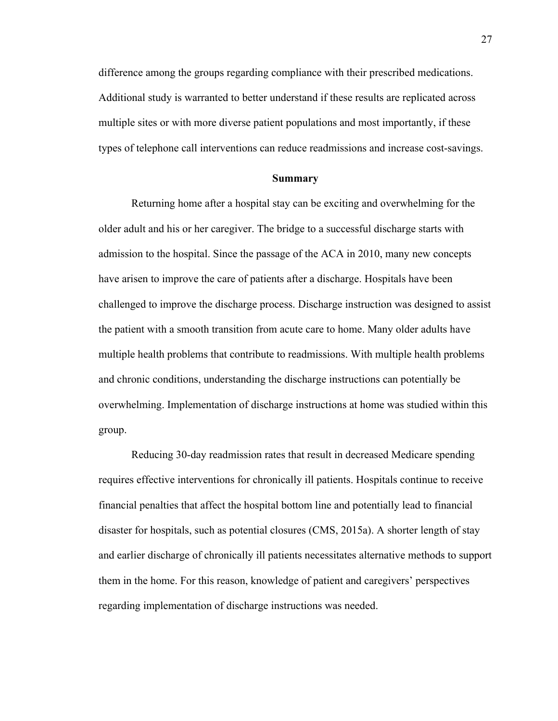difference among the groups regarding compliance with their prescribed medications. Additional study is warranted to better understand if these results are replicated across multiple sites or with more diverse patient populations and most importantly, if these types of telephone call interventions can reduce readmissions and increase cost-savings.

### **Summary**

Returning home after a hospital stay can be exciting and overwhelming for the older adult and his or her caregiver. The bridge to a successful discharge starts with admission to the hospital. Since the passage of the ACA in 2010, many new concepts have arisen to improve the care of patients after a discharge. Hospitals have been challenged to improve the discharge process. Discharge instruction was designed to assist the patient with a smooth transition from acute care to home. Many older adults have multiple health problems that contribute to readmissions. With multiple health problems and chronic conditions, understanding the discharge instructions can potentially be overwhelming. Implementation of discharge instructions at home was studied within this group.

Reducing 30-day readmission rates that result in decreased Medicare spending requires effective interventions for chronically ill patients. Hospitals continue to receive financial penalties that affect the hospital bottom line and potentially lead to financial disaster for hospitals, such as potential closures (CMS, 2015a). A shorter length of stay and earlier discharge of chronically ill patients necessitates alternative methods to support them in the home. For this reason, knowledge of patient and caregivers' perspectives regarding implementation of discharge instructions was needed.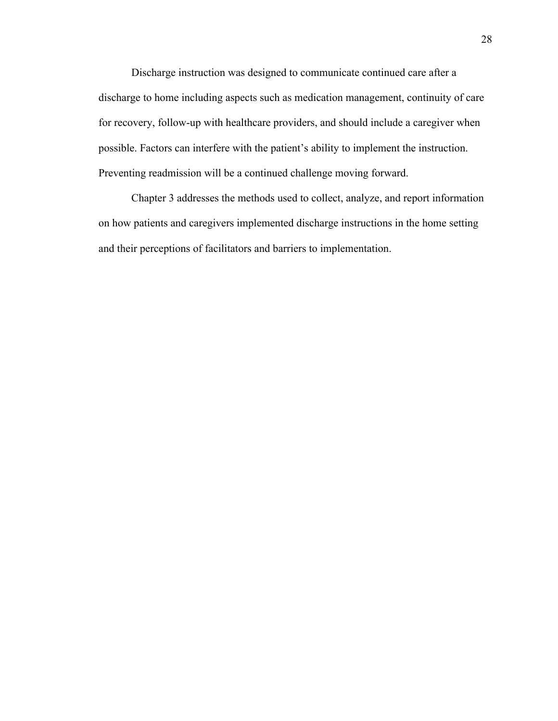Discharge instruction was designed to communicate continued care after a discharge to home including aspects such as medication management, continuity of care for recovery, follow-up with healthcare providers, and should include a caregiver when possible. Factors can interfere with the patient's ability to implement the instruction. Preventing readmission will be a continued challenge moving forward.

Chapter 3 addresses the methods used to collect, analyze, and report information on how patients and caregivers implemented discharge instructions in the home setting and their perceptions of facilitators and barriers to implementation.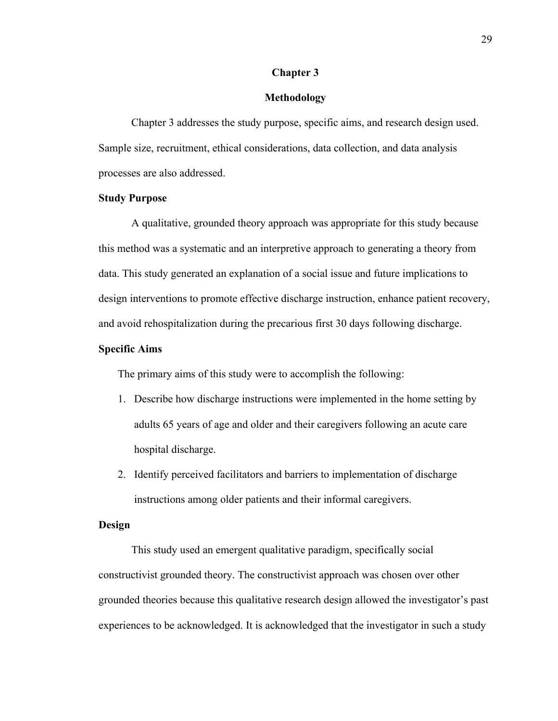## **Chapter 3**

### **Methodology**

Chapter 3 addresses the study purpose, specific aims, and research design used. Sample size, recruitment, ethical considerations, data collection, and data analysis processes are also addressed.

## **Study Purpose**

A qualitative, grounded theory approach was appropriate for this study because this method was a systematic and an interpretive approach to generating a theory from data. This study generated an explanation of a social issue and future implications to design interventions to promote effective discharge instruction, enhance patient recovery, and avoid rehospitalization during the precarious first 30 days following discharge.

### **Specific Aims**

The primary aims of this study were to accomplish the following:

- 1. Describe how discharge instructions were implemented in the home setting by adults 65 years of age and older and their caregivers following an acute care hospital discharge.
- 2. Identify perceived facilitators and barriers to implementation of discharge instructions among older patients and their informal caregivers.

## **Design**

This study used an emergent qualitative paradigm, specifically social constructivist grounded theory. The constructivist approach was chosen over other grounded theories because this qualitative research design allowed the investigator's past experiences to be acknowledged. It is acknowledged that the investigator in such a study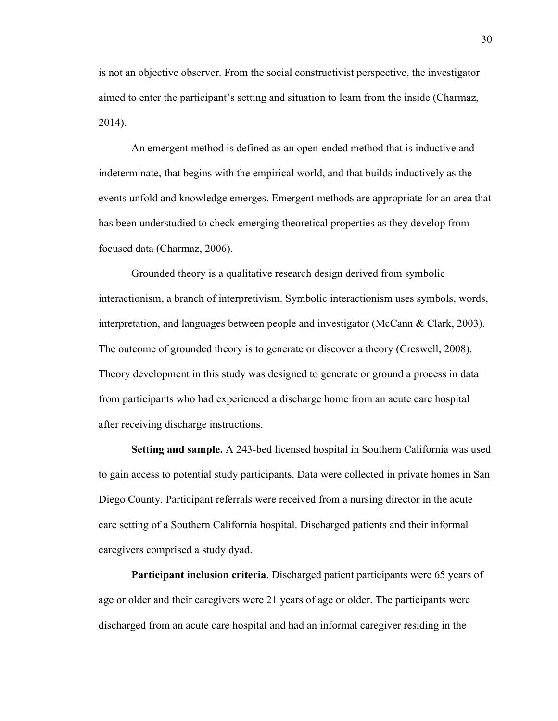is not an objective observer. From the social constructivist perspective, the investigator aimed to enter the participant's setting and situation to learn from the inside (Charmaz, 2014).

An emergent method is defined as an open-ended method that is inductive and indeterminate, that begins with the empirical world, and that builds inductively as the events unfold and knowledge emerges. Emergent methods are appropriate for an area that has been understudied to check emerging theoretical properties as they develop from focused data (Charmaz, 2006).

Grounded theory is a qualitative research design derived from symbolic interactionism, a branch of interpretivism. Symbolic interactionism uses symbols, words, interpretation, and languages between people and investigator (McCann & Clark, 2003). The outcome of grounded theory is to generate or discover a theory (Creswell, 2008). Theory development in this study was designed to generate or ground a process in data from participants who had experienced a discharge home from an acute care hospital after receiving discharge instructions.

**Setting and sample.** A 243-bed licensed hospital in Southern California was used to gain access to potential study participants. Data were collected in private homes in San Diego County. Participant referrals were received from a nursing director in the acute care setting of a Southern California hospital. Discharged patients and their informal caregivers comprised a study dyad.

**Participant inclusion criteria**. Discharged patient participants were 65 years of age or older and their caregivers were 21 years of age or older. The participants were discharged from an acute care hospital and had an informal caregiver residing in the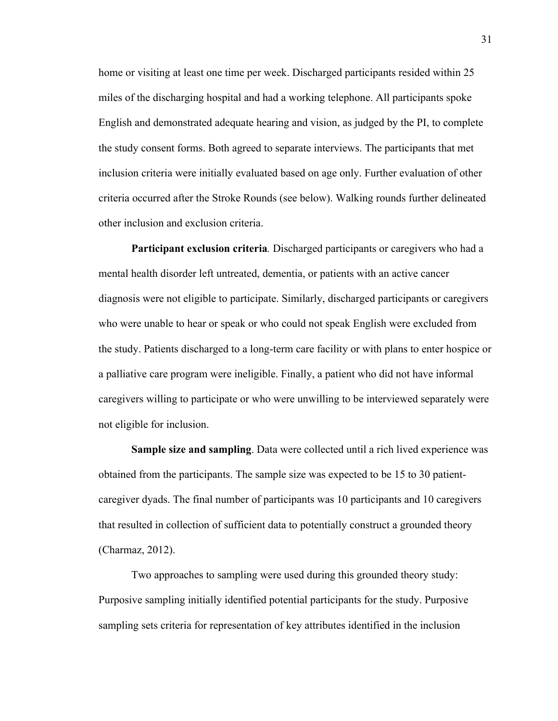home or visiting at least one time per week. Discharged participants resided within 25 miles of the discharging hospital and had a working telephone. All participants spoke English and demonstrated adequate hearing and vision, as judged by the PI, to complete the study consent forms. Both agreed to separate interviews. The participants that met inclusion criteria were initially evaluated based on age only. Further evaluation of other criteria occurred after the Stroke Rounds (see below). Walking rounds further delineated other inclusion and exclusion criteria.

**Participant exclusion criteria***.* Discharged participants or caregivers who had a mental health disorder left untreated, dementia, or patients with an active cancer diagnosis were not eligible to participate. Similarly, discharged participants or caregivers who were unable to hear or speak or who could not speak English were excluded from the study. Patients discharged to a long-term care facility or with plans to enter hospice or a palliative care program were ineligible. Finally, a patient who did not have informal caregivers willing to participate or who were unwilling to be interviewed separately were not eligible for inclusion.

**Sample size and sampling**. Data were collected until a rich lived experience was obtained from the participants. The sample size was expected to be 15 to 30 patientcaregiver dyads. The final number of participants was 10 participants and 10 caregivers that resulted in collection of sufficient data to potentially construct a grounded theory (Charmaz, 2012).

Two approaches to sampling were used during this grounded theory study: Purposive sampling initially identified potential participants for the study. Purposive sampling sets criteria for representation of key attributes identified in the inclusion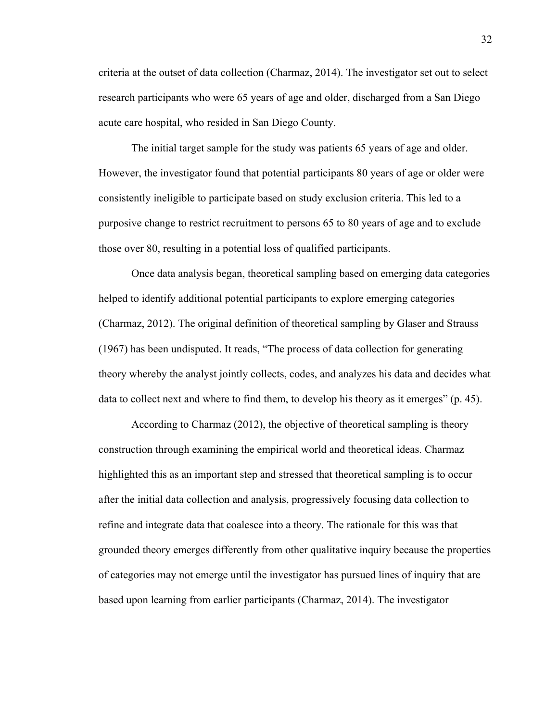criteria at the outset of data collection (Charmaz, 2014). The investigator set out to select research participants who were 65 years of age and older, discharged from a San Diego acute care hospital, who resided in San Diego County.

The initial target sample for the study was patients 65 years of age and older. However, the investigator found that potential participants 80 years of age or older were consistently ineligible to participate based on study exclusion criteria. This led to a purposive change to restrict recruitment to persons 65 to 80 years of age and to exclude those over 80, resulting in a potential loss of qualified participants.

Once data analysis began, theoretical sampling based on emerging data categories helped to identify additional potential participants to explore emerging categories (Charmaz, 2012). The original definition of theoretical sampling by Glaser and Strauss (1967) has been undisputed. It reads, "The process of data collection for generating theory whereby the analyst jointly collects, codes, and analyzes his data and decides what data to collect next and where to find them, to develop his theory as it emerges" (p. 45).

According to Charmaz (2012), the objective of theoretical sampling is theory construction through examining the empirical world and theoretical ideas. Charmaz highlighted this as an important step and stressed that theoretical sampling is to occur after the initial data collection and analysis, progressively focusing data collection to refine and integrate data that coalesce into a theory. The rationale for this was that grounded theory emerges differently from other qualitative inquiry because the properties of categories may not emerge until the investigator has pursued lines of inquiry that are based upon learning from earlier participants (Charmaz, 2014). The investigator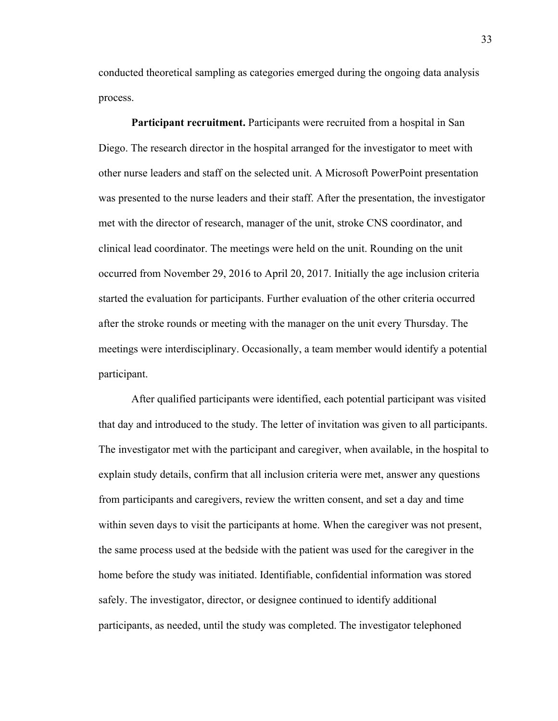conducted theoretical sampling as categories emerged during the ongoing data analysis process.

**Participant recruitment.** Participants were recruited from a hospital in San Diego. The research director in the hospital arranged for the investigator to meet with other nurse leaders and staff on the selected unit. A Microsoft PowerPoint presentation was presented to the nurse leaders and their staff. After the presentation, the investigator met with the director of research, manager of the unit, stroke CNS coordinator, and clinical lead coordinator. The meetings were held on the unit. Rounding on the unit occurred from November 29, 2016 to April 20, 2017. Initially the age inclusion criteria started the evaluation for participants. Further evaluation of the other criteria occurred after the stroke rounds or meeting with the manager on the unit every Thursday. The meetings were interdisciplinary. Occasionally, a team member would identify a potential participant.

After qualified participants were identified, each potential participant was visited that day and introduced to the study. The letter of invitation was given to all participants. The investigator met with the participant and caregiver, when available, in the hospital to explain study details, confirm that all inclusion criteria were met, answer any questions from participants and caregivers, review the written consent, and set a day and time within seven days to visit the participants at home. When the caregiver was not present, the same process used at the bedside with the patient was used for the caregiver in the home before the study was initiated. Identifiable, confidential information was stored safely. The investigator, director, or designee continued to identify additional participants, as needed, until the study was completed. The investigator telephoned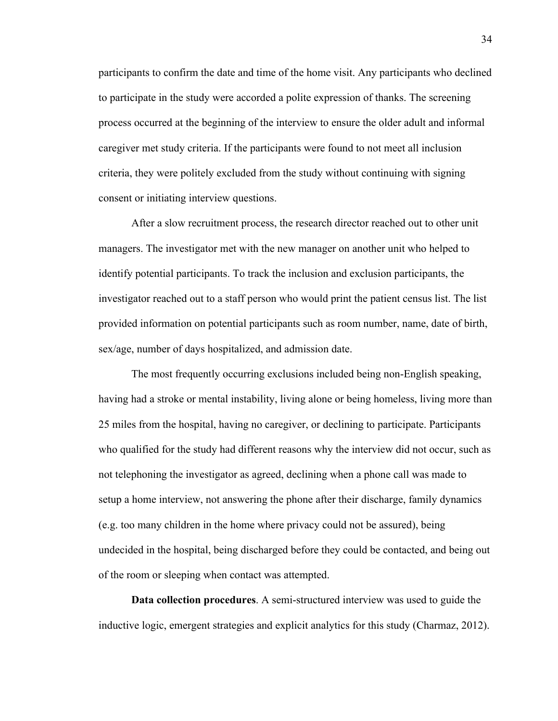participants to confirm the date and time of the home visit. Any participants who declined to participate in the study were accorded a polite expression of thanks. The screening process occurred at the beginning of the interview to ensure the older adult and informal caregiver met study criteria. If the participants were found to not meet all inclusion criteria, they were politely excluded from the study without continuing with signing consent or initiating interview questions.

After a slow recruitment process, the research director reached out to other unit managers. The investigator met with the new manager on another unit who helped to identify potential participants. To track the inclusion and exclusion participants, the investigator reached out to a staff person who would print the patient census list. The list provided information on potential participants such as room number, name, date of birth, sex/age, number of days hospitalized, and admission date.

The most frequently occurring exclusions included being non-English speaking, having had a stroke or mental instability, living alone or being homeless, living more than 25 miles from the hospital, having no caregiver, or declining to participate. Participants who qualified for the study had different reasons why the interview did not occur, such as not telephoning the investigator as agreed, declining when a phone call was made to setup a home interview, not answering the phone after their discharge, family dynamics (e.g. too many children in the home where privacy could not be assured), being undecided in the hospital, being discharged before they could be contacted, and being out of the room or sleeping when contact was attempted.

**Data collection procedures**. A semi-structured interview was used to guide the inductive logic, emergent strategies and explicit analytics for this study (Charmaz, 2012).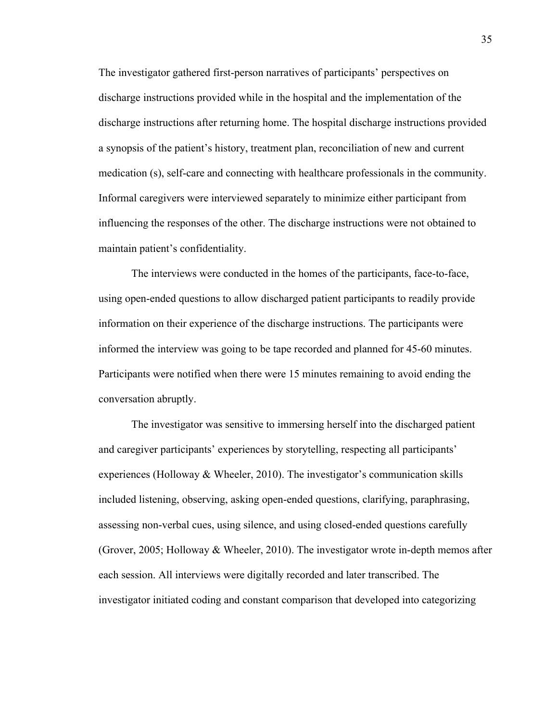The investigator gathered first-person narratives of participants' perspectives on discharge instructions provided while in the hospital and the implementation of the discharge instructions after returning home. The hospital discharge instructions provided a synopsis of the patient's history, treatment plan, reconciliation of new and current medication (s), self-care and connecting with healthcare professionals in the community. Informal caregivers were interviewed separately to minimize either participant from influencing the responses of the other. The discharge instructions were not obtained to maintain patient's confidentiality.

The interviews were conducted in the homes of the participants, face-to-face, using open-ended questions to allow discharged patient participants to readily provide information on their experience of the discharge instructions. The participants were informed the interview was going to be tape recorded and planned for 45-60 minutes. Participants were notified when there were 15 minutes remaining to avoid ending the conversation abruptly.

The investigator was sensitive to immersing herself into the discharged patient and caregiver participants' experiences by storytelling, respecting all participants' experiences (Holloway & Wheeler, 2010). The investigator's communication skills included listening, observing, asking open-ended questions, clarifying, paraphrasing, assessing non-verbal cues, using silence, and using closed-ended questions carefully (Grover, 2005; Holloway & Wheeler, 2010). The investigator wrote in-depth memos after each session. All interviews were digitally recorded and later transcribed. The investigator initiated coding and constant comparison that developed into categorizing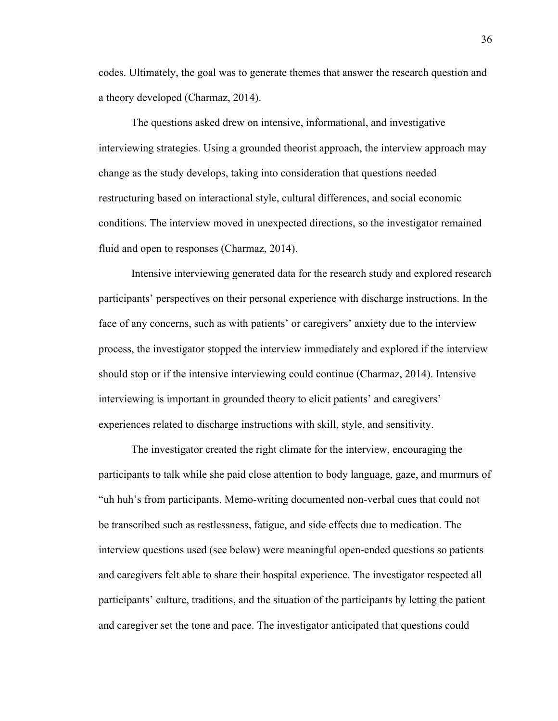codes. Ultimately, the goal was to generate themes that answer the research question and a theory developed (Charmaz, 2014).

The questions asked drew on intensive, informational, and investigative interviewing strategies. Using a grounded theorist approach, the interview approach may change as the study develops, taking into consideration that questions needed restructuring based on interactional style, cultural differences, and social economic conditions. The interview moved in unexpected directions, so the investigator remained fluid and open to responses (Charmaz, 2014).

Intensive interviewing generated data for the research study and explored research participants' perspectives on their personal experience with discharge instructions. In the face of any concerns, such as with patients' or caregivers' anxiety due to the interview process, the investigator stopped the interview immediately and explored if the interview should stop or if the intensive interviewing could continue (Charmaz, 2014). Intensive interviewing is important in grounded theory to elicit patients' and caregivers' experiences related to discharge instructions with skill, style, and sensitivity.

The investigator created the right climate for the interview, encouraging the participants to talk while she paid close attention to body language, gaze, and murmurs of "uh huh's from participants. Memo-writing documented non-verbal cues that could not be transcribed such as restlessness, fatigue, and side effects due to medication. The interview questions used (see below) were meaningful open-ended questions so patients and caregivers felt able to share their hospital experience. The investigator respected all participants' culture, traditions, and the situation of the participants by letting the patient and caregiver set the tone and pace. The investigator anticipated that questions could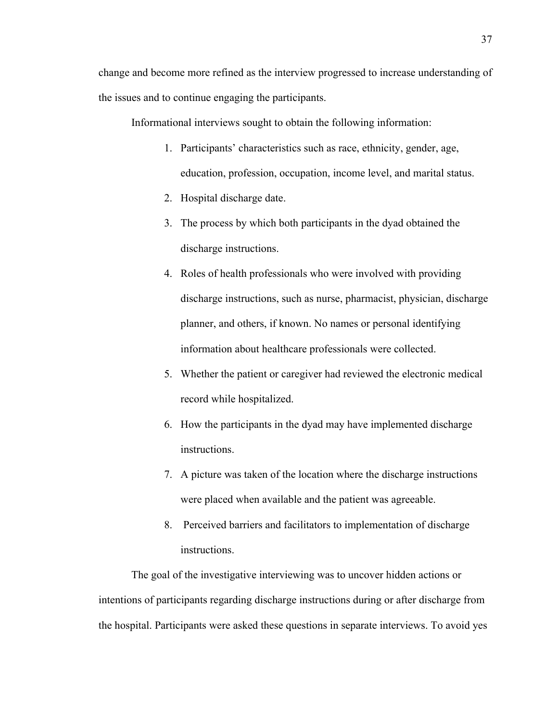Informational interviews sought to obtain the following information:

- 1. Participants' characteristics such as race, ethnicity, gender, age, education, profession, occupation, income level, and marital status.
- 2. Hospital discharge date.
- 3. The process by which both participants in the dyad obtained the discharge instructions.
- 4. Roles of health professionals who were involved with providing discharge instructions, such as nurse, pharmacist, physician, discharge planner, and others, if known. No names or personal identifying information about healthcare professionals were collected.
- 5. Whether the patient or caregiver had reviewed the electronic medical record while hospitalized.
- 6. How the participants in the dyad may have implemented discharge instructions.
- 7. A picture was taken of the location where the discharge instructions were placed when available and the patient was agreeable.
- 8. Perceived barriers and facilitators to implementation of discharge instructions.

The goal of the investigative interviewing was to uncover hidden actions or intentions of participants regarding discharge instructions during or after discharge from the hospital. Participants were asked these questions in separate interviews. To avoid yes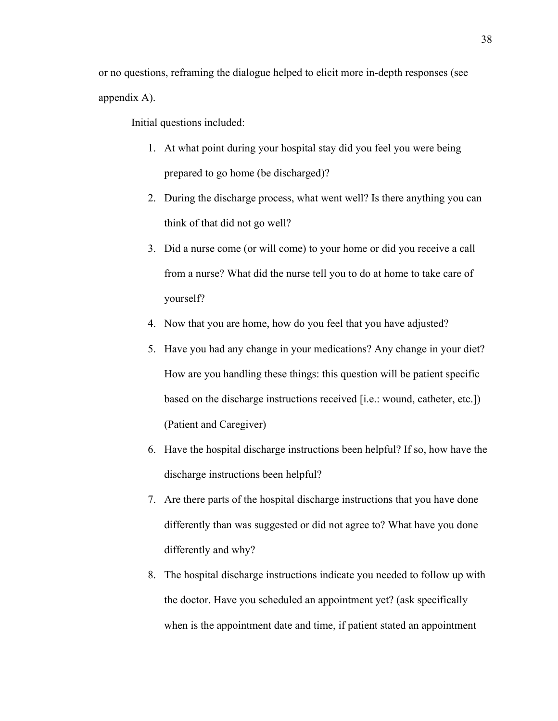Initial questions included:

- 1. At what point during your hospital stay did you feel you were being prepared to go home (be discharged)?
- 2. During the discharge process, what went well? Is there anything you can think of that did not go well?
- 3. Did a nurse come (or will come) to your home or did you receive a call from a nurse? What did the nurse tell you to do at home to take care of yourself?
- 4. Now that you are home, how do you feel that you have adjusted?
- 5. Have you had any change in your medications? Any change in your diet? How are you handling these things: this question will be patient specific based on the discharge instructions received [i.e.: wound, catheter, etc.]) (Patient and Caregiver)
- 6. Have the hospital discharge instructions been helpful? If so, how have the discharge instructions been helpful?
- 7. Are there parts of the hospital discharge instructions that you have done differently than was suggested or did not agree to? What have you done differently and why?
- 8. The hospital discharge instructions indicate you needed to follow up with the doctor. Have you scheduled an appointment yet? (ask specifically when is the appointment date and time, if patient stated an appointment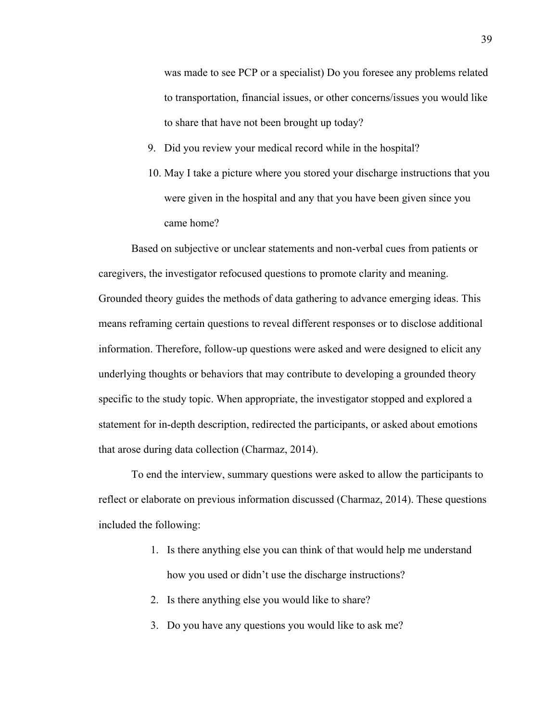was made to see PCP or a specialist) Do you foresee any problems related to transportation, financial issues, or other concerns/issues you would like to share that have not been brought up today?

- 9. Did you review your medical record while in the hospital?
- 10. May I take a picture where you stored your discharge instructions that you were given in the hospital and any that you have been given since you came home?

Based on subjective or unclear statements and non-verbal cues from patients or caregivers, the investigator refocused questions to promote clarity and meaning. Grounded theory guides the methods of data gathering to advance emerging ideas. This means reframing certain questions to reveal different responses or to disclose additional information. Therefore, follow-up questions were asked and were designed to elicit any underlying thoughts or behaviors that may contribute to developing a grounded theory specific to the study topic. When appropriate, the investigator stopped and explored a statement for in-depth description, redirected the participants, or asked about emotions that arose during data collection (Charmaz, 2014).

To end the interview, summary questions were asked to allow the participants to reflect or elaborate on previous information discussed (Charmaz, 2014). These questions included the following:

- 1. Is there anything else you can think of that would help me understand how you used or didn't use the discharge instructions?
- 2. Is there anything else you would like to share?
- 3. Do you have any questions you would like to ask me?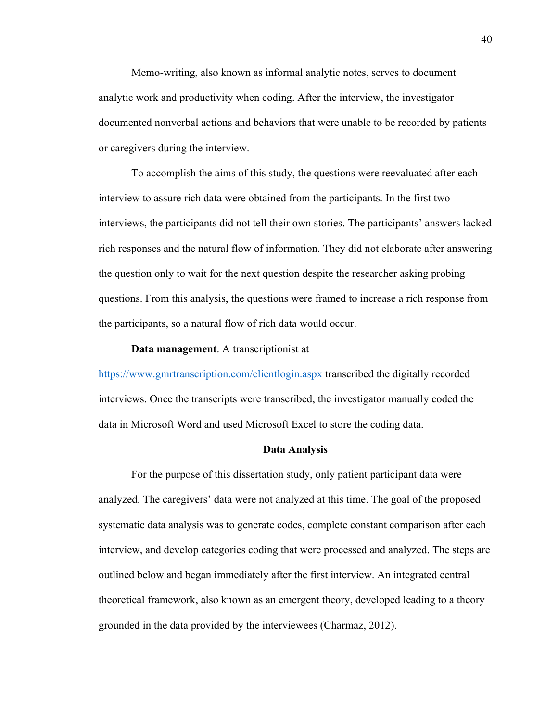Memo-writing, also known as informal analytic notes, serves to document analytic work and productivity when coding. After the interview, the investigator documented nonverbal actions and behaviors that were unable to be recorded by patients or caregivers during the interview.

To accomplish the aims of this study, the questions were reevaluated after each interview to assure rich data were obtained from the participants. In the first two interviews, the participants did not tell their own stories. The participants' answers lacked rich responses and the natural flow of information. They did not elaborate after answering the question only to wait for the next question despite the researcher asking probing questions. From this analysis, the questions were framed to increase a rich response from the participants, so a natural flow of rich data would occur.

#### **Data management**. A transcriptionist at

https://www.gmrtranscription.com/clientlogin.aspx transcribed the digitally recorded interviews. Once the transcripts were transcribed, the investigator manually coded the data in Microsoft Word and used Microsoft Excel to store the coding data.

#### **Data Analysis**

For the purpose of this dissertation study, only patient participant data were analyzed. The caregivers' data were not analyzed at this time. The goal of the proposed systematic data analysis was to generate codes, complete constant comparison after each interview, and develop categories coding that were processed and analyzed. The steps are outlined below and began immediately after the first interview. An integrated central theoretical framework, also known as an emergent theory, developed leading to a theory grounded in the data provided by the interviewees (Charmaz, 2012).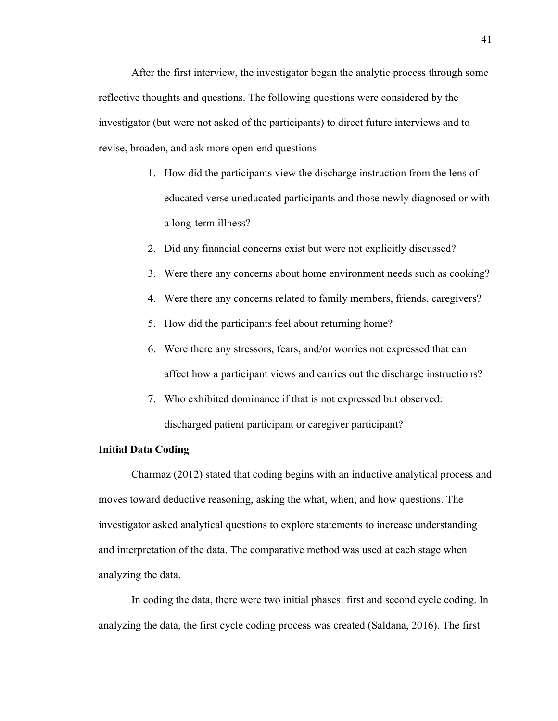After the first interview, the investigator began the analytic process through some reflective thoughts and questions. The following questions were considered by the investigator (but were not asked of the participants) to direct future interviews and to revise, broaden, and ask more open-end questions

- 1. How did the participants view the discharge instruction from the lens of educated verse uneducated participants and those newly diagnosed or with a long-term illness?
- 2. Did any financial concerns exist but were not explicitly discussed?
- 3. Were there any concerns about home environment needs such as cooking?
- 4. Were there any concerns related to family members, friends, caregivers?
- 5. How did the participants feel about returning home?
- 6. Were there any stressors, fears, and/or worries not expressed that can affect how a participant views and carries out the discharge instructions?
- 7. Who exhibited dominance if that is not expressed but observed: discharged patient participant or caregiver participant?

#### **Initial Data Coding**

Charmaz (2012) stated that coding begins with an inductive analytical process and moves toward deductive reasoning, asking the what, when, and how questions. The investigator asked analytical questions to explore statements to increase understanding and interpretation of the data. The comparative method was used at each stage when analyzing the data.

In coding the data, there were two initial phases: first and second cycle coding. In analyzing the data, the first cycle coding process was created (Saldana, 2016). The first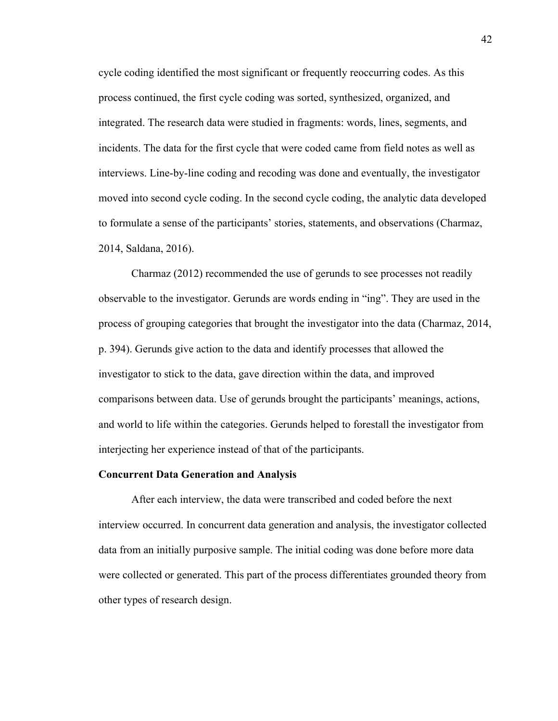cycle coding identified the most significant or frequently reoccurring codes. As this process continued, the first cycle coding was sorted, synthesized, organized, and integrated. The research data were studied in fragments: words, lines, segments, and incidents. The data for the first cycle that were coded came from field notes as well as interviews. Line-by-line coding and recoding was done and eventually, the investigator moved into second cycle coding. In the second cycle coding, the analytic data developed to formulate a sense of the participants' stories, statements, and observations (Charmaz, 2014, Saldana, 2016).

Charmaz (2012) recommended the use of gerunds to see processes not readily observable to the investigator. Gerunds are words ending in "ing". They are used in the process of grouping categories that brought the investigator into the data (Charmaz, 2014, p. 394). Gerunds give action to the data and identify processes that allowed the investigator to stick to the data, gave direction within the data, and improved comparisons between data. Use of gerunds brought the participants' meanings, actions, and world to life within the categories. Gerunds helped to forestall the investigator from interjecting her experience instead of that of the participants.

#### **Concurrent Data Generation and Analysis**

After each interview, the data were transcribed and coded before the next interview occurred. In concurrent data generation and analysis, the investigator collected data from an initially purposive sample. The initial coding was done before more data were collected or generated. This part of the process differentiates grounded theory from other types of research design.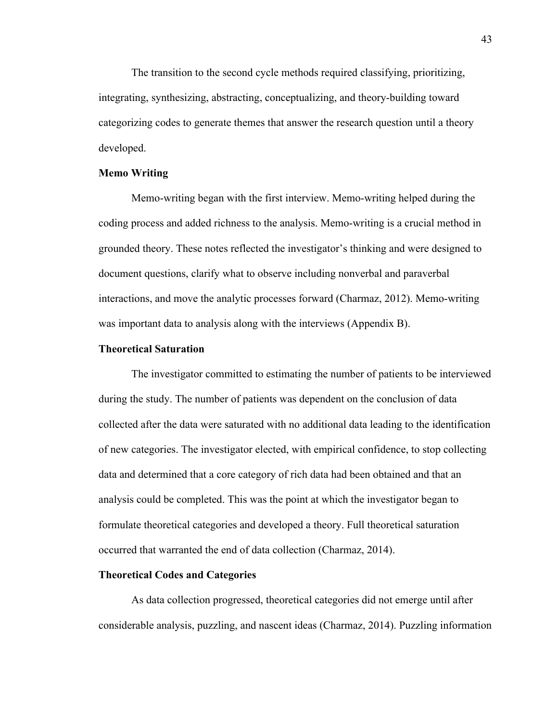The transition to the second cycle methods required classifying, prioritizing, integrating, synthesizing, abstracting, conceptualizing, and theory-building toward categorizing codes to generate themes that answer the research question until a theory developed.

### **Memo Writing**

Memo-writing began with the first interview. Memo-writing helped during the coding process and added richness to the analysis. Memo-writing is a crucial method in grounded theory. These notes reflected the investigator's thinking and were designed to document questions, clarify what to observe including nonverbal and paraverbal interactions, and move the analytic processes forward (Charmaz, 2012). Memo-writing was important data to analysis along with the interviews (Appendix B).

### **Theoretical Saturation**

The investigator committed to estimating the number of patients to be interviewed during the study. The number of patients was dependent on the conclusion of data collected after the data were saturated with no additional data leading to the identification of new categories. The investigator elected, with empirical confidence, to stop collecting data and determined that a core category of rich data had been obtained and that an analysis could be completed. This was the point at which the investigator began to formulate theoretical categories and developed a theory. Full theoretical saturation occurred that warranted the end of data collection (Charmaz, 2014).

### **Theoretical Codes and Categories**

As data collection progressed, theoretical categories did not emerge until after considerable analysis, puzzling, and nascent ideas (Charmaz, 2014). Puzzling information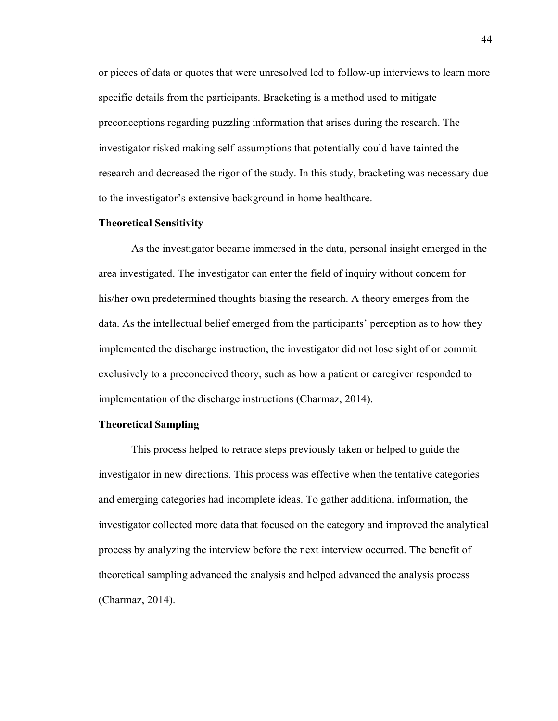or pieces of data or quotes that were unresolved led to follow-up interviews to learn more specific details from the participants. Bracketing is a method used to mitigate preconceptions regarding puzzling information that arises during the research. The investigator risked making self-assumptions that potentially could have tainted the research and decreased the rigor of the study. In this study, bracketing was necessary due to the investigator's extensive background in home healthcare.

#### **Theoretical Sensitivity**

As the investigator became immersed in the data, personal insight emerged in the area investigated. The investigator can enter the field of inquiry without concern for his/her own predetermined thoughts biasing the research. A theory emerges from the data. As the intellectual belief emerged from the participants' perception as to how they implemented the discharge instruction, the investigator did not lose sight of or commit exclusively to a preconceived theory, such as how a patient or caregiver responded to implementation of the discharge instructions (Charmaz, 2014).

## **Theoretical Sampling**

This process helped to retrace steps previously taken or helped to guide the investigator in new directions. This process was effective when the tentative categories and emerging categories had incomplete ideas. To gather additional information, the investigator collected more data that focused on the category and improved the analytical process by analyzing the interview before the next interview occurred. The benefit of theoretical sampling advanced the analysis and helped advanced the analysis process (Charmaz, 2014).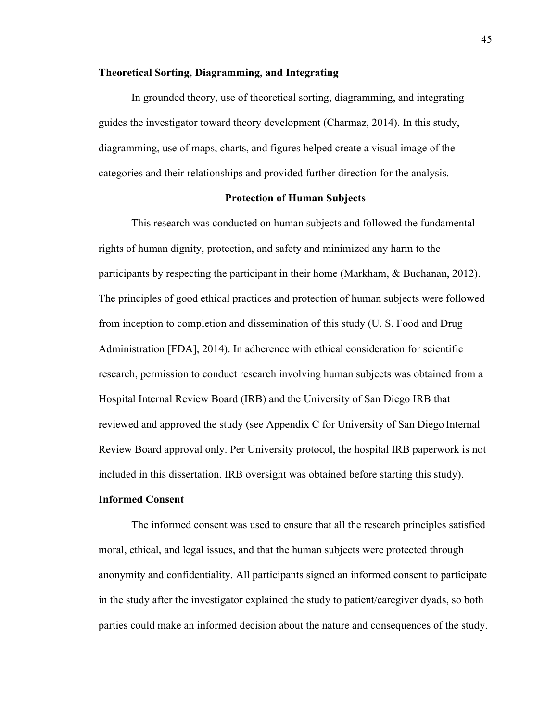#### **Theoretical Sorting, Diagramming, and Integrating**

In grounded theory, use of theoretical sorting, diagramming, and integrating guides the investigator toward theory development (Charmaz, 2014). In this study, diagramming, use of maps, charts, and figures helped create a visual image of the categories and their relationships and provided further direction for the analysis.

## **Protection of Human Subjects**

This research was conducted on human subjects and followed the fundamental rights of human dignity, protection, and safety and minimized any harm to the participants by respecting the participant in their home (Markham, & Buchanan, 2012). The principles of good ethical practices and protection of human subjects were followed from inception to completion and dissemination of this study (U. S. Food and Drug Administration [FDA], 2014). In adherence with ethical consideration for scientific research, permission to conduct research involving human subjects was obtained from a Hospital Internal Review Board (IRB) and the University of San Diego IRB that reviewed and approved the study (see Appendix C for University of San Diego Internal Review Board approval only. Per University protocol, the hospital IRB paperwork is not included in this dissertation. IRB oversight was obtained before starting this study).

### **Informed Consent**

The informed consent was used to ensure that all the research principles satisfied moral, ethical, and legal issues, and that the human subjects were protected through anonymity and confidentiality. All participants signed an informed consent to participate in the study after the investigator explained the study to patient/caregiver dyads, so both parties could make an informed decision about the nature and consequences of the study.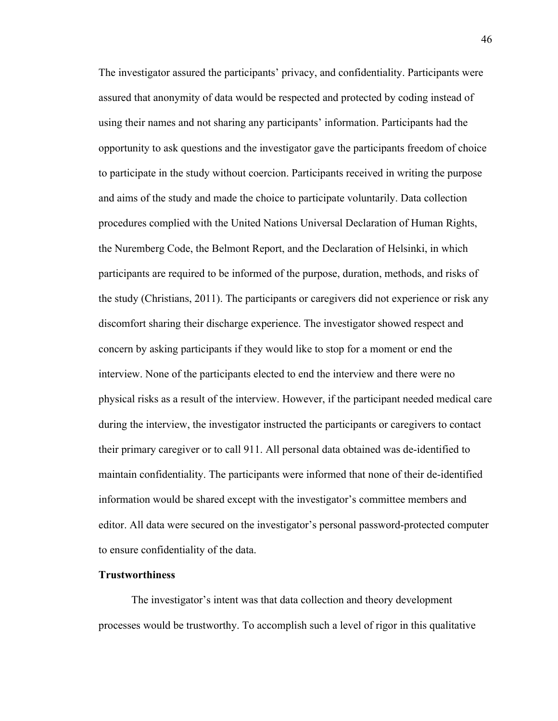The investigator assured the participants' privacy, and confidentiality. Participants were assured that anonymity of data would be respected and protected by coding instead of using their names and not sharing any participants' information. Participants had the opportunity to ask questions and the investigator gave the participants freedom of choice to participate in the study without coercion. Participants received in writing the purpose and aims of the study and made the choice to participate voluntarily. Data collection procedures complied with the United Nations Universal Declaration of Human Rights, the Nuremberg Code, the Belmont Report, and the Declaration of Helsinki, in which participants are required to be informed of the purpose, duration, methods, and risks of the study (Christians, 2011). The participants or caregivers did not experience or risk any discomfort sharing their discharge experience. The investigator showed respect and concern by asking participants if they would like to stop for a moment or end the interview. None of the participants elected to end the interview and there were no physical risks as a result of the interview. However, if the participant needed medical care during the interview, the investigator instructed the participants or caregivers to contact their primary caregiver or to call 911. All personal data obtained was de-identified to maintain confidentiality. The participants were informed that none of their de-identified information would be shared except with the investigator's committee members and editor. All data were secured on the investigator's personal password-protected computer to ensure confidentiality of the data.

## **Trustworthiness**

The investigator's intent was that data collection and theory development processes would be trustworthy. To accomplish such a level of rigor in this qualitative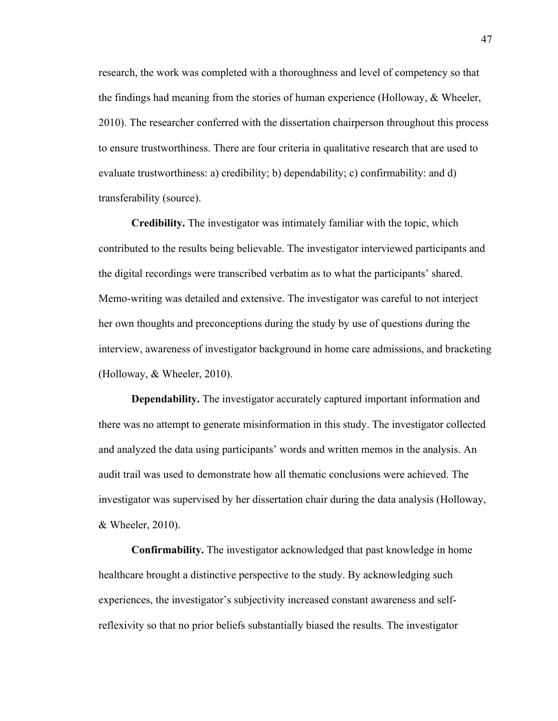research, the work was completed with a thoroughness and level of competency so that the findings had meaning from the stories of human experience (Holloway, & Wheeler, 2010). The researcher conferred with the dissertation chairperson throughout this process to ensure trustworthiness. There are four criteria in qualitative research that are used to evaluate trustworthiness: a) credibility; b) dependability; c) confirmability: and d) transferability (source).

**Credibility.** The investigator was intimately familiar with the topic, which contributed to the results being believable. The investigator interviewed participants and the digital recordings were transcribed verbatim as to what the participants' shared. Memo-writing was detailed and extensive. The investigator was careful to not interject her own thoughts and preconceptions during the study by use of questions during the interview, awareness of investigator background in home care admissions, and bracketing (Holloway, & Wheeler, 2010).

**Dependability.** The investigator accurately captured important information and there was no attempt to generate misinformation in this study. The investigator collected and analyzed the data using participants' words and written memos in the analysis. An audit trail was used to demonstrate how all thematic conclusions were achieved. The investigator was supervised by her dissertation chair during the data analysis (Holloway, & Wheeler, 2010).

**Confirmability.** The investigator acknowledged that past knowledge in home healthcare brought a distinctive perspective to the study. By acknowledging such experiences, the investigator's subjectivity increased constant awareness and selfreflexivity so that no prior beliefs substantially biased the results. The investigator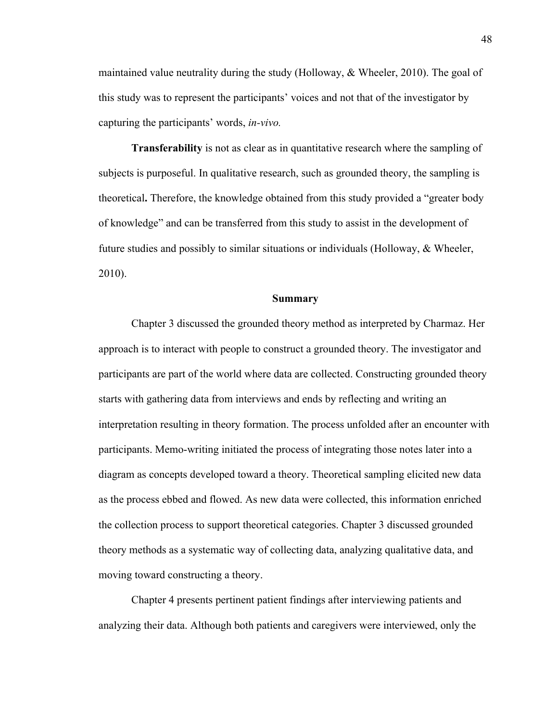maintained value neutrality during the study (Holloway,  $\&$  Wheeler, 2010). The goal of this study was to represent the participants' voices and not that of the investigator by capturing the participants' words, *in-vivo.*

**Transferability** is not as clear as in quantitative research where the sampling of subjects is purposeful. In qualitative research, such as grounded theory, the sampling is theoretical**.** Therefore, the knowledge obtained from this study provided a "greater body of knowledge" and can be transferred from this study to assist in the development of future studies and possibly to similar situations or individuals (Holloway, & Wheeler, 2010).

#### **Summary**

Chapter 3 discussed the grounded theory method as interpreted by Charmaz. Her approach is to interact with people to construct a grounded theory. The investigator and participants are part of the world where data are collected. Constructing grounded theory starts with gathering data from interviews and ends by reflecting and writing an interpretation resulting in theory formation. The process unfolded after an encounter with participants. Memo-writing initiated the process of integrating those notes later into a diagram as concepts developed toward a theory. Theoretical sampling elicited new data as the process ebbed and flowed. As new data were collected, this information enriched the collection process to support theoretical categories. Chapter 3 discussed grounded theory methods as a systematic way of collecting data, analyzing qualitative data, and moving toward constructing a theory.

Chapter 4 presents pertinent patient findings after interviewing patients and analyzing their data. Although both patients and caregivers were interviewed, only the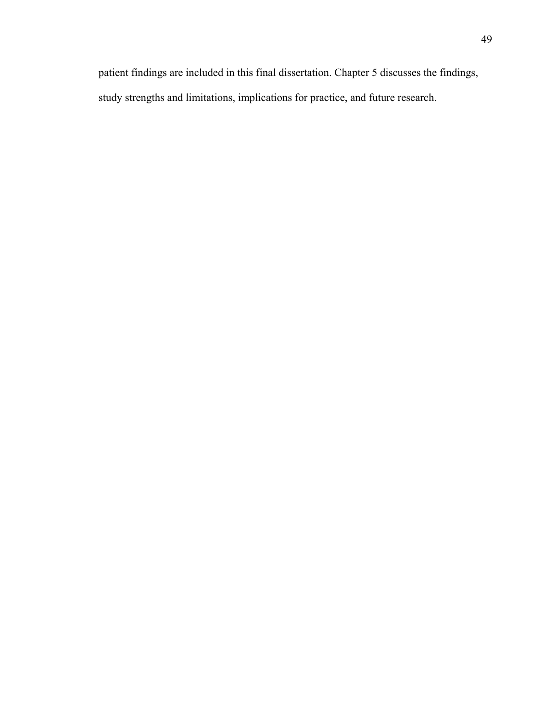patient findings are included in this final dissertation. Chapter 5 discusses the findings, study strengths and limitations, implications for practice, and future research.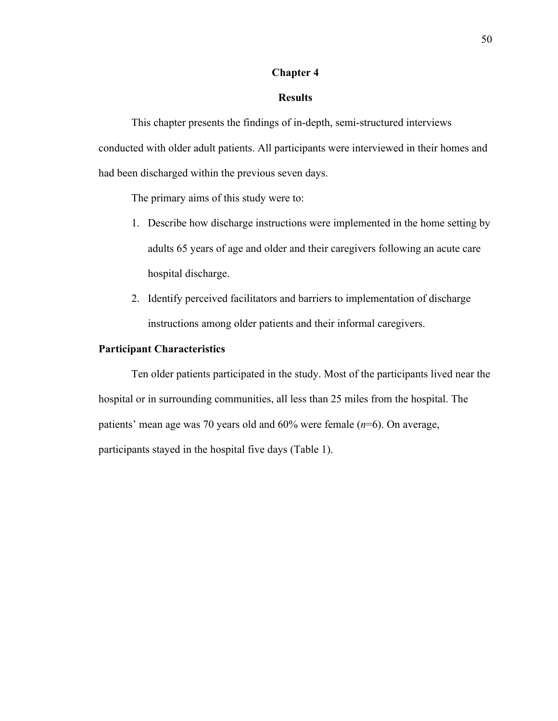## **Chapter 4**

# **Results**

This chapter presents the findings of in-depth, semi-structured interviews conducted with older adult patients. All participants were interviewed in their homes and had been discharged within the previous seven days.

The primary aims of this study were to:

- 1. Describe how discharge instructions were implemented in the home setting by adults 65 years of age and older and their caregivers following an acute care hospital discharge.
- 2. Identify perceived facilitators and barriers to implementation of discharge instructions among older patients and their informal caregivers.

### **Participant Characteristics**

Ten older patients participated in the study. Most of the participants lived near the hospital or in surrounding communities, all less than 25 miles from the hospital. The patients' mean age was 70 years old and 60% were female (*n*=6). On average, participants stayed in the hospital five days (Table 1).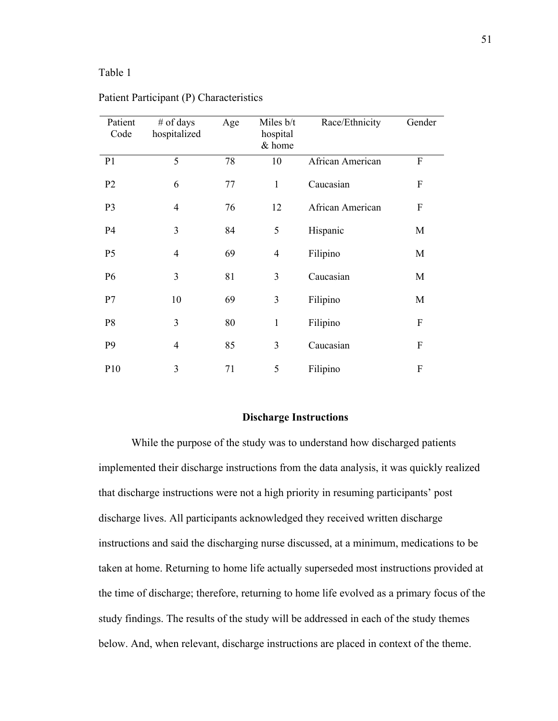## Table 1

| Patient<br>Code | $#$ of days<br>hospitalized | Age | Miles b/t<br>hospital<br>& home | Race/Ethnicity   | Gender           |
|-----------------|-----------------------------|-----|---------------------------------|------------------|------------------|
| P <sub>1</sub>  | 5                           | 78  | 10                              | African American | $\boldsymbol{F}$ |
| P <sub>2</sub>  | 6                           | 77  | $\mathbf{1}$                    | Caucasian        | $\boldsymbol{F}$ |
| P <sub>3</sub>  | $\overline{4}$              | 76  | 12                              | African American | F                |
| P <sub>4</sub>  | 3                           | 84  | 5                               | Hispanic         | M                |
| P <sub>5</sub>  | $\overline{4}$              | 69  | $\overline{4}$                  | Filipino         | M                |
| P <sub>6</sub>  | 3                           | 81  | 3                               | Caucasian        | M                |
| P7              | 10                          | 69  | 3                               | Filipino         | M                |
| P <sub>8</sub>  | 3                           | 80  | $\mathbf{1}$                    | Filipino         | $\boldsymbol{F}$ |
| P <sub>9</sub>  | $\overline{4}$              | 85  | 3                               | Caucasian        | $\boldsymbol{F}$ |
| P <sub>10</sub> | 3                           | 71  | 5                               | Filipino         | $\boldsymbol{F}$ |

### Patient Participant (P) Characteristics

#### **Discharge Instructions**

While the purpose of the study was to understand how discharged patients implemented their discharge instructions from the data analysis, it was quickly realized that discharge instructions were not a high priority in resuming participants' post discharge lives. All participants acknowledged they received written discharge instructions and said the discharging nurse discussed, at a minimum, medications to be taken at home. Returning to home life actually superseded most instructions provided at the time of discharge; therefore, returning to home life evolved as a primary focus of the study findings. The results of the study will be addressed in each of the study themes below. And, when relevant, discharge instructions are placed in context of the theme.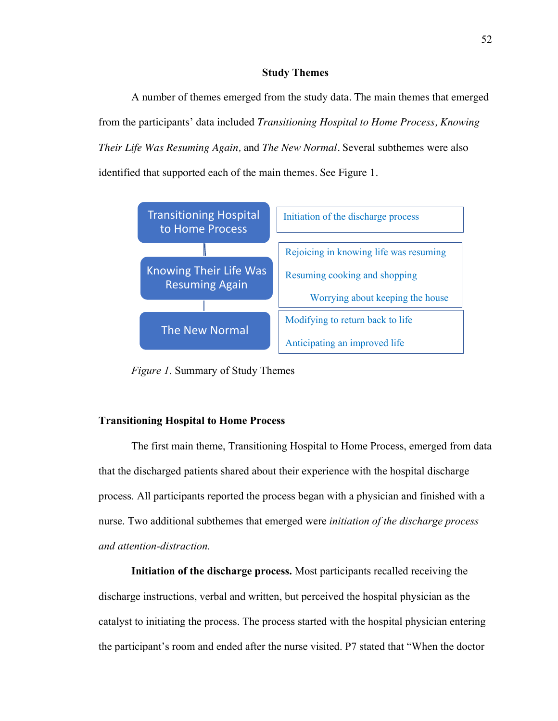# **Study Themes**

A number of themes emerged from the study data. The main themes that emerged from the participants' data included *Transitioning Hospital to Home Process, Knowing Their Life Was Resuming Again,* and *The New Normal*. Several subthemes were also identified that supported each of the main themes. See Figure 1.



*Figure 1*. Summary of Study Themes

## **Transitioning Hospital to Home Process**

The first main theme, Transitioning Hospital to Home Process, emerged from data that the discharged patients shared about their experience with the hospital discharge process. All participants reported the process began with a physician and finished with a nurse. Two additional subthemes that emerged were *initiation of the discharge process and attention-distraction.*

**Initiation of the discharge process.** Most participants recalled receiving the discharge instructions, verbal and written, but perceived the hospital physician as the catalyst to initiating the process. The process started with the hospital physician entering the participant's room and ended after the nurse visited. P7 stated that "When the doctor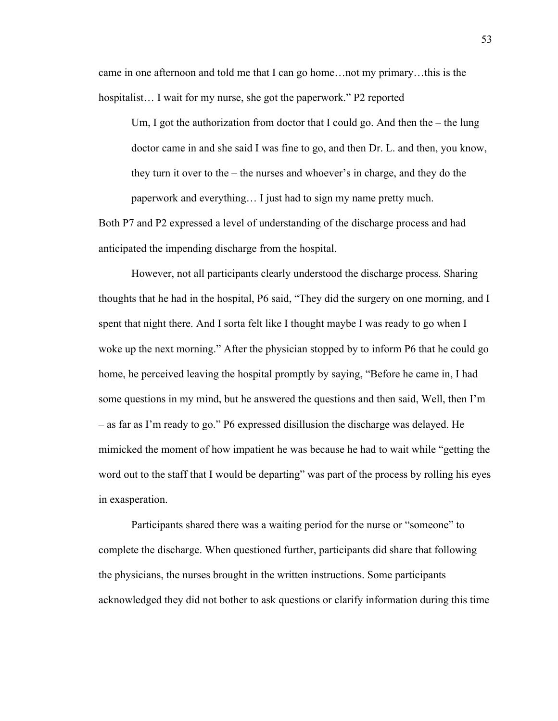came in one afternoon and told me that I can go home…not my primary…this is the hospitalist... I wait for my nurse, she got the paperwork." P2 reported

Um, I got the authorization from doctor that I could go. And then the – the lung doctor came in and she said I was fine to go, and then Dr. L. and then, you know, they turn it over to the – the nurses and whoever's in charge, and they do the paperwork and everything… I just had to sign my name pretty much.

Both P7 and P2 expressed a level of understanding of the discharge process and had anticipated the impending discharge from the hospital.

However, not all participants clearly understood the discharge process. Sharing thoughts that he had in the hospital, P6 said, "They did the surgery on one morning, and I spent that night there. And I sorta felt like I thought maybe I was ready to go when I woke up the next morning." After the physician stopped by to inform P6 that he could go home, he perceived leaving the hospital promptly by saying, "Before he came in, I had some questions in my mind, but he answered the questions and then said, Well, then I'm – as far as I'm ready to go." P6 expressed disillusion the discharge was delayed. He mimicked the moment of how impatient he was because he had to wait while "getting the word out to the staff that I would be departing" was part of the process by rolling his eyes in exasperation.

Participants shared there was a waiting period for the nurse or "someone" to complete the discharge. When questioned further, participants did share that following the physicians, the nurses brought in the written instructions. Some participants acknowledged they did not bother to ask questions or clarify information during this time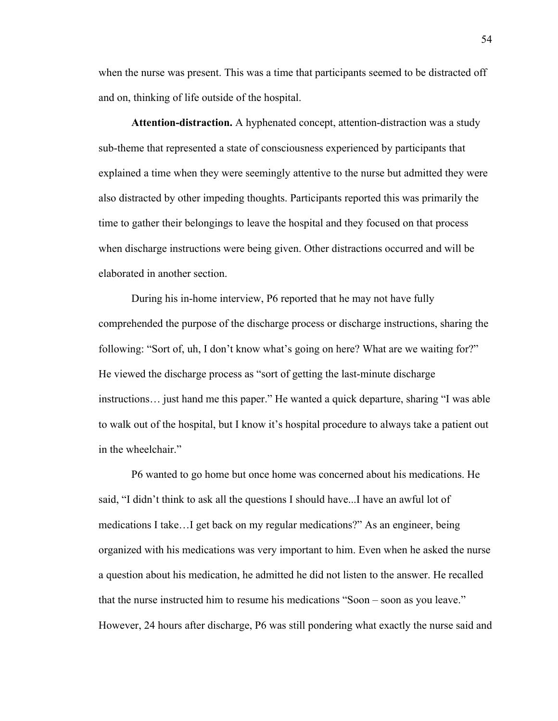when the nurse was present. This was a time that participants seemed to be distracted off and on, thinking of life outside of the hospital.

**Attention-distraction.** A hyphenated concept, attention-distraction was a study sub-theme that represented a state of consciousness experienced by participants that explained a time when they were seemingly attentive to the nurse but admitted they were also distracted by other impeding thoughts. Participants reported this was primarily the time to gather their belongings to leave the hospital and they focused on that process when discharge instructions were being given. Other distractions occurred and will be elaborated in another section.

During his in-home interview, P6 reported that he may not have fully comprehended the purpose of the discharge process or discharge instructions, sharing the following: "Sort of, uh, I don't know what's going on here? What are we waiting for?" He viewed the discharge process as "sort of getting the last-minute discharge instructions… just hand me this paper." He wanted a quick departure, sharing "I was able to walk out of the hospital, but I know it's hospital procedure to always take a patient out in the wheelchair."

P6 wanted to go home but once home was concerned about his medications. He said, "I didn't think to ask all the questions I should have...I have an awful lot of medications I take…I get back on my regular medications?" As an engineer, being organized with his medications was very important to him. Even when he asked the nurse a question about his medication, he admitted he did not listen to the answer. He recalled that the nurse instructed him to resume his medications "Soon – soon as you leave." However, 24 hours after discharge, P6 was still pondering what exactly the nurse said and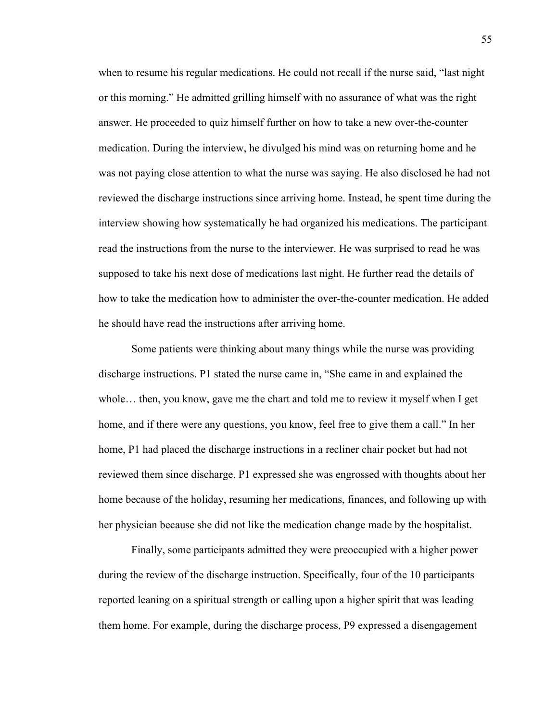when to resume his regular medications. He could not recall if the nurse said, "last night or this morning." He admitted grilling himself with no assurance of what was the right answer. He proceeded to quiz himself further on how to take a new over-the-counter medication. During the interview, he divulged his mind was on returning home and he was not paying close attention to what the nurse was saying. He also disclosed he had not reviewed the discharge instructions since arriving home. Instead, he spent time during the interview showing how systematically he had organized his medications. The participant read the instructions from the nurse to the interviewer. He was surprised to read he was supposed to take his next dose of medications last night. He further read the details of how to take the medication how to administer the over-the-counter medication. He added he should have read the instructions after arriving home.

Some patients were thinking about many things while the nurse was providing discharge instructions. P1 stated the nurse came in, "She came in and explained the whole… then, you know, gave me the chart and told me to review it myself when I get home, and if there were any questions, you know, feel free to give them a call." In her home, P1 had placed the discharge instructions in a recliner chair pocket but had not reviewed them since discharge. P1 expressed she was engrossed with thoughts about her home because of the holiday, resuming her medications, finances, and following up with her physician because she did not like the medication change made by the hospitalist.

Finally, some participants admitted they were preoccupied with a higher power during the review of the discharge instruction. Specifically, four of the 10 participants reported leaning on a spiritual strength or calling upon a higher spirit that was leading them home. For example, during the discharge process, P9 expressed a disengagement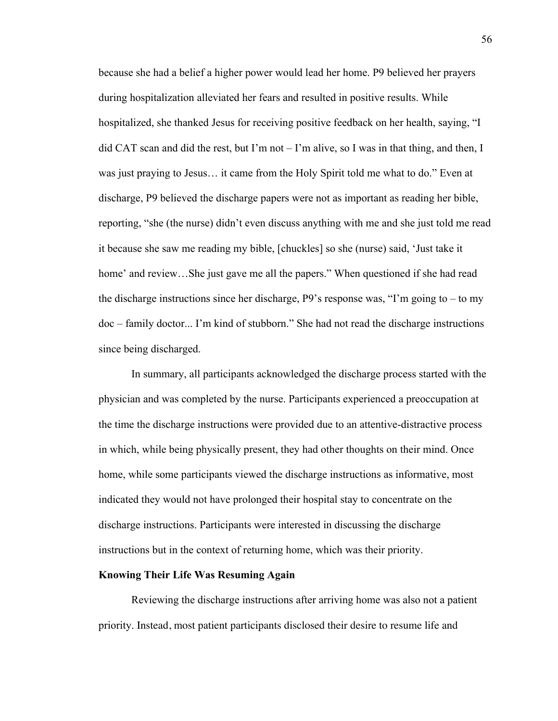because she had a belief a higher power would lead her home. P9 believed her prayers during hospitalization alleviated her fears and resulted in positive results. While hospitalized, she thanked Jesus for receiving positive feedback on her health, saying, "I did CAT scan and did the rest, but I'm not  $-$  I'm alive, so I was in that thing, and then, I was just praying to Jesus… it came from the Holy Spirit told me what to do." Even at discharge, P9 believed the discharge papers were not as important as reading her bible, reporting, "she (the nurse) didn't even discuss anything with me and she just told me read it because she saw me reading my bible, [chuckles] so she (nurse) said, 'Just take it home' and review…She just gave me all the papers." When questioned if she had read the discharge instructions since her discharge, P9's response was, "I'm going to – to my doc – family doctor... I'm kind of stubborn." She had not read the discharge instructions since being discharged.

In summary, all participants acknowledged the discharge process started with the physician and was completed by the nurse. Participants experienced a preoccupation at the time the discharge instructions were provided due to an attentive-distractive process in which, while being physically present, they had other thoughts on their mind. Once home, while some participants viewed the discharge instructions as informative, most indicated they would not have prolonged their hospital stay to concentrate on the discharge instructions. Participants were interested in discussing the discharge instructions but in the context of returning home, which was their priority.

### **Knowing Their Life Was Resuming Again**

Reviewing the discharge instructions after arriving home was also not a patient priority. Instead, most patient participants disclosed their desire to resume life and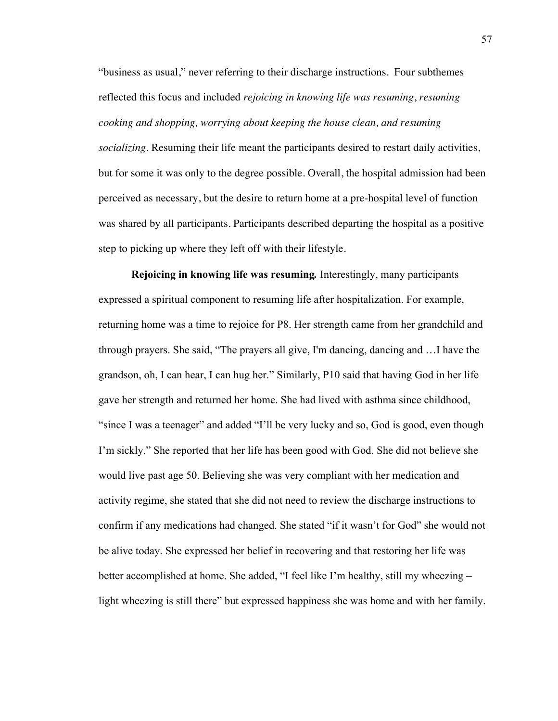"business as usual," never referring to their discharge instructions. Four subthemes reflected this focus and included *rejoicing in knowing life was resuming*, *resuming cooking and shopping, worrying about keeping the house clean, and resuming socializing*. Resuming their life meant the participants desired to restart daily activities, but for some it was only to the degree possible. Overall, the hospital admission had been perceived as necessary, but the desire to return home at a pre-hospital level of function was shared by all participants. Participants described departing the hospital as a positive step to picking up where they left off with their lifestyle.

**Rejoicing in knowing life was resuming***.* Interestingly, many participants expressed a spiritual component to resuming life after hospitalization. For example, returning home was a time to rejoice for P8. Her strength came from her grandchild and through prayers. She said, "The prayers all give, I'm dancing, dancing and …I have the grandson, oh, I can hear, I can hug her." Similarly, P10 said that having God in her life gave her strength and returned her home. She had lived with asthma since childhood, "since I was a teenager" and added "I'll be very lucky and so, God is good, even though I'm sickly." She reported that her life has been good with God. She did not believe she would live past age 50. Believing she was very compliant with her medication and activity regime, she stated that she did not need to review the discharge instructions to confirm if any medications had changed. She stated "if it wasn't for God" she would not be alive today. She expressed her belief in recovering and that restoring her life was better accomplished at home. She added, "I feel like I'm healthy, still my wheezing – light wheezing is still there" but expressed happiness she was home and with her family.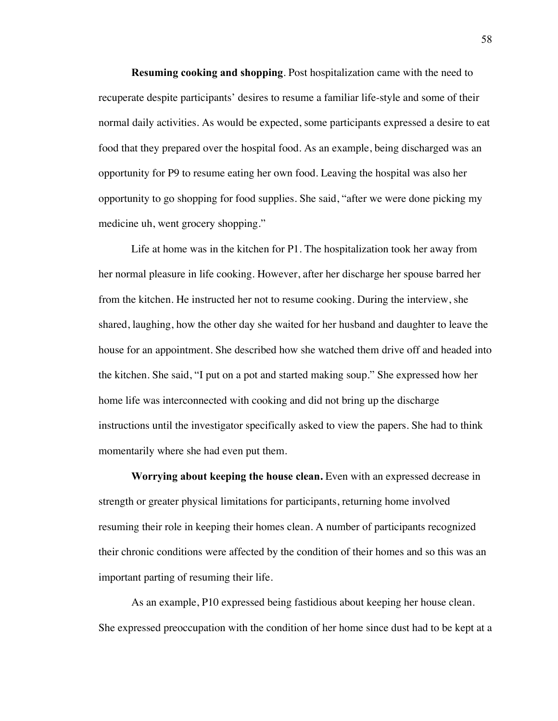**Resuming cooking and shopping**. Post hospitalization came with the need to recuperate despite participants' desires to resume a familiar life-style and some of their normal daily activities. As would be expected, some participants expressed a desire to eat food that they prepared over the hospital food. As an example, being discharged was an opportunity for P9 to resume eating her own food. Leaving the hospital was also her opportunity to go shopping for food supplies. She said, "after we were done picking my medicine uh, went grocery shopping."

Life at home was in the kitchen for P1. The hospitalization took her away from her normal pleasure in life cooking. However, after her discharge her spouse barred her from the kitchen. He instructed her not to resume cooking. During the interview, she shared, laughing, how the other day she waited for her husband and daughter to leave the house for an appointment. She described how she watched them drive off and headed into the kitchen. She said, "I put on a pot and started making soup." She expressed how her home life was interconnected with cooking and did not bring up the discharge instructions until the investigator specifically asked to view the papers. She had to think momentarily where she had even put them.

**Worrying about keeping the house clean.** Even with an expressed decrease in strength or greater physical limitations for participants, returning home involved resuming their role in keeping their homes clean. A number of participants recognized their chronic conditions were affected by the condition of their homes and so this was an important parting of resuming their life.

As an example, P10 expressed being fastidious about keeping her house clean. She expressed preoccupation with the condition of her home since dust had to be kept at a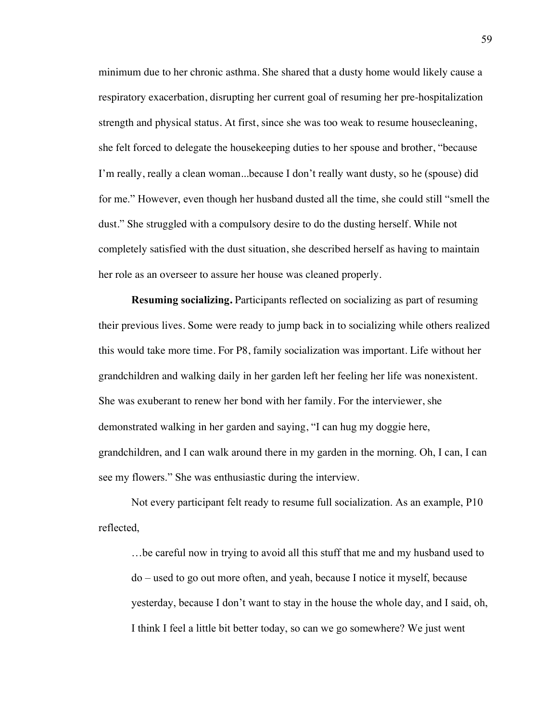minimum due to her chronic asthma. She shared that a dusty home would likely cause a respiratory exacerbation, disrupting her current goal of resuming her pre-hospitalization strength and physical status. At first, since she was too weak to resume housecleaning, she felt forced to delegate the housekeeping duties to her spouse and brother, "because I'm really, really a clean woman...because I don't really want dusty, so he (spouse) did for me." However, even though her husband dusted all the time, she could still "smell the dust." She struggled with a compulsory desire to do the dusting herself. While not completely satisfied with the dust situation, she described herself as having to maintain her role as an overseer to assure her house was cleaned properly.

**Resuming socializing.** Participants reflected on socializing as part of resuming their previous lives. Some were ready to jump back in to socializing while others realized this would take more time. For P8, family socialization was important. Life without her grandchildren and walking daily in her garden left her feeling her life was nonexistent. She was exuberant to renew her bond with her family. For the interviewer, she demonstrated walking in her garden and saying, "I can hug my doggie here, grandchildren, and I can walk around there in my garden in the morning. Oh, I can, I can see my flowers." She was enthusiastic during the interview.

Not every participant felt ready to resume full socialization. As an example, P10 reflected,

…be careful now in trying to avoid all this stuff that me and my husband used to do – used to go out more often, and yeah, because I notice it myself, because yesterday, because I don't want to stay in the house the whole day, and I said, oh, I think I feel a little bit better today, so can we go somewhere? We just went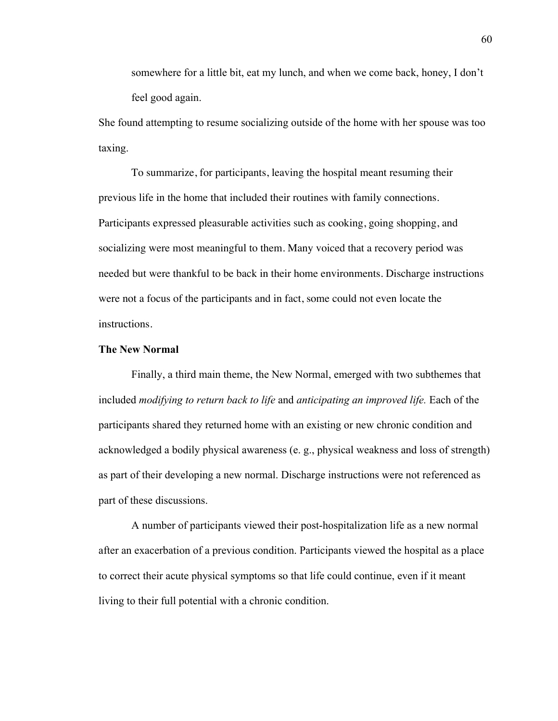somewhere for a little bit, eat my lunch, and when we come back, honey, I don't feel good again.

She found attempting to resume socializing outside of the home with her spouse was too taxing.

To summarize, for participants, leaving the hospital meant resuming their previous life in the home that included their routines with family connections. Participants expressed pleasurable activities such as cooking, going shopping, and socializing were most meaningful to them. Many voiced that a recovery period was needed but were thankful to be back in their home environments. Discharge instructions were not a focus of the participants and in fact, some could not even locate the instructions.

# **The New Normal**

Finally, a third main theme, the New Normal, emerged with two subthemes that included *modifying to return back to life* and *anticipating an improved life.* Each of the participants shared they returned home with an existing or new chronic condition and acknowledged a bodily physical awareness (e. g., physical weakness and loss of strength) as part of their developing a new normal. Discharge instructions were not referenced as part of these discussions.

A number of participants viewed their post-hospitalization life as a new normal after an exacerbation of a previous condition. Participants viewed the hospital as a place to correct their acute physical symptoms so that life could continue, even if it meant living to their full potential with a chronic condition.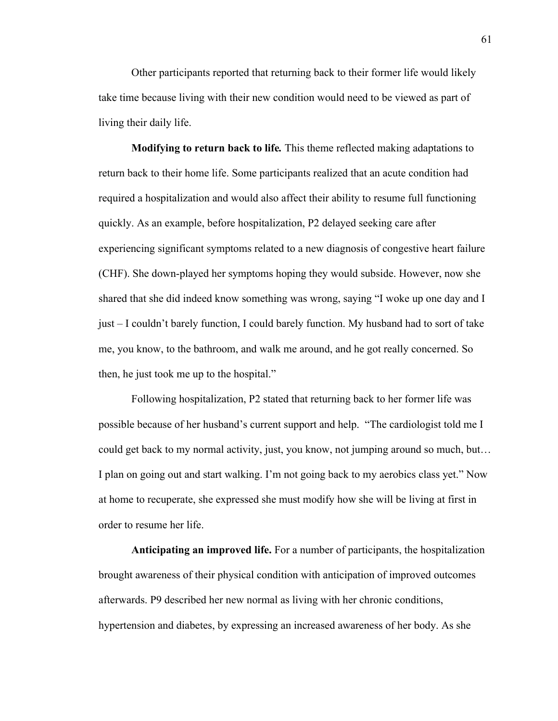Other participants reported that returning back to their former life would likely take time because living with their new condition would need to be viewed as part of living their daily life.

**Modifying to return back to life***.* This theme reflected making adaptations to return back to their home life. Some participants realized that an acute condition had required a hospitalization and would also affect their ability to resume full functioning quickly. As an example, before hospitalization, P2 delayed seeking care after experiencing significant symptoms related to a new diagnosis of congestive heart failure (CHF). She down-played her symptoms hoping they would subside. However, now she shared that she did indeed know something was wrong, saying "I woke up one day and I just – I couldn't barely function, I could barely function. My husband had to sort of take me, you know, to the bathroom, and walk me around, and he got really concerned. So then, he just took me up to the hospital."

Following hospitalization, P2 stated that returning back to her former life was possible because of her husband's current support and help. "The cardiologist told me I could get back to my normal activity, just, you know, not jumping around so much, but… I plan on going out and start walking. I'm not going back to my aerobics class yet." Now at home to recuperate, she expressed she must modify how she will be living at first in order to resume her life.

**Anticipating an improved life.** For a number of participants, the hospitalization brought awareness of their physical condition with anticipation of improved outcomes afterwards. P9 described her new normal as living with her chronic conditions, hypertension and diabetes, by expressing an increased awareness of her body. As she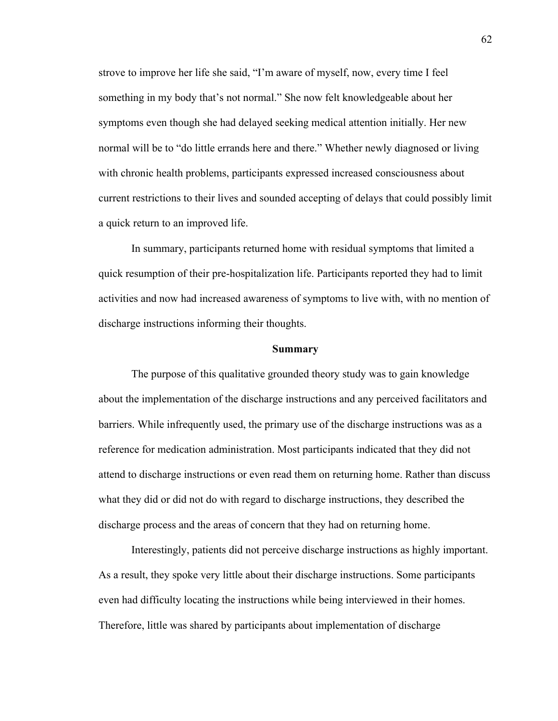strove to improve her life she said, "I'm aware of myself, now, every time I feel something in my body that's not normal." She now felt knowledgeable about her symptoms even though she had delayed seeking medical attention initially. Her new normal will be to "do little errands here and there." Whether newly diagnosed or living with chronic health problems, participants expressed increased consciousness about current restrictions to their lives and sounded accepting of delays that could possibly limit a quick return to an improved life.

In summary, participants returned home with residual symptoms that limited a quick resumption of their pre-hospitalization life. Participants reported they had to limit activities and now had increased awareness of symptoms to live with, with no mention of discharge instructions informing their thoughts.

#### **Summary**

The purpose of this qualitative grounded theory study was to gain knowledge about the implementation of the discharge instructions and any perceived facilitators and barriers. While infrequently used, the primary use of the discharge instructions was as a reference for medication administration. Most participants indicated that they did not attend to discharge instructions or even read them on returning home. Rather than discuss what they did or did not do with regard to discharge instructions, they described the discharge process and the areas of concern that they had on returning home.

Interestingly, patients did not perceive discharge instructions as highly important. As a result, they spoke very little about their discharge instructions. Some participants even had difficulty locating the instructions while being interviewed in their homes. Therefore, little was shared by participants about implementation of discharge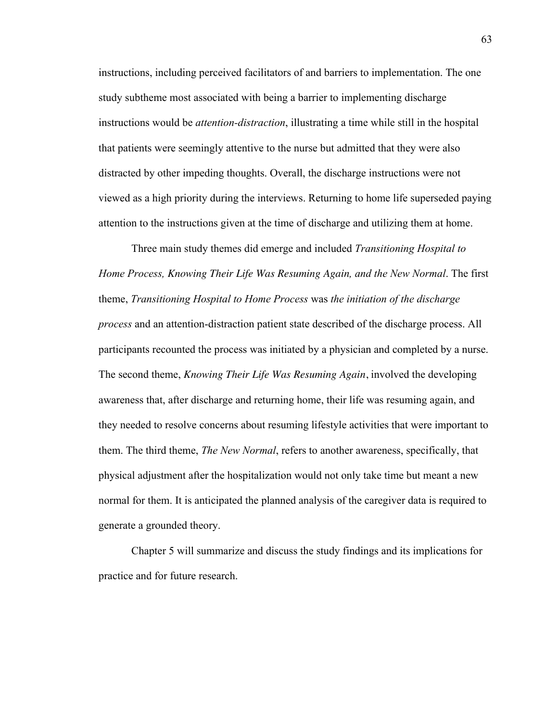instructions, including perceived facilitators of and barriers to implementation. The one study subtheme most associated with being a barrier to implementing discharge instructions would be *attention-distraction*, illustrating a time while still in the hospital that patients were seemingly attentive to the nurse but admitted that they were also distracted by other impeding thoughts. Overall, the discharge instructions were not viewed as a high priority during the interviews. Returning to home life superseded paying attention to the instructions given at the time of discharge and utilizing them at home.

Three main study themes did emerge and included *Transitioning Hospital to Home Process, Knowing Their Life Was Resuming Again, and the New Normal*. The first theme, *Transitioning Hospital to Home Process* was *the initiation of the discharge process* and an attention-distraction patient state described of the discharge process. All participants recounted the process was initiated by a physician and completed by a nurse. The second theme, *Knowing Their Life Was Resuming Again*, involved the developing awareness that, after discharge and returning home, their life was resuming again, and they needed to resolve concerns about resuming lifestyle activities that were important to them. The third theme, *The New Normal*, refers to another awareness, specifically, that physical adjustment after the hospitalization would not only take time but meant a new normal for them. It is anticipated the planned analysis of the caregiver data is required to generate a grounded theory.

Chapter 5 will summarize and discuss the study findings and its implications for practice and for future research.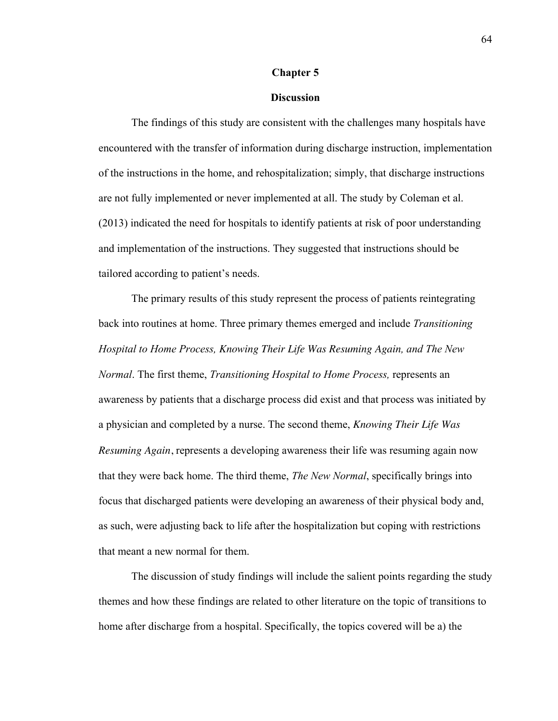### **Chapter 5**

# **Discussion**

The findings of this study are consistent with the challenges many hospitals have encountered with the transfer of information during discharge instruction, implementation of the instructions in the home, and rehospitalization; simply, that discharge instructions are not fully implemented or never implemented at all. The study by Coleman et al. (2013) indicated the need for hospitals to identify patients at risk of poor understanding and implementation of the instructions. They suggested that instructions should be tailored according to patient's needs.

The primary results of this study represent the process of patients reintegrating back into routines at home. Three primary themes emerged and include *Transitioning Hospital to Home Process, Knowing Their Life Was Resuming Again, and The New Normal*. The first theme, *Transitioning Hospital to Home Process,* represents an awareness by patients that a discharge process did exist and that process was initiated by a physician and completed by a nurse. The second theme, *Knowing Their Life Was Resuming Again*, represents a developing awareness their life was resuming again now that they were back home. The third theme, *The New Normal*, specifically brings into focus that discharged patients were developing an awareness of their physical body and, as such, were adjusting back to life after the hospitalization but coping with restrictions that meant a new normal for them.

The discussion of study findings will include the salient points regarding the study themes and how these findings are related to other literature on the topic of transitions to home after discharge from a hospital. Specifically, the topics covered will be a) the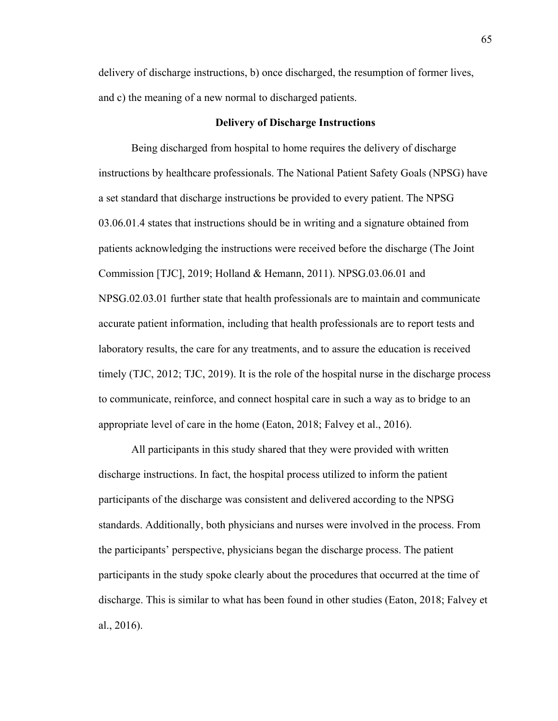delivery of discharge instructions, b) once discharged, the resumption of former lives, and c) the meaning of a new normal to discharged patients.

#### **Delivery of Discharge Instructions**

Being discharged from hospital to home requires the delivery of discharge instructions by healthcare professionals. The National Patient Safety Goals (NPSG) have a set standard that discharge instructions be provided to every patient. The NPSG 03.06.01.4 states that instructions should be in writing and a signature obtained from patients acknowledging the instructions were received before the discharge (The Joint Commission [TJC], 2019; Holland & Hemann, 2011). NPSG.03.06.01 and NPSG.02.03.01 further state that health professionals are to maintain and communicate accurate patient information, including that health professionals are to report tests and laboratory results, the care for any treatments, and to assure the education is received timely (TJC, 2012; TJC, 2019). It is the role of the hospital nurse in the discharge process to communicate, reinforce, and connect hospital care in such a way as to bridge to an appropriate level of care in the home (Eaton, 2018; Falvey et al., 2016).

All participants in this study shared that they were provided with written discharge instructions. In fact, the hospital process utilized to inform the patient participants of the discharge was consistent and delivered according to the NPSG standards. Additionally, both physicians and nurses were involved in the process. From the participants' perspective, physicians began the discharge process. The patient participants in the study spoke clearly about the procedures that occurred at the time of discharge. This is similar to what has been found in other studies (Eaton, 2018; Falvey et al., 2016).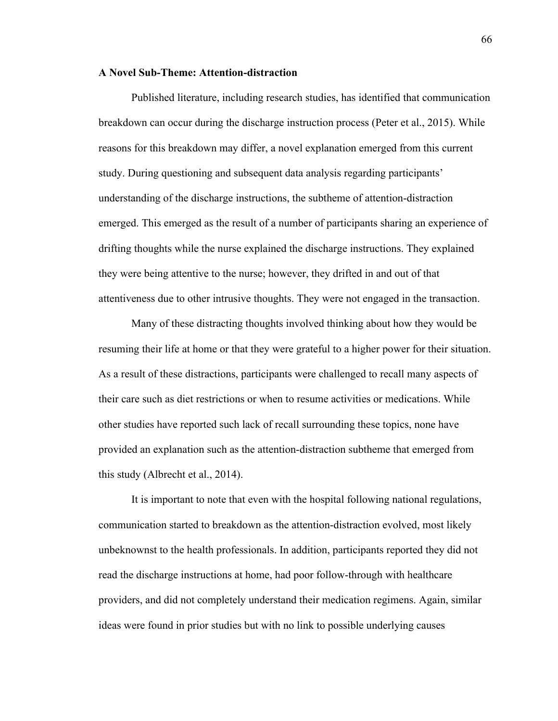### **A Novel Sub-Theme: Attention-distraction**

Published literature, including research studies, has identified that communication breakdown can occur during the discharge instruction process (Peter et al., 2015). While reasons for this breakdown may differ, a novel explanation emerged from this current study. During questioning and subsequent data analysis regarding participants' understanding of the discharge instructions, the subtheme of attention-distraction emerged. This emerged as the result of a number of participants sharing an experience of drifting thoughts while the nurse explained the discharge instructions. They explained they were being attentive to the nurse; however, they drifted in and out of that attentiveness due to other intrusive thoughts. They were not engaged in the transaction.

Many of these distracting thoughts involved thinking about how they would be resuming their life at home or that they were grateful to a higher power for their situation. As a result of these distractions, participants were challenged to recall many aspects of their care such as diet restrictions or when to resume activities or medications. While other studies have reported such lack of recall surrounding these topics, none have provided an explanation such as the attention-distraction subtheme that emerged from this study (Albrecht et al., 2014).

It is important to note that even with the hospital following national regulations, communication started to breakdown as the attention-distraction evolved, most likely unbeknownst to the health professionals. In addition, participants reported they did not read the discharge instructions at home, had poor follow-through with healthcare providers, and did not completely understand their medication regimens. Again, similar ideas were found in prior studies but with no link to possible underlying causes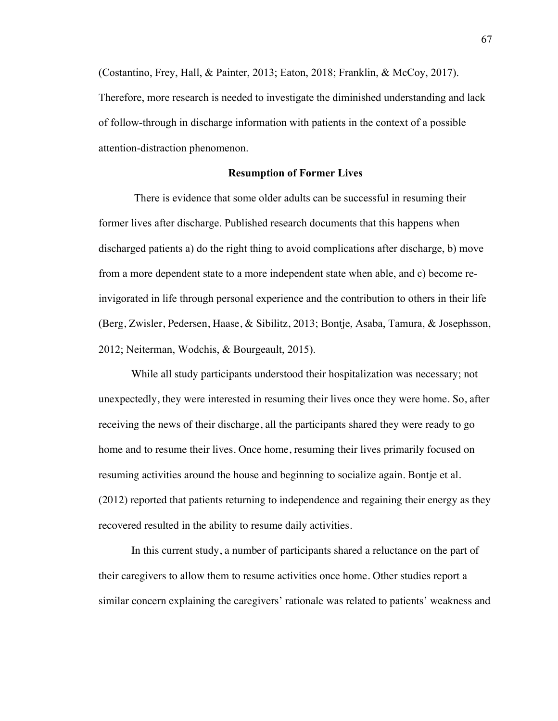(Costantino, Frey, Hall, & Painter, 2013; Eaton, 2018; Franklin, & McCoy, 2017). Therefore, more research is needed to investigate the diminished understanding and lack of follow-through in discharge information with patients in the context of a possible attention-distraction phenomenon.

#### **Resumption of Former Lives**

There is evidence that some older adults can be successful in resuming their former lives after discharge. Published research documents that this happens when discharged patients a) do the right thing to avoid complications after discharge, b) move from a more dependent state to a more independent state when able, and c) become reinvigorated in life through personal experience and the contribution to others in their life (Berg, Zwisler, Pedersen, Haase, & Sibilitz, 2013; Bontje, Asaba, Tamura, & Josephsson, 2012; Neiterman, Wodchis, & Bourgeault, 2015).

While all study participants understood their hospitalization was necessary; not unexpectedly, they were interested in resuming their lives once they were home. So, after receiving the news of their discharge, all the participants shared they were ready to go home and to resume their lives. Once home, resuming their lives primarily focused on resuming activities around the house and beginning to socialize again. Bontje et al. (2012) reported that patients returning to independence and regaining their energy as they recovered resulted in the ability to resume daily activities.

In this current study, a number of participants shared a reluctance on the part of their caregivers to allow them to resume activities once home. Other studies report a similar concern explaining the caregivers' rationale was related to patients' weakness and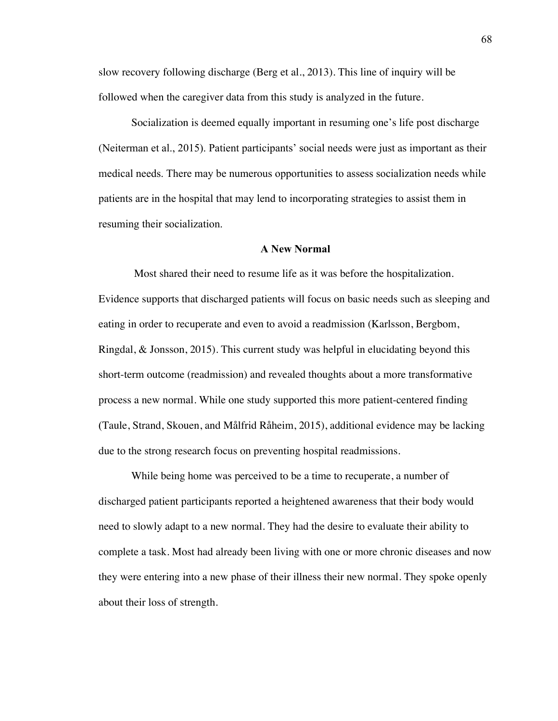slow recovery following discharge (Berg et al., 2013). This line of inquiry will be followed when the caregiver data from this study is analyzed in the future.

Socialization is deemed equally important in resuming one's life post discharge (Neiterman et al., 2015). Patient participants' social needs were just as important as their medical needs. There may be numerous opportunities to assess socialization needs while patients are in the hospital that may lend to incorporating strategies to assist them in resuming their socialization.

## **A New Normal**

Most shared their need to resume life as it was before the hospitalization. Evidence supports that discharged patients will focus on basic needs such as sleeping and eating in order to recuperate and even to avoid a readmission (Karlsson, Bergbom, Ringdal, & Jonsson, 2015). This current study was helpful in elucidating beyond this short-term outcome (readmission) and revealed thoughts about a more transformative process a new normal. While one study supported this more patient-centered finding (Taule, Strand, Skouen, and Målfrid Råheim, 2015), additional evidence may be lacking due to the strong research focus on preventing hospital readmissions.

While being home was perceived to be a time to recuperate, a number of discharged patient participants reported a heightened awareness that their body would need to slowly adapt to a new normal. They had the desire to evaluate their ability to complete a task. Most had already been living with one or more chronic diseases and now they were entering into a new phase of their illness their new normal. They spoke openly about their loss of strength.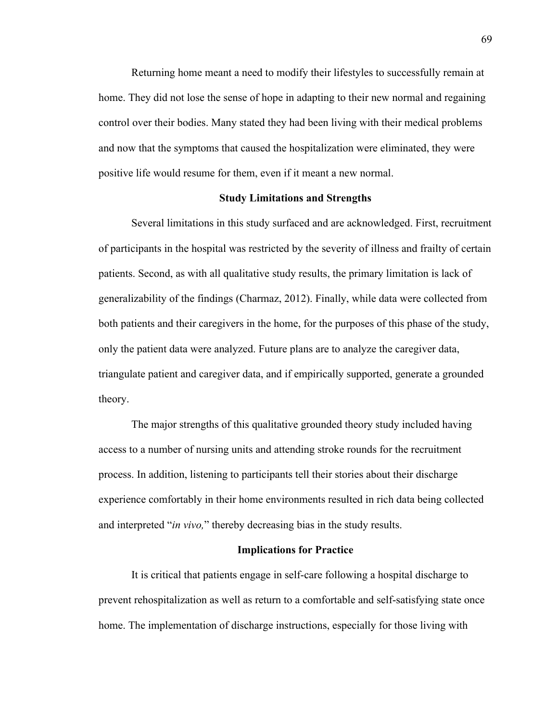Returning home meant a need to modify their lifestyles to successfully remain at home. They did not lose the sense of hope in adapting to their new normal and regaining control over their bodies. Many stated they had been living with their medical problems and now that the symptoms that caused the hospitalization were eliminated, they were positive life would resume for them, even if it meant a new normal.

## **Study Limitations and Strengths**

Several limitations in this study surfaced and are acknowledged. First, recruitment of participants in the hospital was restricted by the severity of illness and frailty of certain patients. Second, as with all qualitative study results, the primary limitation is lack of generalizability of the findings (Charmaz, 2012). Finally, while data were collected from both patients and their caregivers in the home, for the purposes of this phase of the study, only the patient data were analyzed. Future plans are to analyze the caregiver data, triangulate patient and caregiver data, and if empirically supported, generate a grounded theory.

The major strengths of this qualitative grounded theory study included having access to a number of nursing units and attending stroke rounds for the recruitment process. In addition, listening to participants tell their stories about their discharge experience comfortably in their home environments resulted in rich data being collected and interpreted "*in vivo,*" thereby decreasing bias in the study results.

# **Implications for Practice**

It is critical that patients engage in self-care following a hospital discharge to prevent rehospitalization as well as return to a comfortable and self-satisfying state once home. The implementation of discharge instructions, especially for those living with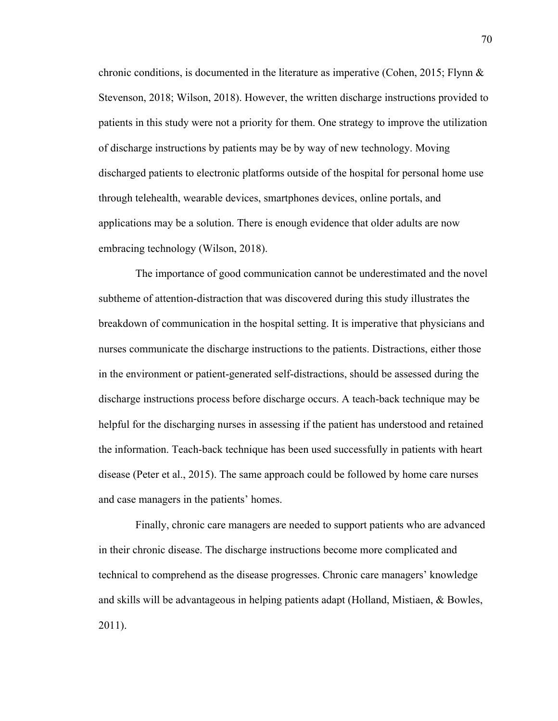chronic conditions, is documented in the literature as imperative (Cohen, 2015; Flynn & Stevenson, 2018; Wilson, 2018). However, the written discharge instructions provided to patients in this study were not a priority for them. One strategy to improve the utilization of discharge instructions by patients may be by way of new technology. Moving discharged patients to electronic platforms outside of the hospital for personal home use through telehealth, wearable devices, smartphones devices, online portals, and applications may be a solution. There is enough evidence that older adults are now embracing technology (Wilson, 2018).

The importance of good communication cannot be underestimated and the novel subtheme of attention-distraction that was discovered during this study illustrates the breakdown of communication in the hospital setting. It is imperative that physicians and nurses communicate the discharge instructions to the patients. Distractions, either those in the environment or patient-generated self-distractions, should be assessed during the discharge instructions process before discharge occurs. A teach-back technique may be helpful for the discharging nurses in assessing if the patient has understood and retained the information. Teach-back technique has been used successfully in patients with heart disease (Peter et al., 2015). The same approach could be followed by home care nurses and case managers in the patients' homes.

Finally, chronic care managers are needed to support patients who are advanced in their chronic disease. The discharge instructions become more complicated and technical to comprehend as the disease progresses. Chronic care managers' knowledge and skills will be advantageous in helping patients adapt (Holland, Mistiaen, & Bowles, 2011).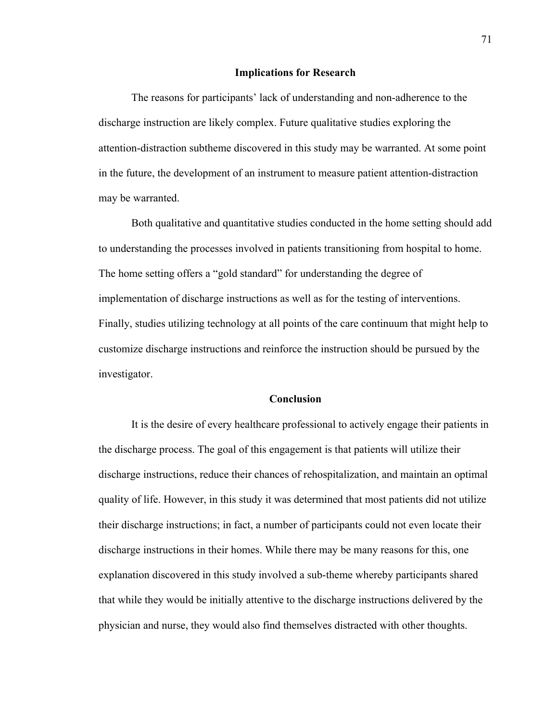#### **Implications for Research**

The reasons for participants' lack of understanding and non-adherence to the discharge instruction are likely complex. Future qualitative studies exploring the attention-distraction subtheme discovered in this study may be warranted. At some point in the future, the development of an instrument to measure patient attention-distraction may be warranted.

Both qualitative and quantitative studies conducted in the home setting should add to understanding the processes involved in patients transitioning from hospital to home. The home setting offers a "gold standard" for understanding the degree of implementation of discharge instructions as well as for the testing of interventions. Finally, studies utilizing technology at all points of the care continuum that might help to customize discharge instructions and reinforce the instruction should be pursued by the investigator.

## **Conclusion**

It is the desire of every healthcare professional to actively engage their patients in the discharge process. The goal of this engagement is that patients will utilize their discharge instructions, reduce their chances of rehospitalization, and maintain an optimal quality of life. However, in this study it was determined that most patients did not utilize their discharge instructions; in fact, a number of participants could not even locate their discharge instructions in their homes. While there may be many reasons for this, one explanation discovered in this study involved a sub-theme whereby participants shared that while they would be initially attentive to the discharge instructions delivered by the physician and nurse, they would also find themselves distracted with other thoughts.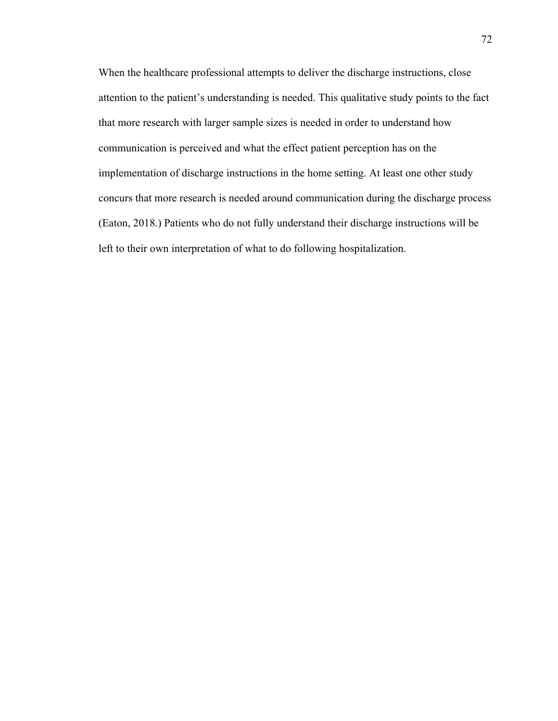When the healthcare professional attempts to deliver the discharge instructions, close attention to the patient's understanding is needed. This qualitative study points to the fact that more research with larger sample sizes is needed in order to understand how communication is perceived and what the effect patient perception has on the implementation of discharge instructions in the home setting. At least one other study concurs that more research is needed around communication during the discharge process (Eaton, 2018.) Patients who do not fully understand their discharge instructions will be left to their own interpretation of what to do following hospitalization.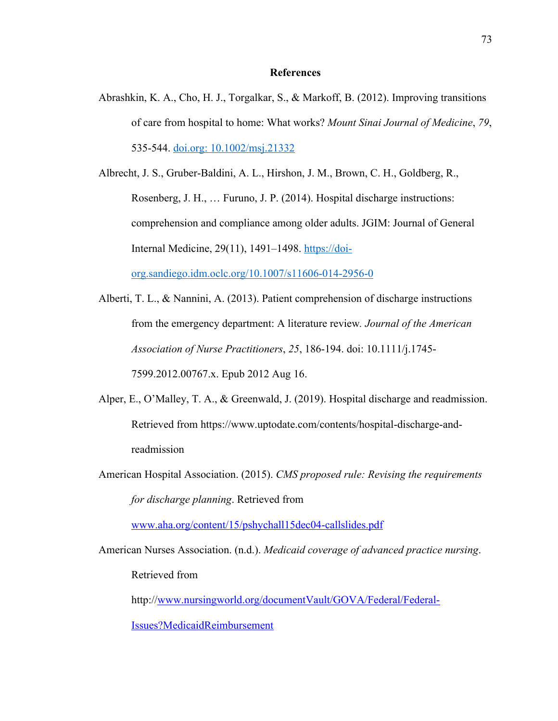## **References**

Abrashkin, K. A., Cho, H. J., Torgalkar, S., & Markoff, B. (2012). Improving transitions of care from hospital to home: What works? *Mount Sinai Journal of Medicine*, *79*, 535-544. doi.org: 10.1002/msj.21332

Albrecht, J. S., Gruber-Baldini, A. L., Hirshon, J. M., Brown, C. H., Goldberg, R., Rosenberg, J. H., … Furuno, J. P. (2014). Hospital discharge instructions: comprehension and compliance among older adults. JGIM: Journal of General Internal Medicine, 29(11), 1491–1498. https://doiorg.sandiego.idm.oclc.org/10.1007/s11606-014-2956-0

- Alberti, T. L., & Nannini, A. (2013). Patient comprehension of discharge instructions from the emergency department: A literature review*. Journal of the American Association of Nurse Practitioners*, *25*, 186-194. doi: 10.1111/j.1745- 7599.2012.00767.x. Epub 2012 Aug 16.
- Alper, E., O'Malley, T. A., & Greenwald, J. (2019). Hospital discharge and readmission. Retrieved from https://www.uptodate.com/contents/hospital-discharge-andreadmission
- American Hospital Association. (2015). *CMS proposed rule: Revising the requirements for discharge planning*. Retrieved from

www.aha.org/content/15/pshychall15dec04-callslides.pdf

American Nurses Association. (n.d.). *Medicaid coverage of advanced practice nursing*. Retrieved from

http://www.nursingworld.org/documentVault/GOVA/Federal/Federal-

Issues?MedicaidReimbursement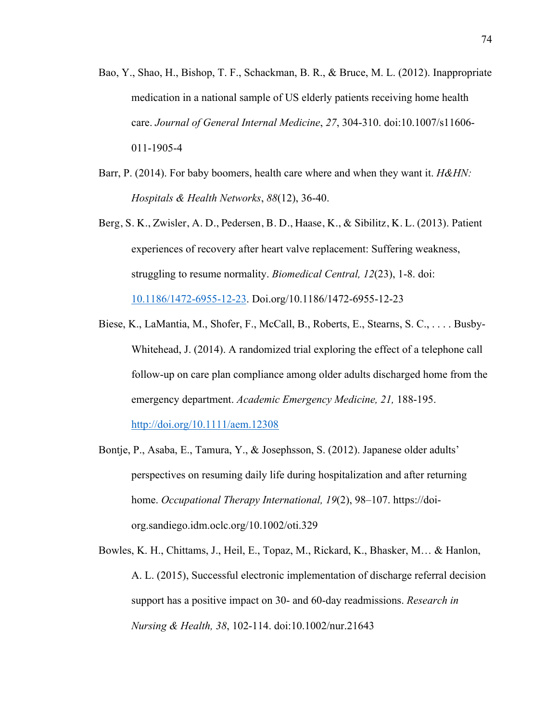- Bao, Y., Shao, H., Bishop, T. F., Schackman, B. R., & Bruce, M. L. (2012). Inappropriate medication in a national sample of US elderly patients receiving home health care. *Journal of General Internal Medicine*, *27*, 304-310. doi:10.1007/s11606- 011-1905-4
- Barr, P. (2014). For baby boomers, health care where and when they want it. *H&HN: Hospitals & Health Networks*, *88*(12), 36-40.
- Berg, S. K., Zwisler, A. D., Pedersen, B. D., Haase, K., & Sibilitz, K. L. (2013). Patient experiences of recovery after heart valve replacement: Suffering weakness, struggling to resume normality. *Biomedical Central, 12*(23), 1-8. doi: 10.1186/1472-6955-12-23. Doi.org/10.1186/1472-6955-12-23
- Biese, K., LaMantia, M., Shofer, F., McCall, B., Roberts, E., Stearns, S. C., . . . . Busby-Whitehead, J. (2014). A randomized trial exploring the effect of a telephone call follow-up on care plan compliance among older adults discharged home from the emergency department. *Academic Emergency Medicine, 21,* 188-195. http://doi.org/10.1111/aem.12308
- Bontje, P., Asaba, E., Tamura, Y., & Josephsson, S. (2012). Japanese older adults' perspectives on resuming daily life during hospitalization and after returning home. *Occupational Therapy International, 19*(2), 98–107. https://doiorg.sandiego.idm.oclc.org/10.1002/oti.329
- Bowles, K. H., Chittams, J., Heil, E., Topaz, M., Rickard, K., Bhasker, M… & Hanlon, A. L. (2015), Successful electronic implementation of discharge referral decision support has a positive impact on 30- and 60-day readmissions. *Research in Nursing & Health, 38*, 102-114. doi:10.1002/nur.21643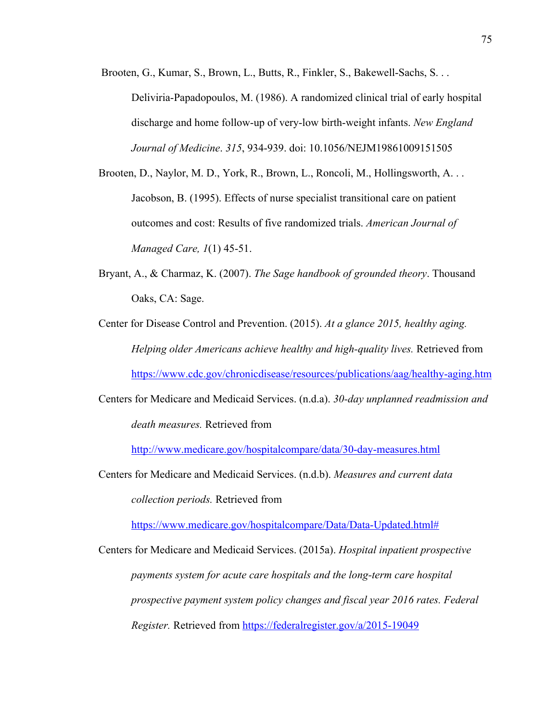Brooten, G., Kumar, S., Brown, L., Butts, R., Finkler, S., Bakewell-Sachs, S. . . Deliviria-Papadopoulos, M. (1986). A randomized clinical trial of early hospital discharge and home follow-up of very-low birth-weight infants. *New England Journal of Medicine*. *315*, 934-939. doi: 10.1056/NEJM19861009151505

- Brooten, D., Naylor, M. D., York, R., Brown, L., Roncoli, M., Hollingsworth, A. . . Jacobson, B. (1995). Effects of nurse specialist transitional care on patient outcomes and cost: Results of five randomized trials. *American Journal of Managed Care, 1*(1) 45-51.
- Bryant, A., & Charmaz, K. (2007). *The Sage handbook of grounded theory*. Thousand Oaks, CA: Sage.

Center for Disease Control and Prevention. (2015). *At a glance 2015, healthy aging. Helping older Americans achieve healthy and high-quality lives.* Retrieved from https://www.cdc.gov/chronicdisease/resources/publications/aag/healthy-aging.htm

Centers for Medicare and Medicaid Services. (n.d.a). *30-day unplanned readmission and death measures.* Retrieved from

http://www.medicare.gov/hospitalcompare/data/30-day-measures.html

Centers for Medicare and Medicaid Services. (n.d.b). *Measures and current data collection periods.* Retrieved from

https://www.medicare.gov/hospitalcompare/Data/Data-Updated.html#

Centers for Medicare and Medicaid Services. (2015a). *Hospital inpatient prospective payments system for acute care hospitals and the long-term care hospital prospective payment system policy changes and fiscal year 2016 rates. Federal Register.* Retrieved from https://federalregister.gov/a/2015-19049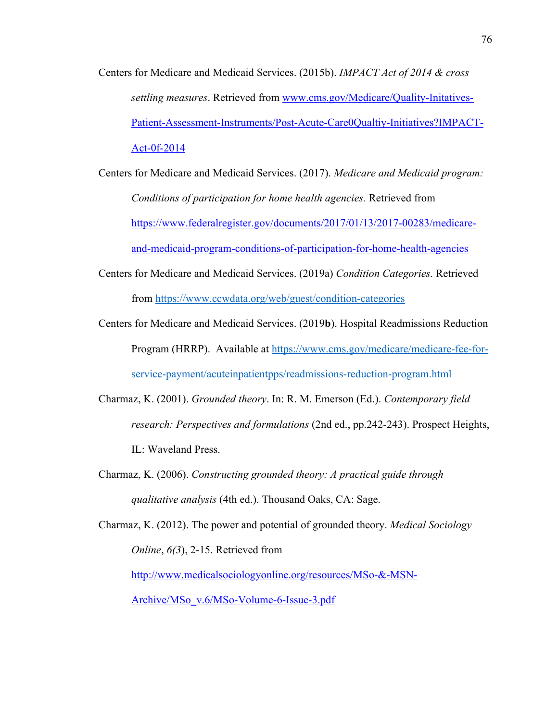- Centers for Medicare and Medicaid Services. (2015b). *IMPACT Act of 2014 & cross settling measures*. Retrieved from www.cms.gov/Medicare/Quality-Initatives-Patient-Assessment-Instruments/Post-Acute-Care0Qualtiy-Initiatives?IMPACT-Act-0f-2014
- Centers for Medicare and Medicaid Services. (2017). *Medicare and Medicaid program: Conditions of participation for home health agencies.* Retrieved from https://www.federalregister.gov/documents/2017/01/13/2017-00283/medicareand-medicaid-program-conditions-of-participation-for-home-health-agencies
- Centers for Medicare and Medicaid Services. (2019a) *Condition Categories.* Retrieved from https://www.ccwdata.org/web/guest/condition-categories
- Centers for Medicare and Medicaid Services. (2019**b**). Hospital Readmissions Reduction Program (HRRP). Available at https://www.cms.gov/medicare/medicare-fee-forservice-payment/acuteinpatientpps/readmissions-reduction-program.html
- Charmaz, K. (2001). *Grounded theory*. In: R. M. Emerson (Ed.). *Contemporary field research: Perspectives and formulations* (2nd ed., pp.242-243). Prospect Heights, IL: Waveland Press.
- Charmaz, K. (2006). *Constructing grounded theory: A practical guide through qualitative analysis* (4th ed.). Thousand Oaks, CA: Sage.
- Charmaz, K. (2012). The power and potential of grounded theory. *Medical Sociology Online*, *6(3*), 2-15. Retrieved from

http://www.medicalsociologyonline.org/resources/MSo-&-MSN-

Archive/MSo\_v.6/MSo-Volume-6-Issue-3.pdf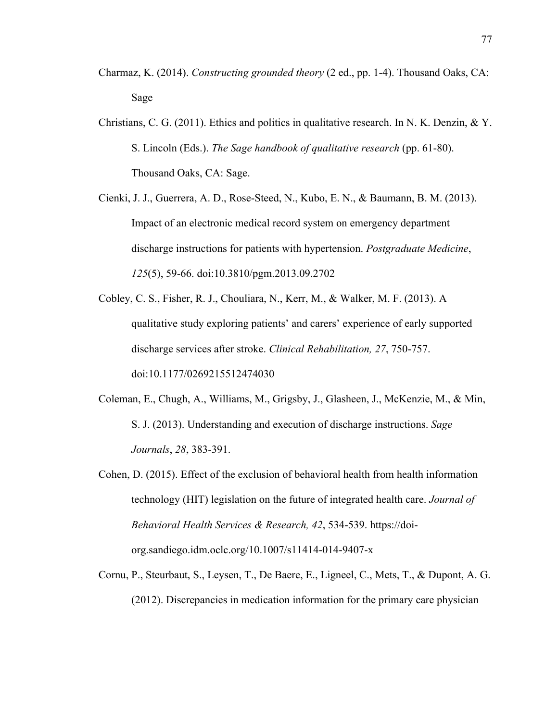- Charmaz, K. (2014). *Constructing grounded theory* (2 ed., pp. 1-4). Thousand Oaks, CA: Sage
- Christians, C. G. (2011). Ethics and politics in qualitative research. In N. K. Denzin, & Y. S. Lincoln (Eds.). *The Sage handbook of qualitative research* (pp. 61-80). Thousand Oaks, CA: Sage.
- Cienki, J. J., Guerrera, A. D., Rose-Steed, N., Kubo, E. N., & Baumann, B. M. (2013). Impact of an electronic medical record system on emergency department discharge instructions for patients with hypertension. *Postgraduate Medicine*, *125*(5), 59-66. doi:10.3810/pgm.2013.09.2702
- Cobley, C. S., Fisher, R. J., Chouliara, N., Kerr, M., & Walker, M. F. (2013). A qualitative study exploring patients' and carers' experience of early supported discharge services after stroke. *Clinical Rehabilitation, 27*, 750-757. doi:10.1177/0269215512474030
- Coleman, E., Chugh, A., Williams, M., Grigsby, J., Glasheen, J., McKenzie, M., & Min, S. J. (2013). Understanding and execution of discharge instructions. *Sage Journals*, *28*, 383-391.
- Cohen, D. (2015). Effect of the exclusion of behavioral health from health information technology (HIT) legislation on the future of integrated health care. *Journal of Behavioral Health Services & Research, 42*, 534-539. https://doiorg.sandiego.idm.oclc.org/10.1007/s11414-014-9407-x
- Cornu, P., Steurbaut, S., Leysen, T., De Baere, E., Ligneel, C., Mets, T., & Dupont, A. G. (2012). Discrepancies in medication information for the primary care physician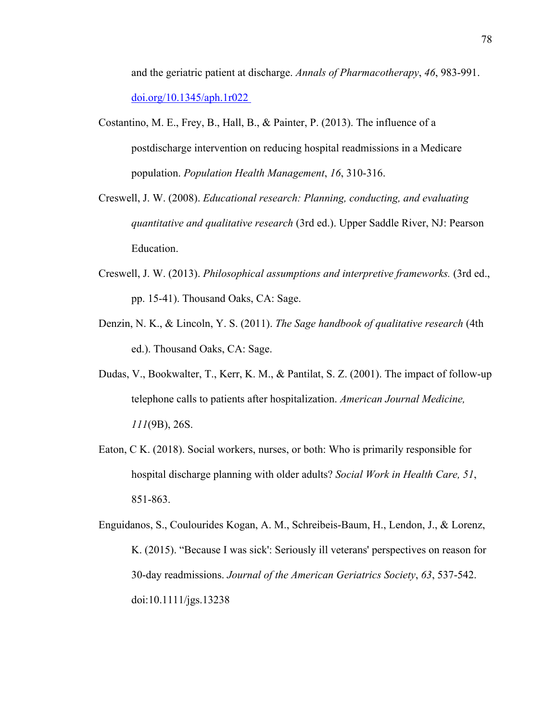and the geriatric patient at discharge. *Annals of Pharmacotherapy*, *46*, 983-991. doi.org/10.1345/aph.1r022

- Costantino, M. E., Frey, B., Hall, B., & Painter, P. (2013). The influence of a postdischarge intervention on reducing hospital readmissions in a Medicare population. *Population Health Management*, *16*, 310-316.
- Creswell, J. W. (2008). *Educational research: Planning, conducting, and evaluating quantitative and qualitative research* (3rd ed.). Upper Saddle River, NJ: Pearson Education.
- Creswell, J. W. (2013). *Philosophical assumptions and interpretive frameworks.* (3rd ed., pp. 15-41). Thousand Oaks, CA: Sage.
- Denzin, N. K., & Lincoln, Y. S. (2011). *The Sage handbook of qualitative research* (4th ed.). Thousand Oaks, CA: Sage.
- Dudas, V., Bookwalter, T., Kerr, K. M., & Pantilat, S. Z. (2001). The impact of follow-up telephone calls to patients after hospitalization. *American Journal Medicine, 111*(9B), 26S.
- Eaton, C K. (2018). Social workers, nurses, or both: Who is primarily responsible for hospital discharge planning with older adults? *Social Work in Health Care, 51*, 851-863.

Enguidanos, S., Coulourides Kogan, A. M., Schreibeis-Baum, H., Lendon, J., & Lorenz, K. (2015). "Because I was sick': Seriously ill veterans' perspectives on reason for 30-day readmissions. *Journal of the American Geriatrics Society*, *63*, 537-542. doi:10.1111/jgs.13238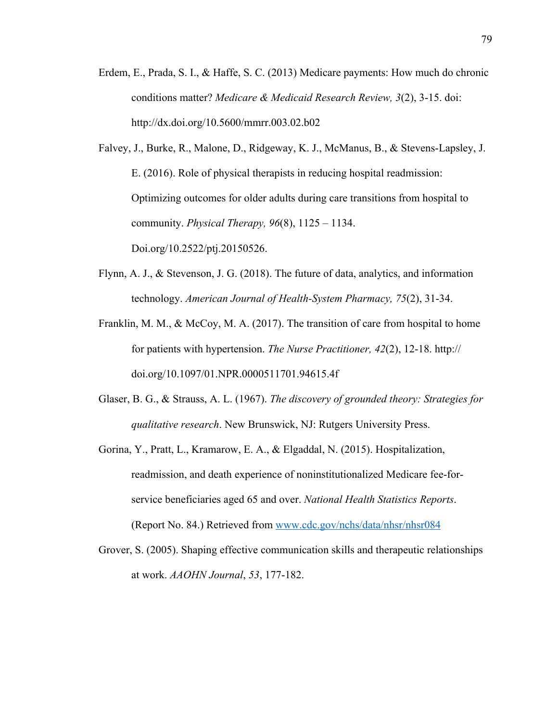Erdem, E., Prada, S. I., & Haffe, S. C. (2013) Medicare payments: How much do chronic conditions matter? *Medicare & Medicaid Research Review, 3*(2), 3-15. doi: http://dx.doi.org/10.5600/mmrr.003.02.b02

Falvey, J., Burke, R., Malone, D., Ridgeway, K. J., McManus, B., & Stevens-Lapsley, J. E. (2016). Role of physical therapists in reducing hospital readmission: Optimizing outcomes for older adults during care transitions from hospital to community. *Physical Therapy, 96*(8), 1125 – 1134. Doi.org/10.2522/ptj.20150526.

- Flynn, A. J., & Stevenson, J. G. (2018). The future of data, analytics, and information technology. *American Journal of Health-System Pharmacy, 75*(2), 31-34.
- Franklin, M. M., & McCoy, M. A. (2017). The transition of care from hospital to home for patients with hypertension. *The Nurse Practitioner, 42*(2), 12-18. http:// doi.org/10.1097/01.NPR.0000511701.94615.4f
- Glaser, B. G., & Strauss, A. L. (1967). *The discovery of grounded theory: Strategies for qualitative research*. New Brunswick, NJ: Rutgers University Press.
- Gorina, Y., Pratt, L., Kramarow, E. A., & Elgaddal, N. (2015). Hospitalization, readmission, and death experience of noninstitutionalized Medicare fee-forservice beneficiaries aged 65 and over. *National Health Statistics Reports*. (Report No. 84.) Retrieved from www.cdc.gov/nchs/data/nhsr/nhsr084
- Grover, S. (2005). Shaping effective communication skills and therapeutic relationships at work. *AAOHN Journal*, *53*, 177-182.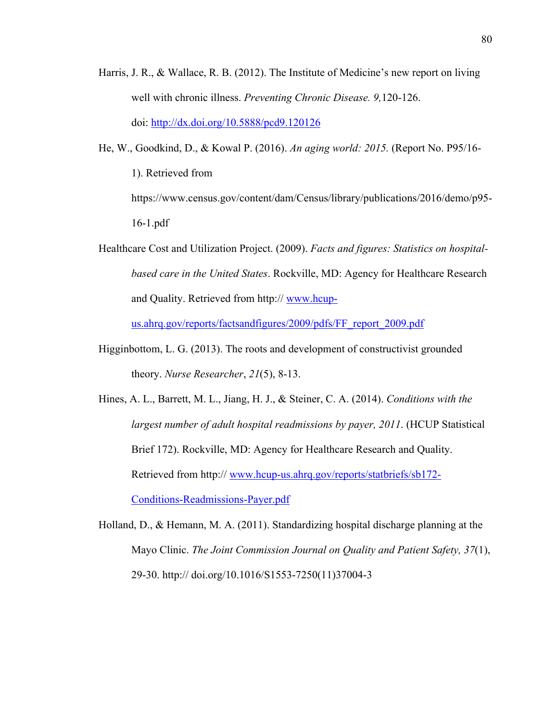- Harris, J. R., & Wallace, R. B. (2012). The Institute of Medicine's new report on living well with chronic illness. *Preventing Chronic Disease. 9,*120-126. doi: http://dx.doi.org/10.5888/pcd9.120126
- He, W., Goodkind, D., & Kowal P. (2016). *An aging world: 2015.* (Report No. P95/16- 1). Retrieved from https://www.census.gov/content/dam/Census/library/publications/2016/demo/p95- 16-1.pdf
- Healthcare Cost and Utilization Project. (2009). *Facts and figures: Statistics on hospitalbased care in the United States*. Rockville, MD: Agency for Healthcare Research and Quality. Retrieved from http:// www.hcup-

us.ahrq.gov/reports/factsandfigures/2009/pdfs/FF\_report\_2009.pdf

- Higginbottom, L. G. (2013). The roots and development of constructivist grounded theory. *Nurse Researcher*, *21*(5), 8-13.
- Hines, A. L., Barrett, M. L., Jiang, H. J., & Steiner, C. A. (2014). *Conditions with the largest number of adult hospital readmissions by payer, 2011*. (HCUP Statistical Brief 172). Rockville, MD: Agency for Healthcare Research and Quality. Retrieved from http:// www.hcup-us.ahrq.gov/reports/statbriefs/sb172- Conditions-Readmissions-Payer.pdf
- Holland, D., & Hemann, M. A. (2011). Standardizing hospital discharge planning at the Mayo Clinic. *The Joint Commission Journal on Quality and Patient Safety, 37*(1), 29-30. http:// doi.org/10.1016/S1553-7250(11)37004-3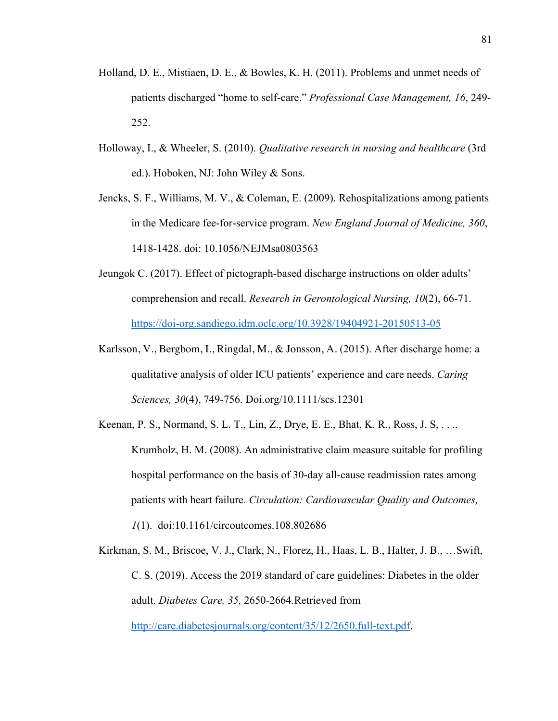- Holland, D. E., Mistiaen, D. E., & Bowles, K. H. (2011). Problems and unmet needs of patients discharged "home to self-care." *Professional Case Management, 16*, 249- 252.
- Holloway, I., & Wheeler, S. (2010). *Qualitative research in nursing and healthcare* (3rd ed.). Hoboken, NJ: John Wiley & Sons.
- Jencks, S. F., Williams, M. V., & Coleman, E. (2009). Rehospitalizations among patients in the Medicare fee-for-service program. *New England Journal of Medicine, 360*, 1418-1428. doi: 10.1056/NEJMsa0803563
- Jeungok C. (2017). Effect of pictograph-based discharge instructions on older adults' comprehension and recall. *Research in Gerontological Nursing, 10*(2), 66-71. https://doi-org.sandiego.idm.oclc.org/10.3928/19404921-20150513-05
- Karlsson, V., Bergbom, I., Ringdal, M., & Jonsson, A. (2015). After discharge home: a qualitative analysis of older ICU patients' experience and care needs. *Caring Sciences, 30*(4), 749-756. Doi.org/10.1111/scs.12301
- Keenan, P. S., Normand, S. L. T., Lin, Z., Drye, E. E., Bhat, K. R., Ross, J. S, . . .. Krumholz, H. M. (2008). An administrative claim measure suitable for profiling hospital performance on the basis of 30-day all-cause readmission rates among patients with heart failure*. Circulation: Cardiovascular Quality and Outcomes, 1*(1). doi:10.1161/circoutcomes.108.802686
- Kirkman, S. M., Briscoe, V. J., Clark, N., Florez, H., Haas, L. B., Halter, J. B., …Swift, C. S. (2019). Access the 2019 standard of care guidelines: Diabetes in the older adult. *Diabetes Care, 35,* 2650-2664*.*Retrieved from http://care.diabetesjournals.org/content/35/12/2650.full-text.pdf.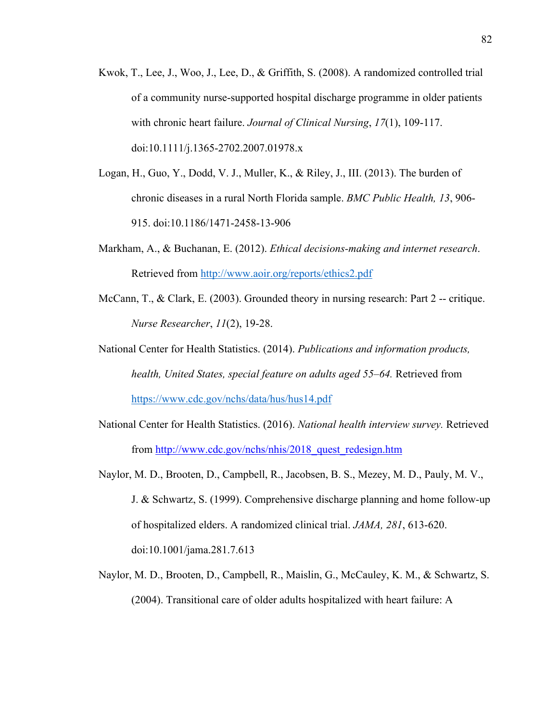- Kwok, T., Lee, J., Woo, J., Lee, D., & Griffith, S. (2008). A randomized controlled trial of a community nurse-supported hospital discharge programme in older patients with chronic heart failure. *Journal of Clinical Nursing*, *17*(1), 109-117. doi:10.1111/j.1365-2702.2007.01978.x
- Logan, H., Guo, Y., Dodd, V. J., Muller, K., & Riley, J., III. (2013). The burden of chronic diseases in a rural North Florida sample. *BMC Public Health, 13*, 906- 915. doi:10.1186/1471-2458-13-906
- Markham, A., & Buchanan, E. (2012). *Ethical decisions-making and internet research*. Retrieved from http://www.aoir.org/reports/ethics2.pdf
- McCann, T., & Clark, E. (2003). Grounded theory in nursing research: Part 2 -- critique. *Nurse Researcher*, *11*(2), 19-28.
- National Center for Health Statistics. (2014). *Publications and information products, health, United States, special feature on adults aged 55–64.* Retrieved from https://www.cdc.gov/nchs/data/hus/hus14.pdf
- National Center for Health Statistics. (2016). *National health interview survey.* Retrieved from http://www.cdc.gov/nchs/nhis/2018\_quest\_redesign.htm
- Naylor, M. D., Brooten, D., Campbell, R., Jacobsen, B. S., Mezey, M. D., Pauly, M. V., J. & Schwartz, S. (1999). Comprehensive discharge planning and home follow-up of hospitalized elders. A randomized clinical trial. *JAMA, 281*, 613-620. doi:10.1001/jama.281.7.613
- Naylor, M. D., Brooten, D., Campbell, R., Maislin, G., McCauley, K. M., & Schwartz, S. (2004). Transitional care of older adults hospitalized with heart failure: A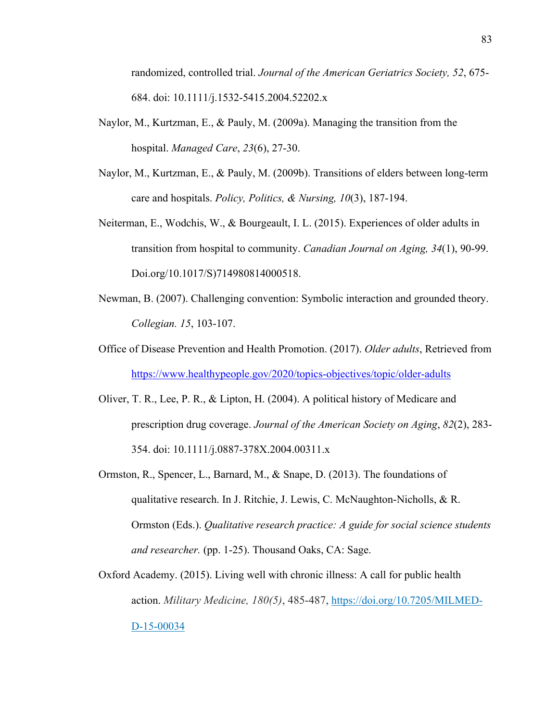randomized, controlled trial. *Journal of the American Geriatrics Society, 52*, 675- 684. doi: 10.1111/j.1532-5415.2004.52202.x

- Naylor, M., Kurtzman, E., & Pauly, M. (2009a). Managing the transition from the hospital. *Managed Care*, *23*(6), 27-30.
- Naylor, M., Kurtzman, E., & Pauly, M. (2009b). Transitions of elders between long-term care and hospitals. *Policy, Politics, & Nursing, 10*(3), 187-194.
- Neiterman, E., Wodchis, W., & Bourgeault, I. L. (2015). Experiences of older adults in transition from hospital to community. *Canadian Journal on Aging, 34*(1), 90-99. Doi.org/10.1017/S)714980814000518.
- Newman, B. (2007). Challenging convention: Symbolic interaction and grounded theory. *Collegian. 15*, 103-107.
- Office of Disease Prevention and Health Promotion. (2017). *Older adults*, Retrieved from https://www.healthypeople.gov/2020/topics-objectives/topic/older-adults
- Oliver, T. R., Lee, P. R., & Lipton, H. (2004). A political history of Medicare and prescription drug coverage. *Journal of the American Society on Aging*, *82*(2), 283- 354. doi: 10.1111/j.0887-378X.2004.00311.x
- Ormston, R., Spencer, L., Barnard, M., & Snape, D. (2013). The foundations of qualitative research. In J. Ritchie, J. Lewis, C. McNaughton-Nicholls, & R. Ormston (Eds.). *Qualitative research practice: A guide for social science students and researcher.* (pp. 1-25). Thousand Oaks, CA: Sage.
- Oxford Academy. (2015). Living well with chronic illness: A call for public health action. *Military Medicine, 180(5)*, 485-487, https://doi.org/10.7205/MILMED-D-15-00034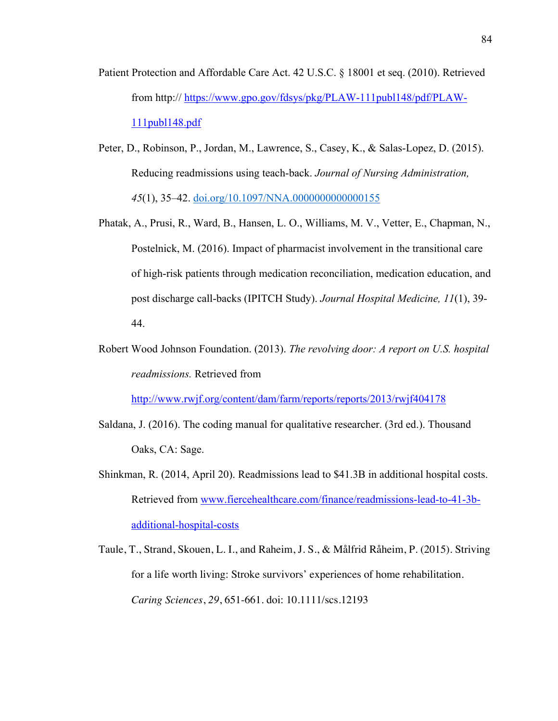- Patient Protection and Affordable Care Act. 42 U.S.C. § 18001 et seq. (2010). Retrieved from http:// https://www.gpo.gov/fdsys/pkg/PLAW-111publ148/pdf/PLAW-111publ148.pdf
- Peter, D., Robinson, P., Jordan, M., Lawrence, S., Casey, K., & Salas-Lopez, D. (2015). Reducing readmissions using teach-back. *Journal of Nursing Administration, 45*(1), 35–42. doi.org/10.1097/NNA.0000000000000155
- Phatak, A., Prusi, R., Ward, B., Hansen, L. O., Williams, M. V., Vetter, E., Chapman, N., Postelnick, M. (2016). Impact of pharmacist involvement in the transitional care of high-risk patients through medication reconciliation, medication education, and post discharge call-backs (IPITCH Study). *Journal Hospital Medicine, 11*(1), 39- 44.
- Robert Wood Johnson Foundation. (2013). *The revolving door: A report on U.S. hospital readmissions.* Retrieved from

http://www.rwjf.org/content/dam/farm/reports/reports/2013/rwjf404178

- Saldana, J. (2016). The coding manual for qualitative researcher. (3rd ed.). Thousand Oaks, CA: Sage.
- Shinkman, R. (2014, April 20). Readmissions lead to \$41.3B in additional hospital costs. Retrieved from www.fiercehealthcare.com/finance/readmissions-lead-to-41-3badditional-hospital-costs
- Taule, T., Strand, Skouen, L. I., and Raheim, J. S., & Målfrid Råheim, P. (2015). Striving for a life worth living: Stroke survivors' experiences of home rehabilitation. *Caring Sciences*, *29*, 651-661. doi: 10.1111/scs.12193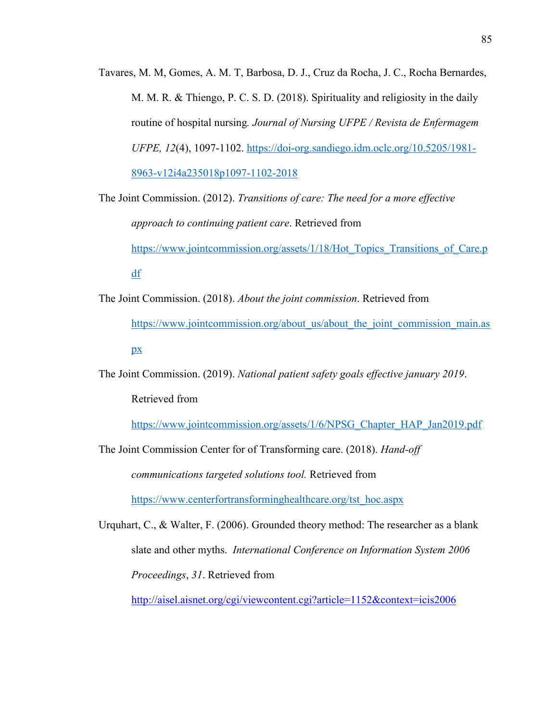Tavares, M. M, Gomes, A. M. T, Barbosa, D. J., Cruz da Rocha, J. C., Rocha Bernardes, M. M. R. & Thiengo, P. C. S. D. (2018). Spirituality and religiosity in the daily routine of hospital nursing*. Journal of Nursing UFPE / Revista de Enfermagem UFPE, 12*(4), 1097-1102. https://doi-org.sandiego.idm.oclc.org/10.5205/1981- 8963-v12i4a235018p1097-1102-2018

The Joint Commission. (2012). *Transitions of care: The need for a more effective approach to continuing patient care*. Retrieved from https://www.jointcommission.org/assets/1/18/Hot\_Topics\_Transitions\_of\_Care.p df

The Joint Commission. (2018). *About the joint commission*. Retrieved from https://www.jointcommission.org/about\_us/about\_the\_joint\_commission\_main.as px

The Joint Commission. (2019). *National patient safety goals effective january 2019*. Retrieved from

https://www.jointcommission.org/assets/1/6/NPSG\_Chapter\_HAP\_Jan2019.pdf

The Joint Commission Center for of Transforming care. (2018). *Hand-off communications targeted solutions tool.* Retrieved from https://www.centerfortransforminghealthcare.org/tst\_hoc.aspx

Urquhart, C., & Walter, F. (2006). Grounded theory method: The researcher as a blank slate and other myths. *International Conference on Information System 2006 Proceedings*, *31*. Retrieved from

http://aisel.aisnet.org/cgi/viewcontent.cgi?article=1152&context=icis2006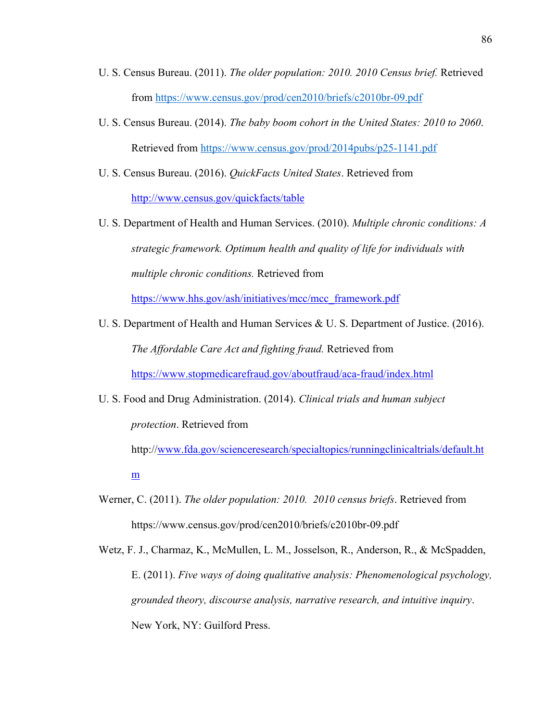- U. S. Census Bureau. (2011). *The older population: 2010. 2010 Census brief.* Retrieved from https://www.census.gov/prod/cen2010/briefs/c2010br-09.pdf
- U. S. Census Bureau. (2014). *The baby boom cohort in the United States: 2010 to 2060*. Retrieved from https://www.census.gov/prod/2014pubs/p25-1141.pdf
- U. S. Census Bureau. (2016). *QuickFacts United States*. Retrieved from http://www.census.gov/quickfacts/table
- U. S. Department of Health and Human Services. (2010). *Multiple chronic conditions: A strategic framework. Optimum health and quality of life for individuals with multiple chronic conditions.* Retrieved from

https://www.hhs.gov/ash/initiatives/mcc/mcc\_framework.pdf

- U. S. Department of Health and Human Services & U. S. Department of Justice. (2016). *The Affordable Care Act and fighting fraud.* Retrieved from https://www.stopmedicarefraud.gov/aboutfraud/aca-fraud/index.html
- U. S. Food and Drug Administration. (2014). *Clinical trials and human subject protection*. Retrieved from

http://www.fda.gov/scienceresearch/specialtopics/runningclinicaltrials/default.ht m

- Werner, C. (2011). *The older population: 2010. 2010 census briefs*. Retrieved from https://www.census.gov/prod/cen2010/briefs/c2010br-09.pdf
- Wetz, F. J., Charmaz, K., McMullen, L. M., Josselson, R., Anderson, R., & McSpadden, E. (2011). *Five ways of doing qualitative analysis: Phenomenological psychology, grounded theory, discourse analysis, narrative research, and intuitive inquiry*. New York, NY: Guilford Press.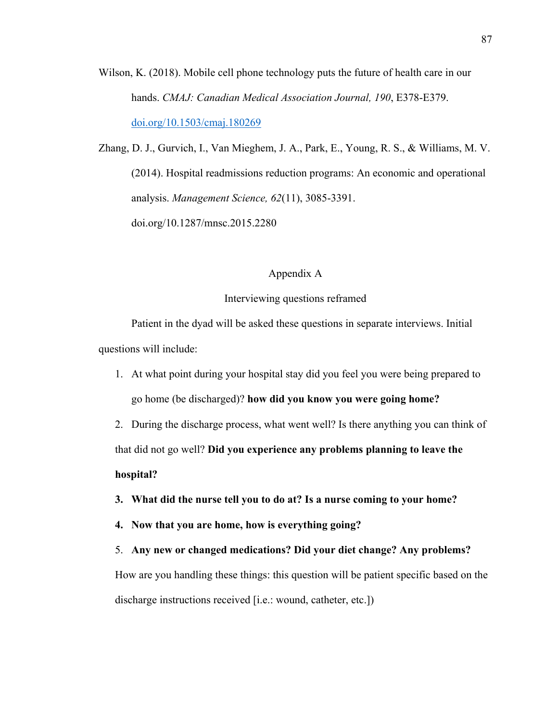Wilson, K. (2018). Mobile cell phone technology puts the future of health care in our hands. *CMAJ: Canadian Medical Association Journal, 190*, E378-E379. doi.org/10.1503/cmaj.180269

Zhang, D. J., Gurvich, I., Van Mieghem, J. A., Park, E., Young, R. S., & Williams, M. V. (2014). Hospital readmissions reduction programs: An economic and operational analysis. *Management Science, 62*(11), 3085-3391.

doi.org/10.1287/mnsc.2015.2280

## Appendix A

# Interviewing questions reframed

Patient in the dyad will be asked these questions in separate interviews. Initial questions will include:

1. At what point during your hospital stay did you feel you were being prepared to go home (be discharged)? **how did you know you were going home?**

2. During the discharge process, what went well? Is there anything you can think of that did not go well? **Did you experience any problems planning to leave the hospital?**

- **3. What did the nurse tell you to do at? Is a nurse coming to your home?**
- **4. Now that you are home, how is everything going?**
- 5. **Any new or changed medications? Did your diet change? Any problems?** How are you handling these things: this question will be patient specific based on the discharge instructions received [i.e.: wound, catheter, etc.])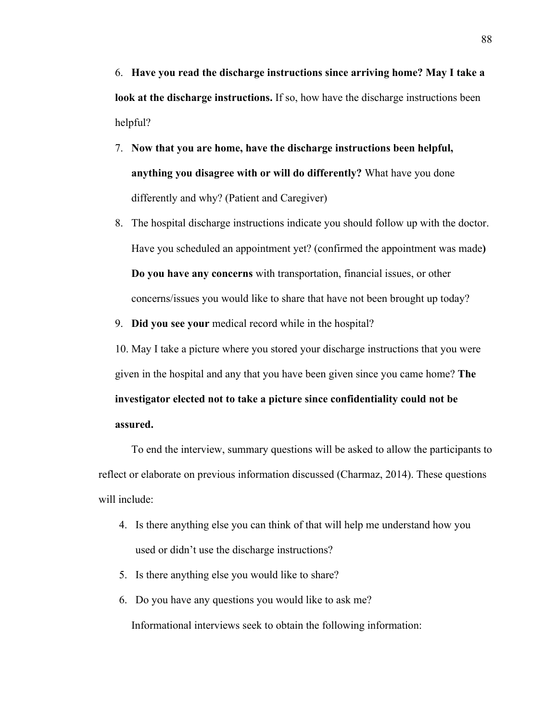6. **Have you read the discharge instructions since arriving home? May I take a look at the discharge instructions.** If so, how have the discharge instructions been helpful?

- 7. **Now that you are home, have the discharge instructions been helpful, anything you disagree with or will do differently?** What have you done differently and why? (Patient and Caregiver)
- 8. The hospital discharge instructions indicate you should follow up with the doctor. Have you scheduled an appointment yet? (confirmed the appointment was made**) Do you have any concerns** with transportation, financial issues, or other concerns/issues you would like to share that have not been brought up today?
- 9. **Did you see your** medical record while in the hospital?

10. May I take a picture where you stored your discharge instructions that you were given in the hospital and any that you have been given since you came home? **The investigator elected not to take a picture since confidentiality could not be assured.** 

To end the interview, summary questions will be asked to allow the participants to reflect or elaborate on previous information discussed (Charmaz, 2014). These questions will include:

- 4. Is there anything else you can think of that will help me understand how you used or didn't use the discharge instructions?
- 5. Is there anything else you would like to share?
- 6. Do you have any questions you would like to ask me?

Informational interviews seek to obtain the following information: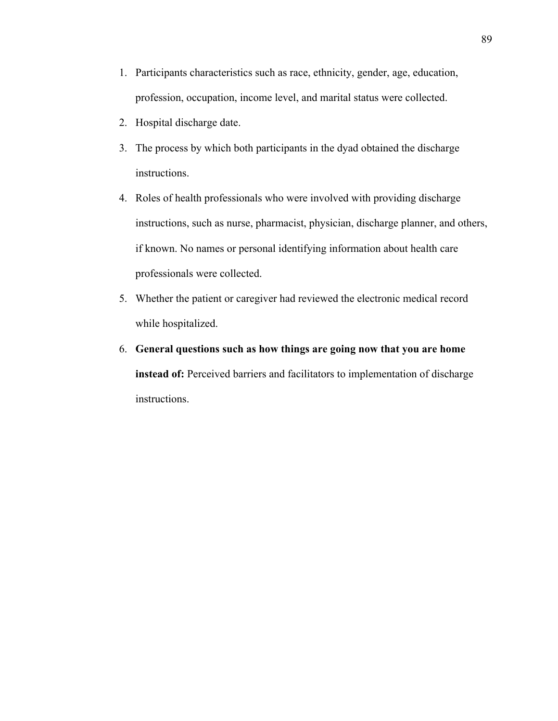- 1. Participants characteristics such as race, ethnicity, gender, age, education, profession, occupation, income level, and marital status were collected.
- 2. Hospital discharge date.
- 3. The process by which both participants in the dyad obtained the discharge instructions.
- 4. Roles of health professionals who were involved with providing discharge instructions, such as nurse, pharmacist, physician, discharge planner, and others, if known. No names or personal identifying information about health care professionals were collected.
- 5. Whether the patient or caregiver had reviewed the electronic medical record while hospitalized.
- 6. **General questions such as how things are going now that you are home instead of:** Perceived barriers and facilitators to implementation of discharge instructions.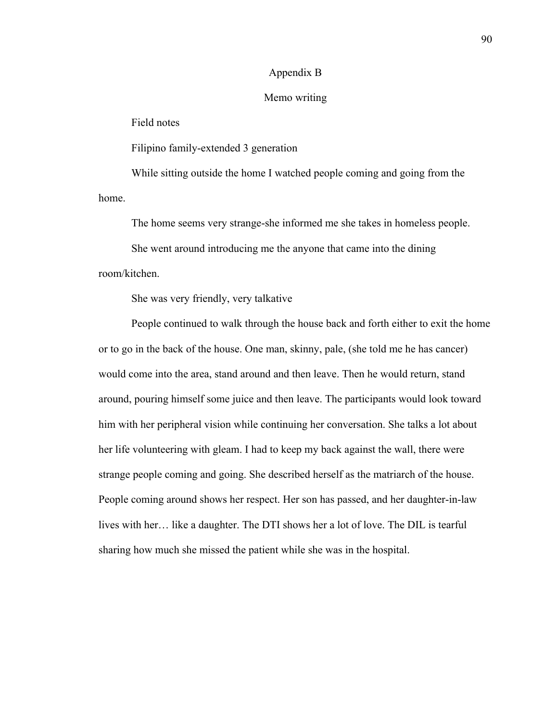# Appendix B

## Memo writing

Field notes

Filipino family-extended 3 generation

While sitting outside the home I watched people coming and going from the home.

The home seems very strange-she informed me she takes in homeless people.

She went around introducing me the anyone that came into the dining room/kitchen.

She was very friendly, very talkative

People continued to walk through the house back and forth either to exit the home or to go in the back of the house. One man, skinny, pale, (she told me he has cancer) would come into the area, stand around and then leave. Then he would return, stand around, pouring himself some juice and then leave. The participants would look toward him with her peripheral vision while continuing her conversation. She talks a lot about her life volunteering with gleam. I had to keep my back against the wall, there were strange people coming and going. She described herself as the matriarch of the house. People coming around shows her respect. Her son has passed, and her daughter-in-law lives with her… like a daughter. The DTI shows her a lot of love. The DIL is tearful sharing how much she missed the patient while she was in the hospital.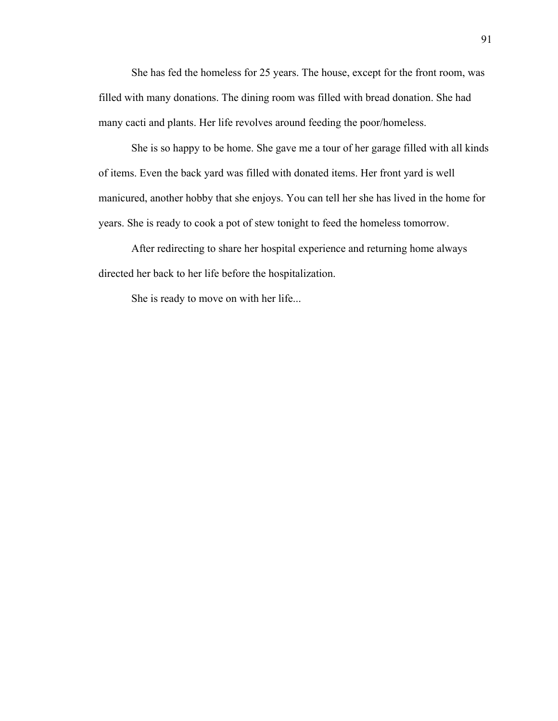She has fed the homeless for 25 years. The house, except for the front room, was filled with many donations. The dining room was filled with bread donation. She had many cacti and plants. Her life revolves around feeding the poor/homeless.

She is so happy to be home. She gave me a tour of her garage filled with all kinds of items. Even the back yard was filled with donated items. Her front yard is well manicured, another hobby that she enjoys. You can tell her she has lived in the home for years. She is ready to cook a pot of stew tonight to feed the homeless tomorrow.

After redirecting to share her hospital experience and returning home always directed her back to her life before the hospitalization.

She is ready to move on with her life...